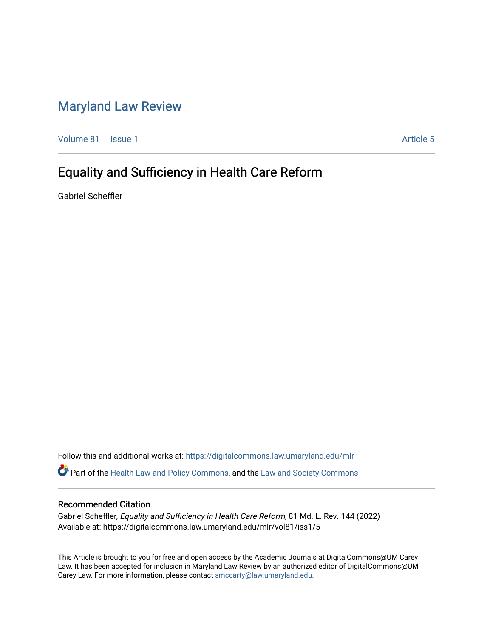# [Maryland Law Review](https://digitalcommons.law.umaryland.edu/mlr)

[Volume 81](https://digitalcommons.law.umaryland.edu/mlr/vol81) | [Issue 1](https://digitalcommons.law.umaryland.edu/mlr/vol81/iss1) Article 5

# Equality and Sufficiency in Health Care Reform

Gabriel Scheffler

Follow this and additional works at: [https://digitalcommons.law.umaryland.edu/mlr](https://digitalcommons.law.umaryland.edu/mlr?utm_source=digitalcommons.law.umaryland.edu%2Fmlr%2Fvol81%2Fiss1%2F5&utm_medium=PDF&utm_campaign=PDFCoverPages) Part of the [Health Law and Policy Commons](http://network.bepress.com/hgg/discipline/901?utm_source=digitalcommons.law.umaryland.edu%2Fmlr%2Fvol81%2Fiss1%2F5&utm_medium=PDF&utm_campaign=PDFCoverPages), and the [Law and Society Commons](http://network.bepress.com/hgg/discipline/853?utm_source=digitalcommons.law.umaryland.edu%2Fmlr%2Fvol81%2Fiss1%2F5&utm_medium=PDF&utm_campaign=PDFCoverPages)

# Recommended Citation

Gabriel Scheffler, Equality and Sufficiency in Health Care Reform, 81 Md. L. Rev. 144 (2022) Available at: https://digitalcommons.law.umaryland.edu/mlr/vol81/iss1/5

This Article is brought to you for free and open access by the Academic Journals at DigitalCommons@UM Carey Law. It has been accepted for inclusion in Maryland Law Review by an authorized editor of DigitalCommons@UM Carey Law. For more information, please contact [smccarty@law.umaryland.edu.](mailto:smccarty@law.umaryland.edu)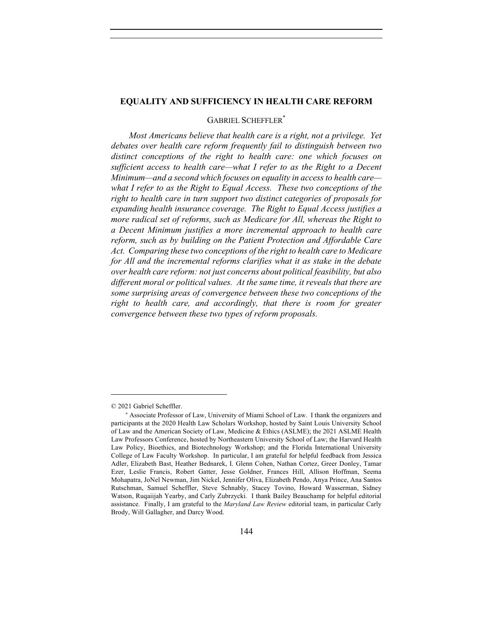#### **EQUALITY AND SUFFICIENCY IN HEALTH CARE REFORM**

## GABRIEL SCHEFFLER<sup>\*</sup>

*Most Americans believe that health care is a right, not a privilege. Yet debates over health care reform frequently fail to distinguish between two distinct conceptions of the right to health care: one which focuses on sufficient access to health care—what I refer to as the Right to a Decent Minimum—and a second which focuses on equality in access to health care what I refer to as the Right to Equal Access. These two conceptions of the right to health care in turn support two distinct categories of proposals for expanding health insurance coverage. The Right to Equal Access justifies a more radical set of reforms, such as Medicare for All, whereas the Right to a Decent Minimum justifies a more incremental approach to health care reform, such as by building on the Patient Protection and Affordable Care Act. Comparing these two conceptions of the right to health care to Medicare*  for All and the incremental reforms clarifies what it as stake in the debate *over health care reform: not just concerns about political feasibility, but also different moral or political values. At the same time, it reveals that there are some surprising areas of convergence between these two conceptions of the*  right to health care, and accordingly, that there is room for greater *convergence between these two types of reform proposals.* 

<sup>© 2021</sup> Gabriel Scheffler.

<sup>\*</sup> Associate Professor of Law, University of Miami School of Law. I thank the organizers and participants at the 2020 Health Law Scholars Workshop, hosted by Saint Louis University School of Law and the American Society of Law, Medicine & Ethics (ASLME); the 2021 ASLME Health Law Professors Conference, hosted by Northeastern University School of Law; the Harvard Health Law Policy, Bioethics, and Biotechnology Workshop; and the Florida International University College of Law Faculty Workshop. In particular, I am grateful for helpful feedback from Jessica Adler, Elizabeth Bast, Heather Bednarek, I. Glenn Cohen, Nathan Cortez, Greer Donley, Tamar Ezer, Leslie Francis, Robert Gatter, Jesse Goldner, Frances Hill, Allison Hoffman, Seema Mohapatra, JoNel Newman, Jim Nickel, Jennifer Oliva, Elizabeth Pendo, Anya Prince, Ana Santos Rutschman, Samuel Scheffler, Steve Schnably, Stacey Tovino, Howard Wasserman, Sidney Watson, Ruqaiijah Yearby, and Carly Zubrzycki. I thank Bailey Beauchamp for helpful editorial assistance. Finally, I am grateful to the *Maryland Law Review* editorial team, in particular Carly Brody, Will Gallagher, and Darcy Wood.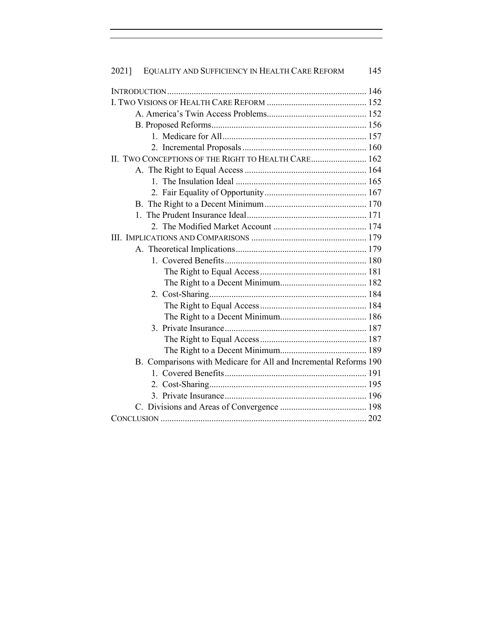| EQUALITY AND SUFFICIENCY IN HEALTH CARE REFORM<br>145<br>2021]   |  |  |  |  |  |
|------------------------------------------------------------------|--|--|--|--|--|
|                                                                  |  |  |  |  |  |
|                                                                  |  |  |  |  |  |
|                                                                  |  |  |  |  |  |
|                                                                  |  |  |  |  |  |
|                                                                  |  |  |  |  |  |
|                                                                  |  |  |  |  |  |
| II. TWO CONCEPTIONS OF THE RIGHT TO HEALTH CARE 162              |  |  |  |  |  |
|                                                                  |  |  |  |  |  |
|                                                                  |  |  |  |  |  |
|                                                                  |  |  |  |  |  |
|                                                                  |  |  |  |  |  |
|                                                                  |  |  |  |  |  |
|                                                                  |  |  |  |  |  |
|                                                                  |  |  |  |  |  |
|                                                                  |  |  |  |  |  |
|                                                                  |  |  |  |  |  |
|                                                                  |  |  |  |  |  |
|                                                                  |  |  |  |  |  |
|                                                                  |  |  |  |  |  |
|                                                                  |  |  |  |  |  |
|                                                                  |  |  |  |  |  |
|                                                                  |  |  |  |  |  |
|                                                                  |  |  |  |  |  |
|                                                                  |  |  |  |  |  |
| B. Comparisons with Medicare for All and Incremental Reforms 190 |  |  |  |  |  |
|                                                                  |  |  |  |  |  |
|                                                                  |  |  |  |  |  |
|                                                                  |  |  |  |  |  |
|                                                                  |  |  |  |  |  |
|                                                                  |  |  |  |  |  |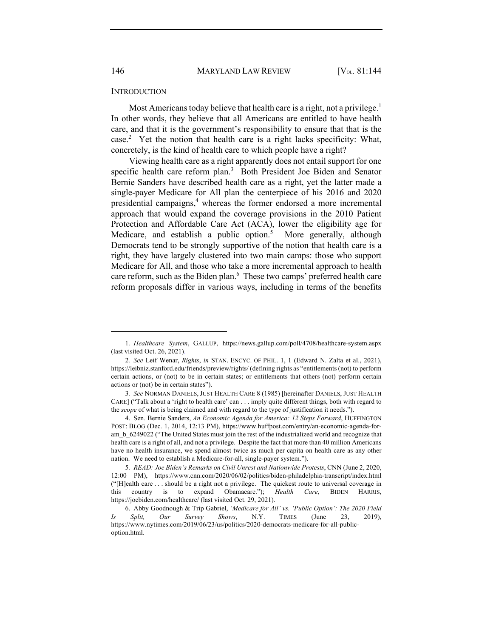146 MARYLAND LAW REVIEW [V<sub>OL.</sub> 81:144]

#### **INTRODUCTION**

Most Americans today believe that health care is a right, not a privilege.<sup>1</sup> In other words, they believe that all Americans are entitled to have health care, and that it is the government's responsibility to ensure that that is the case.<sup>2</sup> Yet the notion that health care is a right lacks specificity: What, concretely, is the kind of health care to which people have a right?

Viewing health care as a right apparently does not entail support for one specific health care reform plan.<sup>3</sup> Both President Joe Biden and Senator Bernie Sanders have described health care as a right, yet the latter made a single-payer Medicare for All plan the centerpiece of his 2016 and 2020 presidential campaigns, $4$  whereas the former endorsed a more incremental approach that would expand the coverage provisions in the 2010 Patient Protection and Affordable Care Act (ACA), lower the eligibility age for Medicare, and establish a public option.<sup>5</sup> More generally, although Democrats tend to be strongly supportive of the notion that health care is a right, they have largely clustered into two main camps: those who support Medicare for All, and those who take a more incremental approach to health care reform, such as the Biden plan.<sup>6</sup> These two camps' preferred health care reform proposals differ in various ways, including in terms of the benefits

<sup>1</sup>*. Healthcare System*, GALLUP, https://news.gallup.com/poll/4708/healthcare-system.aspx (last visited Oct. 26, 2021).

<sup>2</sup>*. See* Leif Wenar, *Rights*, *in* STAN. ENCYC. OF PHIL. 1, 1 (Edward N. Zalta et al., 2021), https://leibniz.stanford.edu/friends/preview/rights/ (defining rights as "entitlements (not) to perform certain actions, or (not) to be in certain states; or entitlements that others (not) perform certain actions or (not) be in certain states").

<sup>3</sup>*. See* NORMAN DANIELS, JUST HEALTH CARE 8 (1985) [hereinafter DANIELS, JUST HEALTH CARE] ("Talk about a 'right to health care' can . . . imply quite different things, both with regard to the *scope* of what is being claimed and with regard to the type of justification it needs.").

<sup>4.</sup> Sen. Bernie Sanders, *An Economic Agenda for America: 12 Steps Forward*, HUFFINGTON POST: BLOG (Dec. 1, 2014, 12:13 PM), https://www.huffpost.com/entry/an-economic-agenda-foram b 6249022 ("The United States must join the rest of the industrialized world and recognize that health care is a right of all, and not a privilege. Despite the fact that more than 40 million Americans have no health insurance, we spend almost twice as much per capita on health care as any other nation. We need to establish a Medicare-for-all, single-payer system.").

<sup>5</sup>*. READ: Joe Biden's Remarks on Civil Unrest and Nationwide Protests*, CNN (June 2, 2020, 12:00 PM), https://www.cnn.com/2020/06/02/politics/biden-philadelphia-transcript/index.html ("[H]ealth care . . . should be a right not a privilege. The quickest route to universal coverage in this country is to expand Obamacare."); *Health Care*, BIDEN HARRIS, https://joebiden.com/healthcare/ (last visited Oct. 29, 2021).

<sup>6.</sup> Abby Goodnough & Trip Gabriel, *'Medicare for All' vs. 'Public Option': The 2020 Field Is Split, Our Survey Shows*, N.Y. TIMES (June 23, 2019), https://www.nytimes.com/2019/06/23/us/politics/2020-democrats-medicare-for-all-publicoption.html.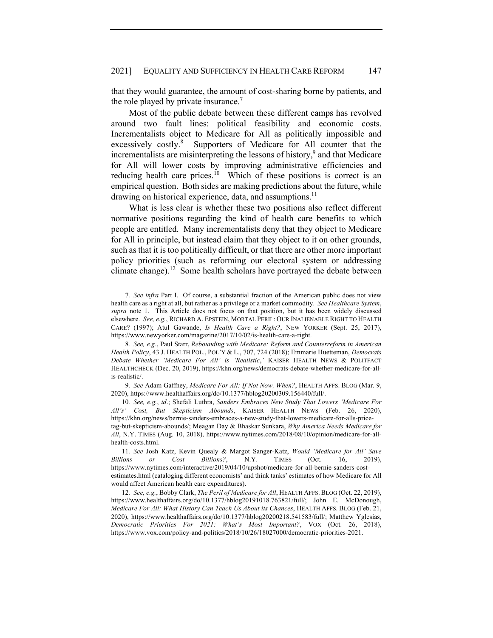that they would guarantee, the amount of cost-sharing borne by patients, and the role played by private insurance.<sup>7</sup>

Most of the public debate between these different camps has revolved around two fault lines: political feasibility and economic costs. Incrementalists object to Medicare for All as politically impossible and excessively costly.<sup>8</sup> Supporters of Medicare for All counter that the incrementalists are misinterpreting the lessons of history, $9$  and that Medicare for All will lower costs by improving administrative efficiencies and reducing health care prices.<sup>10</sup> Which of these positions is correct is an empirical question. Both sides are making predictions about the future, while drawing on historical experience, data, and assumptions.<sup>11</sup>

What is less clear is whether these two positions also reflect different normative positions regarding the kind of health care benefits to which people are entitled. Many incrementalists deny that they object to Medicare for All in principle, but instead claim that they object to it on other grounds, such as that it is too politically difficult, or that there are other more important policy priorities (such as reforming our electoral system or addressing climate change).<sup>12</sup> Some health scholars have portrayed the debate between

<sup>7</sup>*. See infra* Part I. Of course, a substantial fraction of the American public does not view health care as a right at all, but rather as a privilege or a market commodity. *See Healthcare System*, *supra* note 1. This Article does not focus on that position, but it has been widely discussed elsewhere. *See, e.g.*, RICHARD A. EPSTEIN, MORTAL PERIL: OUR INALIENABLE RIGHT TO HEALTH CARE? (1997); Atul Gawande, *Is Health Care a Right?*, NEW YORKER (Sept. 25, 2017), https://www.newyorker.com/magazine/2017/10/02/is-health-care-a-right.

<sup>8</sup>*. See, e.g.*, Paul Starr, *Rebounding with Medicare: Reform and Counterreform in American Health Policy*, 43 J. HEALTH POL., POL'Y & L., 707, 724 (2018); Emmarie Huetteman, *Democrats Debate Whether 'Medicare For All' is 'Realistic*,*'* KAISER HEALTH NEWS & POLITFACT HEALTHCHECK (Dec. 20, 2019), https://khn.org/news/democrats-debate-whether-medicare-for-allis-realistic/.

<sup>9</sup>*. See* Adam Gaffney, *Medicare For All: If Not Now, When?*, HEALTH AFFS. BLOG (Mar. 9, 2020), https://www.healthaffairs.org/do/10.1377/hblog20200309.156440/full/.

<sup>10</sup>*. See, e.g.*, *id*.; Shefali Luthra, *Sanders Embraces New Study That Lowers 'Medicare For All's' Cost, But Skepticism Abounds*, KAISER HEALTH NEWS (Feb. 26, 2020), https://khn.org/news/bernie-sanders-embraces-a-new-study-that-lowers-medicare-for-alls-pricetag-but-skepticism-abounds/; Meagan Day & Bhaskar Sunkara, *Why America Needs Medicare for All*, N.Y. TIMES (Aug. 10, 2018), https://www.nytimes.com/2018/08/10/opinion/medicare-for-allhealth-costs.html.

<sup>11</sup>*. See* Josh Katz, Kevin Quealy & Margot Sanger-Katz, *Would 'Medicare for All' Save Billions or Cost Billions?*, N.Y. TIMES (Oct. 16, 2019), https://www.nytimes.com/interactive/2019/04/10/upshot/medicare-for-all-bernie-sanders-costestimates.html (cataloging different economists' and think tanks' estimates of how Medicare for All would affect American health care expenditures).

<sup>12</sup>*. See, e.g.*, Bobby Clark, *The Peril of Medicare for All*, HEALTH AFFS. BLOG (Oct. 22, 2019), https://www.healthaffairs.org/do/10.1377/hblog20191018.763821/full/; John E. McDonough, *Medicare For All: What History Can Teach Us About its Chances*, HEALTH AFFS. BLOG (Feb. 21, 2020), https://www.healthaffairs.org/do/10.1377/hblog20200218.541583/full/; Matthew Yglesias, *Democratic Priorities For 2021: What's Most Important?*, VOX (Oct. 26, 2018), https://www.vox.com/policy-and-politics/2018/10/26/18027000/democratic-priorities-2021.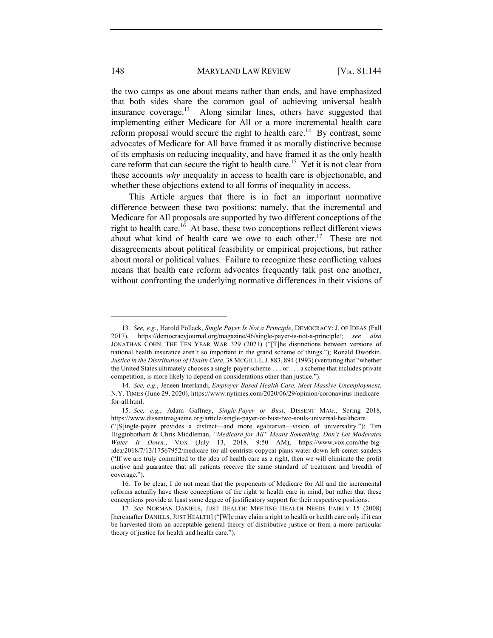the two camps as one about means rather than ends, and have emphasized that both sides share the common goal of achieving universal health insurance coverage.13 Along similar lines, others have suggested that implementing either Medicare for All or a more incremental health care reform proposal would secure the right to health care.<sup>14</sup> By contrast, some advocates of Medicare for All have framed it as morally distinctive because of its emphasis on reducing inequality, and have framed it as the only health care reform that can secure the right to health care.<sup>15</sup> Yet it is not clear from these accounts *why* inequality in access to health care is objectionable, and whether these objections extend to all forms of inequality in access.

This Article argues that there is in fact an important normative difference between these two positions: namely, that the incremental and Medicare for All proposals are supported by two different conceptions of the right to health care.<sup>16</sup> At base, these two conceptions reflect different views about what kind of health care we owe to each other.<sup>17</sup> These are not disagreements about political feasibility or empirical projections, but rather about moral or political values. Failure to recognize these conflicting values means that health care reform advocates frequently talk past one another, without confronting the underlying normative differences in their visions of

<sup>13</sup>*. See, e.g.*, Harold Pollack, *Single Payer Is Not a Principle*, DEMOCRACY: J. OF IDEAS (Fall 2017), https://democracyjournal.org/magazine/46/single-payer-is-not-a-principle/; *see also*  JONATHAN COHN, THE TEN YEAR WAR 329 (2021) ("[T]he distinctions between versions of national health insurance aren't so important in the grand scheme of things."); Ronald Dworkin, *Justice in the Distribution of Health Care*, 38 MCGILL L.J. 883, 894 (1993) (venturing that "whether the United States ultimately chooses a single-payer scheme . . . or . . . a scheme that includes private competition, is more likely to depend on considerations other than justice.").

<sup>14</sup>*. See, e.g.*, Jeneen Interlandi, *Employer-Based Health Care, Meet Massive Unemployment*, N.Y. TIMES (June 29, 2020), https://www.nytimes.com/2020/06/29/opinion/coronavirus-medicarefor-all.html.

<sup>15</sup>*. See, e.g.*, Adam Gaffney, *Single-Payer or Bust*, DISSENT MAG., Spring 2018, https://www.dissentmagazine.org/article/single-payer-or-bust-two-souls-universal-healthcare ("[S]ingle-payer provides a distinct—and more egalitarian—vision of universality."); Tim Higginbotham & Chris Middleman, *"Medicare-for-All" Means Something. Don't Let Moderates Water It Down.*, VOX (July 13, 2018, 9:50 AM), https://www.vox.com/the-bigidea/2018/7/13/17567952/medicare-for-all-centrists-copycat-plans-water-down-left-center-sanders ("If we are truly committed to the idea of health care as a right, then we will eliminate the profit motive and guarantee that all patients receive the same standard of treatment and breadth of coverage.").

<sup>16</sup>*.* To be clear, I do not mean that the proponents of Medicare for All and the incremental reforms actually have these conceptions of the right to health care in mind, but rather that these conceptions provide at least some degree of justificatory support for their respective positions.

<sup>17</sup>*. See* NORMAN DANIELS, JUST HEALTH: MEETING HEALTH NEEDS FAIRLY 15 (2008) [hereinafter DANIELS, JUST HEALTH] ("[W]e may claim a right to health or health care only if it can be harvested from an acceptable general theory of distributive justice or from a more particular theory of justice for health and health care.").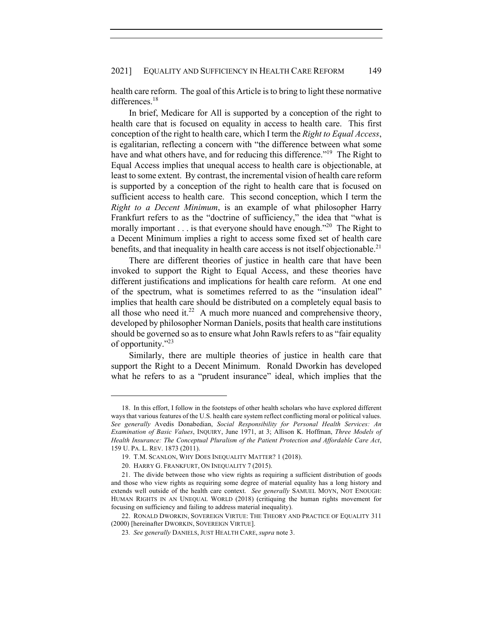## 2021] EQUALITY AND SUFFICIENCY IN HEALTH CARE REFORM 149

health care reform. The goal of this Article is to bring to light these normative differences.<sup>18</sup>

In brief, Medicare for All is supported by a conception of the right to health care that is focused on equality in access to health care. This first conception of the right to health care, which I term the *Right to Equal Access*, is egalitarian, reflecting a concern with "the difference between what some have and what others have, and for reducing this difference."<sup>19</sup> The Right to Equal Access implies that unequal access to health care is objectionable, at least to some extent. By contrast, the incremental vision of health care reform is supported by a conception of the right to health care that is focused on sufficient access to health care. This second conception, which I term the *Right to a Decent Minimum*, is an example of what philosopher Harry Frankfurt refers to as the "doctrine of sufficiency," the idea that "what is morally important . . . is that everyone should have enough."<sup>20</sup> The Right to a Decent Minimum implies a right to access some fixed set of health care benefits, and that inequality in health care access is not itself objectionable.<sup>21</sup>

There are different theories of justice in health care that have been invoked to support the Right to Equal Access, and these theories have different justifications and implications for health care reform. At one end of the spectrum, what is sometimes referred to as the "insulation ideal" implies that health care should be distributed on a completely equal basis to all those who need it.<sup>22</sup> A much more nuanced and comprehensive theory, developed by philosopher Norman Daniels, posits that health care institutions should be governed so as to ensure what John Rawls refers to as "fair equality of opportunity."23

Similarly, there are multiple theories of justice in health care that support the Right to a Decent Minimum. Ronald Dworkin has developed what he refers to as a "prudent insurance" ideal, which implies that the

<sup>18.</sup> In this effort, I follow in the footsteps of other health scholars who have explored different ways that various features of the U.S. health care system reflect conflicting moral or political values. *See generally* Avedis Donabedian, *Social Responsibility for Personal Health Services: An Examination of Basic Values*, INQUIRY, June 1971, at 3; Allison K. Hoffman, *Three Models of Health Insurance: The Conceptual Pluralism of the Patient Protection and Affordable Care Act*, 159 U. PA. L. REV. 1873 (2011).

<sup>19.</sup> T.M. SCANLON, WHY DOES INEQUALITY MATTER? 1 (2018).

<sup>20.</sup> HARRY G. FRANKFURT, ON INEQUALITY 7 (2015).

<sup>21.</sup> The divide between those who view rights as requiring a sufficient distribution of goods and those who view rights as requiring some degree of material equality has a long history and extends well outside of the health care context. *See generally* SAMUEL MOYN, NOT ENOUGH: HUMAN RIGHTS IN AN UNEQUAL WORLD (2018) (critiquing the human rights movement for focusing on sufficiency and failing to address material inequality).

<sup>22.</sup> RONALD DWORKIN, SOVEREIGN VIRTUE: THE THEORY AND PRACTICE OF EQUALITY 311 (2000) [hereinafter DWORKIN, SOVEREIGN VIRTUE].

<sup>23</sup>*. See generally* DANIELS, JUST HEALTH CARE, *supra* note 3.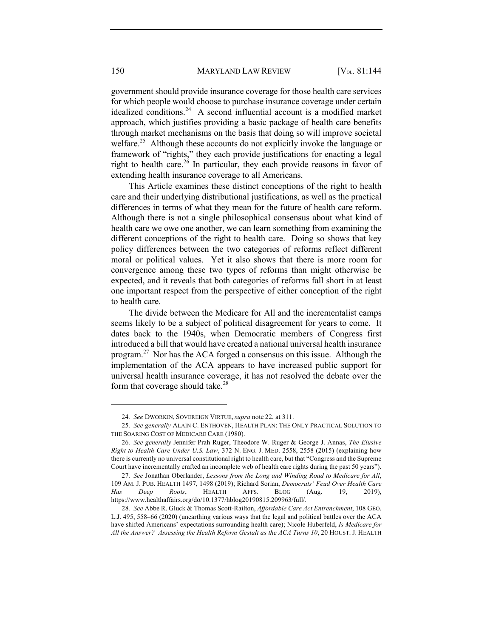government should provide insurance coverage for those health care services for which people would choose to purchase insurance coverage under certain idealized conditions.<sup>24</sup> A second influential account is a modified market approach, which justifies providing a basic package of health care benefits through market mechanisms on the basis that doing so will improve societal welfare.<sup>25</sup> Although these accounts do not explicitly invoke the language or framework of "rights," they each provide justifications for enacting a legal right to health care. <sup>26</sup> In particular, they each provide reasons in favor of extending health insurance coverage to all Americans.

This Article examines these distinct conceptions of the right to health care and their underlying distributional justifications, as well as the practical differences in terms of what they mean for the future of health care reform. Although there is not a single philosophical consensus about what kind of health care we owe one another, we can learn something from examining the different conceptions of the right to health care. Doing so shows that key policy differences between the two categories of reforms reflect different moral or political values. Yet it also shows that there is more room for convergence among these two types of reforms than might otherwise be expected, and it reveals that both categories of reforms fall short in at least one important respect from the perspective of either conception of the right to health care.

The divide between the Medicare for All and the incrementalist camps seems likely to be a subject of political disagreement for years to come. It dates back to the 1940s, when Democratic members of Congress first introduced a bill that would have created a national universal health insurance program.<sup>27</sup> Nor has the ACA forged a consensus on this issue. Although the implementation of the ACA appears to have increased public support for universal health insurance coverage, it has not resolved the debate over the form that coverage should take.<sup>28</sup>

<sup>24</sup>*. See* DWORKIN, SOVEREIGN VIRTUE, *supra* note 22, at 311.

<sup>25</sup>*. See generally* ALAIN C. ENTHOVEN, HEALTH PLAN: THE ONLY PRACTICAL SOLUTION TO THE SOARING COST OF MEDICARE CARE (1980).

<sup>26</sup>*. See generally* Jennifer Prah Ruger, Theodore W. Ruger & George J. Annas, *The Elusive Right to Health Care Under U.S. Law*, 372 N. ENG. J. MED. 2558, 2558 (2015) (explaining how there is currently no universal constitutional right to health care, but that "Congress and the Supreme Court have incrementally crafted an incomplete web of health care rights during the past 50 years").

<sup>27</sup>*. See* Jonathan Oberlander, *Lessons from the Long and Winding Road to Medicare for All*, 109 AM. J. PUB. HEALTH 1497, 1498 (2019); Richard Sorian, *Democrats' Feud Over Health Care Has Deep Roots*, HEALTH AFFS. BLOG (Aug. 19, 2019), https://www.healthaffairs.org/do/10.1377/hblog20190815.209963/full/.

<sup>28</sup>*. See* Abbe R. Gluck & Thomas Scott-Railton, *Affordable Care Act Entrenchment*, 108 GEO. L.J. 495, 558–66 (2020) (unearthing various ways that the legal and political battles over the ACA have shifted Americans' expectations surrounding health care); Nicole Huberfeld, *Is Medicare for All the Answer? Assessing the Health Reform Gestalt as the ACA Turns 10*, 20 HOUST. J. HEALTH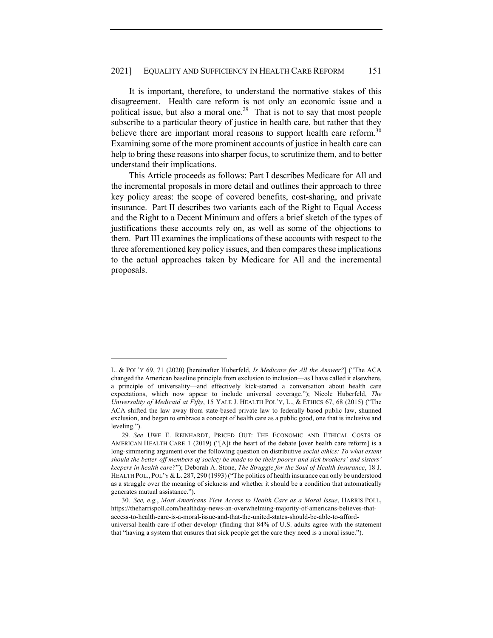### 2021] EQUALITY AND SUFFICIENCY IN HEALTH CARE REFORM 151

It is important, therefore, to understand the normative stakes of this disagreement. Health care reform is not only an economic issue and a political issue, but also a moral one.<sup>29</sup> That is not to say that most people subscribe to a particular theory of justice in health care, but rather that they believe there are important moral reasons to support health care reform.<sup>30</sup> Examining some of the more prominent accounts of justice in health care can help to bring these reasons into sharper focus, to scrutinize them, and to better understand their implications.

This Article proceeds as follows: Part I describes Medicare for All and the incremental proposals in more detail and outlines their approach to three key policy areas: the scope of covered benefits, cost-sharing, and private insurance. Part II describes two variants each of the Right to Equal Access and the Right to a Decent Minimum and offers a brief sketch of the types of justifications these accounts rely on, as well as some of the objections to them. Part III examines the implications of these accounts with respect to the three aforementioned key policy issues, and then compares these implications to the actual approaches taken by Medicare for All and the incremental proposals.

L. & POL'Y 69, 71 (2020) [hereinafter Huberfeld, *Is Medicare for All the Answer?*] ("The ACA changed the American baseline principle from exclusion to inclusion—as I have called it elsewhere, a principle of universality—and effectively kick-started a conversation about health care expectations, which now appear to include universal coverage."); Nicole Huberfeld, *The Universality of Medicaid at Fifty*, 15 YALE J. HEALTH POL'Y, L., & ETHICS 67, 68 (2015) ("The ACA shifted the law away from state-based private law to federally-based public law, shunned exclusion, and began to embrace a concept of health care as a public good, one that is inclusive and leveling.").

<sup>29</sup>*. See* UWE E. REINHARDT, PRICED OUT: THE ECONOMIC AND ETHICAL COSTS OF AMERICAN HEALTH CARE 1 (2019) ("[A]t the heart of the debate [over health care reform] is a long-simmering argument over the following question on distributive *social ethics: To what extent should the better-off members of society be made to be their poorer and sick brothers' and sisters' keepers in health care?*"); Deborah A. Stone, *The Struggle for the Soul of Health Insurance*, 18 J. HEALTH POL., POL'Y & L. 287, 290 (1993) ("The politics of health insurance can only be understood as a struggle over the meaning of sickness and whether it should be a condition that automatically generates mutual assistance.").

<sup>30</sup>*. See, e.g.*, *Most Americans View Access to Health Care as a Moral Issue*, HARRIS POLL, https://theharrispoll.com/healthday-news-an-overwhelming-majority-of-americans-believes-thataccess-to-health-care-is-a-moral-issue-and-that-the-united-states-should-be-able-to-afforduniversal-health-care-if-other-develop/ (finding that 84% of U.S. adults agree with the statement that "having a system that ensures that sick people get the care they need is a moral issue.").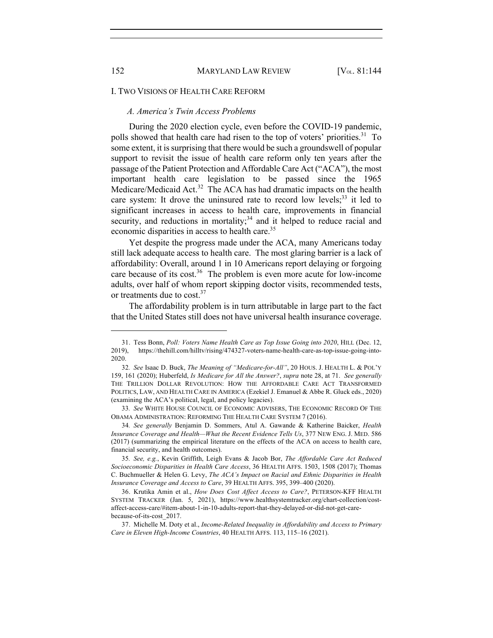#### I. TWO VISIONS OF HEALTH CARE REFORM

### *A. America's Twin Access Problems*

During the 2020 election cycle, even before the COVID-19 pandemic, polls showed that health care had risen to the top of voters' priorities.<sup>31</sup> To some extent, it is surprising that there would be such a groundswell of popular support to revisit the issue of health care reform only ten years after the passage of the Patient Protection and Affordable Care Act ("ACA"), the most important health care legislation to be passed since the 1965 Medicare/Medicaid Act.<sup>32</sup> The ACA has had dramatic impacts on the health care system: It drove the uninsured rate to record low levels;<sup>33</sup> it led to significant increases in access to health care, improvements in financial security, and reductions in mortality; $34$  and it helped to reduce racial and economic disparities in access to health care.<sup>35</sup>

Yet despite the progress made under the ACA, many Americans today still lack adequate access to health care. The most glaring barrier is a lack of affordability: Overall, around 1 in 10 Americans report delaying or forgoing care because of its cost.<sup>36</sup> The problem is even more acute for low-income adults, over half of whom report skipping doctor visits, recommended tests, or treatments due to  $cost.^{37}$ 

The affordability problem is in turn attributable in large part to the fact that the United States still does not have universal health insurance coverage.

<sup>31.</sup> Tess Bonn, *Poll: Voters Name Health Care as Top Issue Going into 2020*, HILL (Dec. 12, 2019), https://thehill.com/hilltv/rising/474327-voters-name-health-care-as-top-issue-going-into-2020.

<sup>32</sup>*. See* Isaac D. Buck, *The Meaning of "Medicare-for-All"*, 20 HOUS. J. HEALTH L. & POL'Y 159, 161 (2020); Huberfeld, *Is Medicare for All the Answer?*, *supra* note 28, at 71. *See generally* THE TRILLION DOLLAR REVOLUTION: HOW THE AFFORDABLE CARE ACT TRANSFORMED POLITICS, LAW, AND HEALTH CARE IN AMERICA (Ezekiel J. Emanuel & Abbe R. Gluck eds., 2020) (examining the ACA's political, legal, and policy legacies).

<sup>33</sup>*. See* WHITE HOUSE COUNCIL OF ECONOMIC ADVISERS, THE ECONOMIC RECORD OF THE OBAMA ADMINISTRATION: REFORMING THE HEALTH CARE SYSTEM 7 (2016).

<sup>34</sup>*. See generally* Benjamin D. Sommers, Atul A. Gawande & Katherine Baicker, *Health Insurance Coverage and Health—What the Recent Evidence Tells Us*, 377 NEW ENG. J. MED. 586 (2017) (summarizing the empirical literature on the effects of the ACA on access to health care, financial security, and health outcomes).

<sup>35</sup>*. See, e.g.*, Kevin Griffith, Leigh Evans & Jacob Bor, *The Affordable Care Act Reduced Socioeconomic Disparities in Health Care Access*, 36 HEALTH AFFS. 1503, 1508 (2017); Thomas C. Buchmueller & Helen G. Levy, *The ACA's Impact on Racial and Ethnic Disparities in Health Insurance Coverage and Access to Care*, 39 HEALTH AFFS. 395, 399–400 (2020).

<sup>36.</sup> Krutika Amin et al., *How Does Cost Affect Access to Care?*, PETERSON-KFF HEALTH SYSTEM TRACKER (Jan. 5, 2021), https://www.healthsystemtracker.org/chart-collection/costaffect-access-care/#item-about-1-in-10-adults-report-that-they-delayed-or-did-not-get-carebecause-of-its-cost\_2017.

<sup>37.</sup> Michelle M. Doty et al., *Income-Related Inequality in Affordability and Access to Primary Care in Eleven High-Income Countries*, 40 HEALTH AFFS. 113, 115–16 (2021).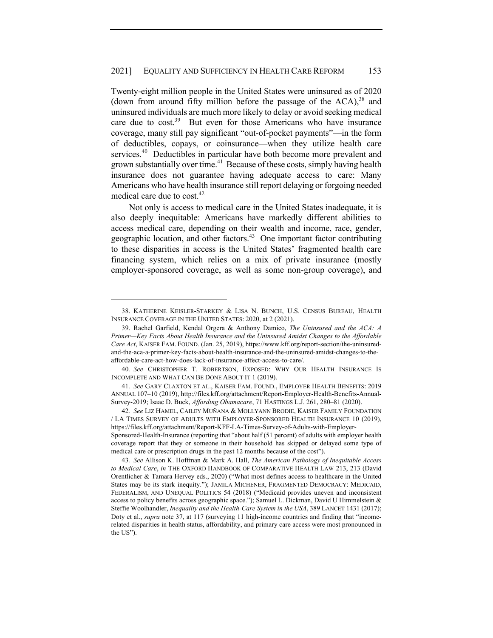Twenty-eight million people in the United States were uninsured as of 2020 (down from around fifty million before the passage of the  $ACA$ ),  $38$  and uninsured individuals are much more likely to delay or avoid seeking medical care due to cost.<sup>39</sup> But even for those Americans who have insurance coverage, many still pay significant "out-of-pocket payments"—in the form of deductibles, copays, or coinsurance—when they utilize health care services.<sup>40</sup> Deductibles in particular have both become more prevalent and grown substantially over time.<sup>41</sup> Because of these costs, simply having health insurance does not guarantee having adequate access to care: Many Americans who have health insurance still report delaying or forgoing needed medical care due to  $cost^{42}$ .

Not only is access to medical care in the United States inadequate, it is also deeply inequitable: Americans have markedly different abilities to access medical care, depending on their wealth and income, race, gender, geographic location, and other factors.<sup>43</sup> One important factor contributing to these disparities in access is the United States' fragmented health care financing system, which relies on a mix of private insurance (mostly employer-sponsored coverage, as well as some non-group coverage), and

<sup>38.</sup> KATHERINE KEISLER-STARKEY & LISA N. BUNCH, U.S. CENSUS BUREAU, HEALTH INSURANCE COVERAGE IN THE UNITED STATES: 2020, at 2 (2021).

<sup>39.</sup> Rachel Garfield, Kendal Orgera & Anthony Damico, *The Uninsured and the ACA: A Primer—Key Facts About Health Insurance and the Uninsured Amidst Changes to the Affordable Care Act*, KAISER FAM. FOUND. (Jan. 25, 2019), https://www.kff.org/report-section/the-uninsuredand-the-aca-a-primer-key-facts-about-health-insurance-and-the-uninsured-amidst-changes-to-theaffordable-care-act-how-does-lack-of-insurance-affect-access-to-care/.

<sup>40</sup>*. See* CHRISTOPHER T. ROBERTSON, EXPOSED: WHY OUR HEALTH INSURANCE IS INCOMPLETE AND WHAT CAN BE DONE ABOUT IT 1 (2019).

<sup>41</sup>*. See* GARY CLAXTON ET AL., KAISER FAM. FOUND., EMPLOYER HEALTH BENEFITS: 2019 ANNUAL 107–10 (2019), http://files.kff.org/attachment/Report-Employer-Health-Benefits-Annual-Survey-2019; Isaac D. Buck, *Affording Obamacare*, 71 HASTINGS L.J. 261, 280–81 (2020).

<sup>42</sup>*. See* LIZ HAMEL, CAILEY MUÑANA & MOLLYANN BRODIE, KAISER FAMILY FOUNDATION / LA TIMES SURVEY OF ADULTS WITH EMPLOYER-SPONSORED HEALTH INSURANCE 10 (2019), https://files.kff.org/attachment/Report-KFF-LA-Times-Survey-of-Adults-with-Employer-Sponsored-Health-Insurance (reporting that "about half (51 percent) of adults with employer health coverage report that they or someone in their household has skipped or delayed some type of medical care or prescription drugs in the past 12 months because of the cost").

<sup>43</sup>*. See* Allison K. Hoffman & Mark A. Hall, *The American Pathology of Inequitable Access to Medical Care*, *in* THE OXFORD HANDBOOK OF COMPARATIVE HEALTH LAW 213, 213 (David Orentlicher & Tamara Hervey eds., 2020) ("What most defines access to healthcare in the United States may be its stark inequity."); JAMILA MICHENER, FRAGMENTED DEMOCRACY: MEDICAID, FEDERALISM, AND UNEQUAL POLITICS 54 (2018) ("Medicaid provides uneven and inconsistent access to policy benefits across geographic space."); Samuel L. Dickman, David U Himmelstein & Steffie Woolhandler, *Inequality and the Health-Care System in the USA*, 389 LANCET 1431 (2017); Doty et al., *supra* note 37, at 117 (surveying 11 high-income countries and finding that "incomerelated disparities in health status, affordability, and primary care access were most pronounced in the US").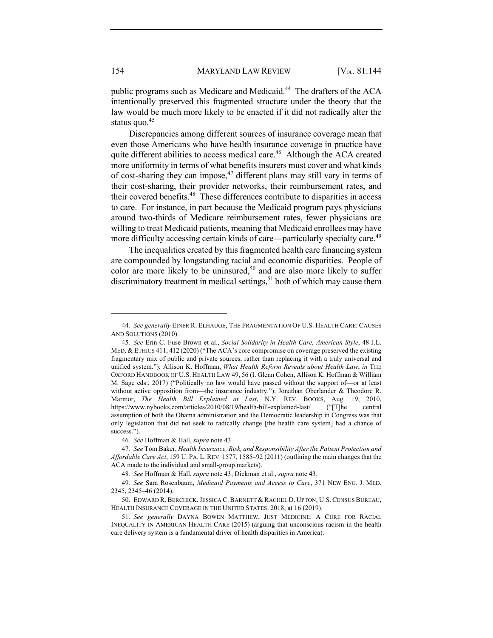public programs such as Medicare and Medicaid.<sup>44</sup> The drafters of the ACA intentionally preserved this fragmented structure under the theory that the law would be much more likely to be enacted if it did not radically alter the status quo.<sup>45</sup>

Discrepancies among different sources of insurance coverage mean that even those Americans who have health insurance coverage in practice have quite different abilities to access medical care.<sup>46</sup> Although the ACA created more uniformity in terms of what benefits insurers must cover and what kinds of cost-sharing they can impose, $47$  different plans may still vary in terms of their cost-sharing, their provider networks, their reimbursement rates, and their covered benefits.48 These differences contribute to disparities in access to care. For instance, in part because the Medicaid program pays physicians around two-thirds of Medicare reimbursement rates, fewer physicians are willing to treat Medicaid patients, meaning that Medicaid enrollees may have more difficulty accessing certain kinds of care—particularly specialty care.<sup>49</sup>

The inequalities created by this fragmented health care financing system are compounded by longstanding racial and economic disparities. People of color are more likely to be uninsured, $50$  and are also more likely to suffer  $dis$  discriminatory treatment in medical settings,  $51$  both of which may cause them

<sup>44</sup>*. See generally* EINER R. ELHAUGE, THE FRAGMENTATION OF U.S. HEALTH CARE: CAUSES AND SOLUTIONS (2010).

<sup>45</sup>*. See* Erin C. Fuse Brown et al., *Social Solidarity in Health Care, American-Style*, 48 J.L. MED. & ETHICS 411, 412 (2020) ("The ACA's core compromise on coverage preserved the existing fragmentary mix of public and private sources, rather than replacing it with a truly universal and unified system."); Allison K. Hoffman, *What Health Reform Reveals about Health Law*, *in* THE OXFORD HANDBOOK OF U.S. HEALTH LAW 49, 56 (I. Glenn Cohen, Allison K. Hoffman & William M. Sage eds., 2017) ("Politically no law would have passed without the support of—or at least without active opposition from—the insurance industry."); Jonathan Oberlander & Theodore R. Marmor, *The Health Bill Explained at Last*, N.Y. REV. BOOKS, Aug. 19, 2010, https://www.nybooks.com/articles/2010/08/19/health-bill-explained-last/ ("[T]he central assumption of both the Obama administration and the Democratic leadership in Congress was that only legislation that did not seek to radically change [the health care system] had a chance of success.").

<sup>46</sup>*. See* Hoffman & Hall, *supra* note 43.

<sup>47</sup>*. See* Tom Baker, *Health Insurance, Risk, and Responsibility After the Patient Protection and Affordable Care Act*, 159 U. PA. L. REV. 1577, 1585–92 (2011) (outlining the main changes that the ACA made to the individual and small-group markets).

<sup>48</sup>*. See* Hoffman & Hall, *supra* note 43; Dickman et al., *supra* note 43.

<sup>49</sup>*. See* Sara Rosenbaum, *Medicaid Payments and Access to Care*, 371 NEW ENG. J. MED. 2345, 2345–46 (2014).

<sup>50.</sup> EDWARD R.BERCHICK,JESSICA C.BARNETT & RACHEL D. UPTON, U.S.CENSUS BUREAU, HEALTH INSURANCE COVERAGE IN THE UNITED STATES: 2018, at 16 (2019).

<sup>51</sup>*. See generally* DAYNA BOWEN MATTHEW, JUST MEDICINE: A CURE FOR RACIAL INEQUALITY IN AMERICAN HEALTH CARE (2015) (arguing that unconscious racism in the health care delivery system is a fundamental driver of health disparities in America).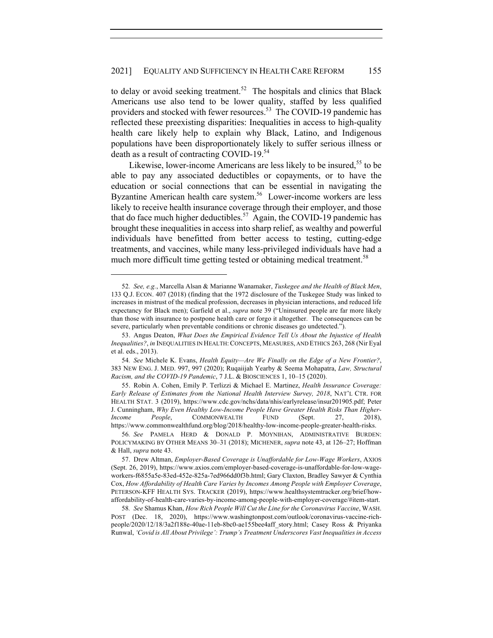to delay or avoid seeking treatment.<sup>52</sup> The hospitals and clinics that Black Americans use also tend to be lower quality, staffed by less qualified providers and stocked with fewer resources.<sup>53</sup> The COVID-19 pandemic has reflected these preexisting disparities: Inequalities in access to high-quality health care likely help to explain why Black, Latino, and Indigenous populations have been disproportionately likely to suffer serious illness or death as a result of contracting COVID-19.<sup>54</sup>

Likewise, lower-income Americans are less likely to be insured,<sup>55</sup> to be able to pay any associated deductibles or copayments, or to have the education or social connections that can be essential in navigating the Byzantine American health care system.<sup>56</sup> Lower-income workers are less likely to receive health insurance coverage through their employer, and those that do face much higher deductibles.<sup>57</sup> Again, the COVID-19 pandemic has brought these inequalities in access into sharp relief, as wealthy and powerful individuals have benefitted from better access to testing, cutting-edge treatments, and vaccines, while many less-privileged individuals have had a much more difficult time getting tested or obtaining medical treatment.<sup>58</sup>

<sup>52</sup>*. See, e.g.*, Marcella Alsan & Marianne Wanamaker, *Tuskegee and the Health of Black Men*, 133 Q.J. ECON. 407 (2018) (finding that the 1972 disclosure of the Tuskegee Study was linked to increases in mistrust of the medical profession, decreases in physician interactions, and reduced life expectancy for Black men); Garfield et al., *supra* note 39 ("Uninsured people are far more likely than those with insurance to postpone health care or forgo it altogether. The consequences can be severe, particularly when preventable conditions or chronic diseases go undetected.").

<sup>53.</sup> Angus Deaton, *What Does the Empirical Evidence Tell Us About the Injustice of Health Inequalities?*, *in* INEQUALITIES IN HEALTH:CONCEPTS, MEASURES, AND ETHICS 263, 268 (Nir Eyal et al. eds., 2013).

<sup>54</sup>*. See* Michele K. Evans, *Health Equity—Are We Finally on the Edge of a New Frontier?*, 383 NEW ENG. J. MED. 997, 997 (2020); Ruqaiijah Yearby & Seema Mohapatra, *Law, Structural Racism, and the COVID-19 Pandemic*, 7 J.L. & BIOSCIENCES 1, 10–15 (2020).

<sup>55.</sup> Robin A. Cohen, Emily P. Terlizzi & Michael E. Martinez, *Health Insurance Coverage: Early Release of Estimates from the National Health Interview Survey, 2018*, NAT'L CTR. FOR HEALTH STAT. 3 (2019), https://www.cdc.gov/nchs/data/nhis/earlyrelease/insur201905.pdf; Peter J. Cunningham, *Why Even Healthy Low-Income People Have Greater Health Risks Than Higher-Income People*, COMMONWEALTH FUND (Sept. 27, 2018), https://www.commonwealthfund.org/blog/2018/healthy-low-income-people-greater-health-risks.

<sup>56</sup>*. See* PAMELA HERD & DONALD P. MOYNIHAN, ADMINISTRATIVE BURDEN: POLICYMAKING BY OTHER MEANS 30–31 (2018); MICHENER, *supra* note 43, at 126–27; Hoffman & Hall, *supra* note 43.

<sup>57.</sup> Drew Altman, *Employer-Based Coverage is Unaffordable for Low-Wage Workers*, AXIOS (Sept. 26, 2019), https://www.axios.com/employer-based-coverage-is-unaffordable-for-low-wageworkers-f6855a5e-83ed-452e-825a-7ed966dd0f3b.html; Gary Claxton, Bradley Sawyer & Cynthia Cox, *How Affordability of Health Care Varies by Incomes Among People with Employer Coverage*, PETERSON-KFF HEALTH SYS. TRACKER (2019), https://www.healthsystemtracker.org/brief/howaffordability-of-health-care-varies-by-income-among-people-with-employer-coverage/#item-start.

<sup>58</sup>*. See* Shamus Khan, *How Rich People Will Cut the Line for the Coronavirus Vaccine*, WASH. POST (Dec. 18, 2020), https://www.washingtonpost.com/outlook/coronavirus-vaccine-richpeople/2020/12/18/3a2f188e-40ae-11eb-8bc0-ae155bee4aff\_story.html; Casey Ross & Priyanka Runwal, *'Covid is All About Privilege': Trump's Treatment Underscores Vast Inequalities in Access*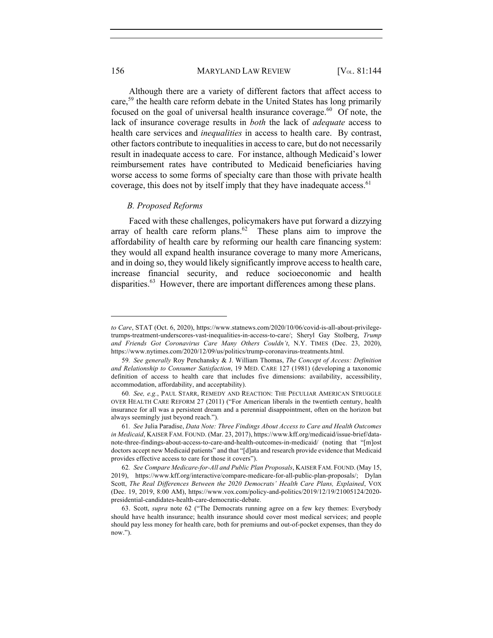156 MARYLAND LAW REVIEW [V<sub>OL.</sub> 81:144]

Although there are a variety of different factors that affect access to care,<sup>59</sup> the health care reform debate in the United States has long primarily focused on the goal of universal health insurance coverage. $60$  Of note, the lack of insurance coverage results in *both* the lack of *adequate* access to health care services and *inequalities* in access to health care. By contrast, other factors contribute to inequalities in access to care, but do not necessarily result in inadequate access to care. For instance, although Medicaid's lower reimbursement rates have contributed to Medicaid beneficiaries having worse access to some forms of specialty care than those with private health coverage, this does not by itself imply that they have inadequate access.<sup>61</sup>

#### *B. Proposed Reforms*

Faced with these challenges, policymakers have put forward a dizzying array of health care reform plans. $62$  These plans aim to improve the affordability of health care by reforming our health care financing system: they would all expand health insurance coverage to many more Americans, and in doing so, they would likely significantly improve access to health care, increase financial security, and reduce socioeconomic and health disparities.<sup>63</sup> However, there are important differences among these plans.

*to Care*, STAT (Oct. 6, 2020), https://www.statnews.com/2020/10/06/covid-is-all-about-privilegetrumps-treatment-underscores-vast-inequalities-in-access-to-care/; Sheryl Gay Stolberg, *Trump and Friends Got Coronavirus Care Many Others Couldn't*, N.Y. TIMES (Dec. 23, 2020), https://www.nytimes.com/2020/12/09/us/politics/trump-coronavirus-treatments.html.

<sup>59</sup>*. See generally* Roy Penchansky & J. William Thomas, *The Concept of Access: Definition and Relationship to Consumer Satisfaction*, 19 MED. CARE 127 (1981) (developing a taxonomic definition of access to health care that includes five dimensions: availability, accessibility, accommodation, affordability, and acceptability).

<sup>60</sup>*. See, e.g.*, PAUL STARR, REMEDY AND REACTION: THE PECULIAR AMERICAN STRUGGLE OVER HEALTH CARE REFORM 27 (2011) ("For American liberals in the twentieth century, health insurance for all was a persistent dream and a perennial disappointment, often on the horizon but always seemingly just beyond reach.").

<sup>61</sup>*. See* Julia Paradise, *Data Note: Three Findings About Access to Care and Health Outcomes in Medicaid*, KAISER FAM. FOUND. (Mar. 23, 2017), https://www.kff.org/medicaid/issue-brief/datanote-three-findings-about-access-to-care-and-health-outcomes-in-medicaid/ (noting that "[m]ost doctors accept new Medicaid patients" and that "[d]ata and research provide evidence that Medicaid provides effective access to care for those it covers").

<sup>62</sup>*. See Compare Medicare-for-All and Public Plan Proposals*, KAISER FAM. FOUND. (May 15, 2019), https://www.kff.org/interactive/compare-medicare-for-all-public-plan-proposals/; Dylan Scott, *The Real Differences Between the 2020 Democrats' Health Care Plans, Explained*, VOX (Dec. 19, 2019, 8:00 AM), https://www.vox.com/policy-and-politics/2019/12/19/21005124/2020 presidential-candidates-health-care-democratic-debate.

<sup>63.</sup> Scott, *supra* note 62 ("The Democrats running agree on a few key themes: Everybody should have health insurance; health insurance should cover most medical services; and people should pay less money for health care, both for premiums and out-of-pocket expenses, than they do now.").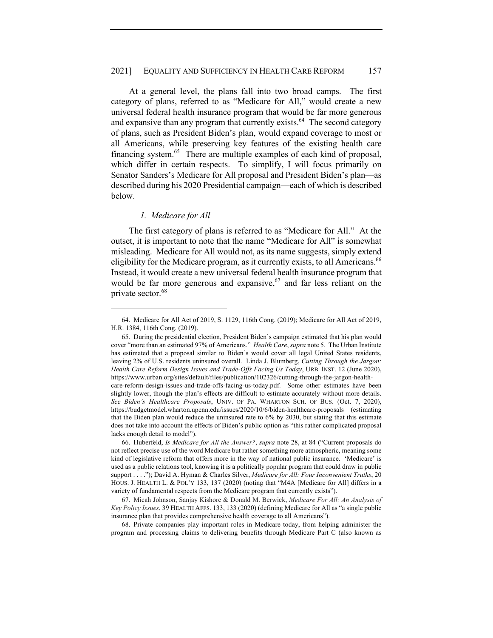#### 2021] EQUALITY AND SUFFICIENCY IN HEALTH CARE REFORM 157

At a general level, the plans fall into two broad camps. The first category of plans, referred to as "Medicare for All," would create a new universal federal health insurance program that would be far more generous and expansive than any program that currently exists.<sup>64</sup> The second category of plans, such as President Biden's plan, would expand coverage to most or all Americans, while preserving key features of the existing health care financing system. $65$  There are multiple examples of each kind of proposal, which differ in certain respects. To simplify, I will focus primarily on Senator Sanders's Medicare for All proposal and President Biden's plan—as described during his 2020 Presidential campaign—each of which is described below.

#### *1. Medicare for All*

The first category of plans is referred to as "Medicare for All." At the outset, it is important to note that the name "Medicare for All" is somewhat misleading. Medicare for All would not, as its name suggests, simply extend eligibility for the Medicare program, as it currently exists, to all Americans.<sup>66</sup> Instead, it would create a new universal federal health insurance program that would be far more generous and expansive,  $67$  and far less reliant on the private sector.<sup>68</sup>

68. Private companies play important roles in Medicare today, from helping administer the program and processing claims to delivering benefits through Medicare Part C (also known as

<sup>64.</sup> Medicare for All Act of 2019, S. 1129, 116th Cong. (2019); Medicare for All Act of 2019, H.R. 1384, 116th Cong. (2019).

<sup>65.</sup> During the presidential election, President Biden's campaign estimated that his plan would cover "more than an estimated 97% of Americans." *Health Care*, *supra* note 5. The Urban Institute has estimated that a proposal similar to Biden's would cover all legal United States residents, leaving 2% of U.S. residents uninsured overall. Linda J. Blumberg, *Cutting Through the Jargon: Health Care Reform Design Issues and Trade-Offs Facing Us Today*, URB. INST. 12 (June 2020), https://www.urban.org/sites/default/files/publication/102326/cutting-through-the-jargon-healthcare-reform-design-issues-and-trade-offs-facing-us-today.pdf. Some other estimates have been slightly lower, though the plan's effects are difficult to estimate accurately without more details. *See Biden's Healthcare Proposals*, UNIV. OF PA. WHARTON SCH. OF BUS. (Oct. 7, 2020), https://budgetmodel.wharton.upenn.edu/issues/2020/10/6/biden-healthcare-proposals (estimating that the Biden plan would reduce the uninsured rate to 6% by 2030, but stating that this estimate does not take into account the effects of Biden's public option as "this rather complicated proposal lacks enough detail to model").

<sup>66.</sup> Huberfeld, *Is Medicare for All the Answer?*, *supra* note 28, at 84 ("Current proposals do not reflect precise use of the word Medicare but rather something more atmospheric, meaning some kind of legislative reform that offers more in the way of national public insurance. 'Medicare' is used as a public relations tool, knowing it is a politically popular program that could draw in public support . . . ."); David A. Hyman & Charles Silver, *Medicare for All: Four Inconvenient Truths*, 20 HOUS. J. HEALTH L. & POL'Y 133, 137 (2020) (noting that "M4A [Medicare for All] differs in a variety of fundamental respects from the Medicare program that currently exists").

<sup>67.</sup> Micah Johnson, Sanjay Kishore & Donald M. Berwick, *Medicare For All: An Analysis of Key Policy Issues*, 39 HEALTH AFFS. 133, 133 (2020) (defining Medicare for All as "a single public insurance plan that provides comprehensive health coverage to all Americans").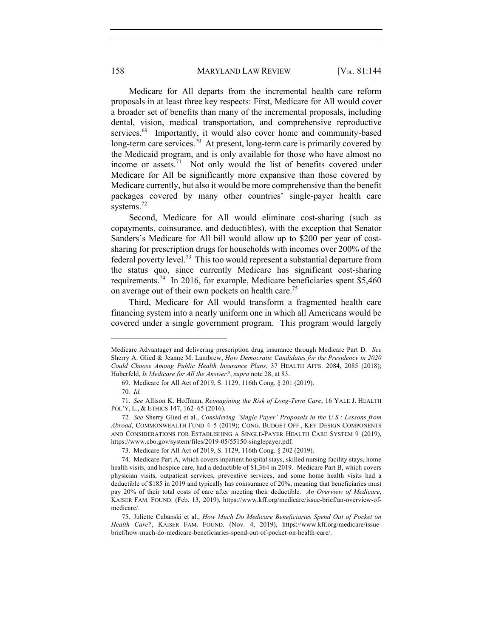158 MARYLAND LAW REVIEW [V<sub>OL.</sub> 81:144]

Medicare for All departs from the incremental health care reform proposals in at least three key respects: First, Medicare for All would cover a broader set of benefits than many of the incremental proposals, including dental, vision, medical transportation, and comprehensive reproductive services.<sup>69</sup> Importantly, it would also cover home and community-based long-term care services.<sup>70</sup> At present, long-term care is primarily covered by the Medicaid program, and is only available for those who have almost no income or assets.<sup>71</sup> Not only would the list of benefits covered under Medicare for All be significantly more expansive than those covered by Medicare currently, but also it would be more comprehensive than the benefit packages covered by many other countries' single-payer health care systems.<sup>72</sup>

Second, Medicare for All would eliminate cost-sharing (such as copayments, coinsurance, and deductibles), with the exception that Senator Sanders's Medicare for All bill would allow up to \$200 per year of costsharing for prescription drugs for households with incomes over 200% of the federal poverty level.73 This too would represent a substantial departure from the status quo, since currently Medicare has significant cost-sharing requirements.74 In 2016, for example, Medicare beneficiaries spent \$5,460 on average out of their own pockets on health care.<sup>75</sup>

Third, Medicare for All would transform a fragmented health care financing system into a nearly uniform one in which all Americans would be covered under a single government program. This program would largely

Medicare Advantage) and delivering prescription drug insurance through Medicare Part D. *See*  Sherry A. Glied & Jeanne M. Lambrew, *How Democratic Candidates for the Presidency in 2020 Could Choose Among Public Health Insurance Plans*, 37 HEALTH AFFS. 2084, 2085 (2018); Huberfeld, *Is Medicare for All the Answer?*, *supra* note 28, at 83.

<sup>69.</sup> Medicare for All Act of 2019, S. 1129, 116th Cong. § 201 (2019).

<sup>70</sup>*. Id.*

<sup>71.</sup> *See* Allison K. Hoffman, *Reimagining the Risk of Long-Term Care*, 16 YALE J. HEALTH POL'Y, L., & ETHICS 147, 162–65 (2016).

<sup>72</sup>*. See* Sherry Glied et al., *Considering 'Single Payer' Proposals in the U.S.: Lessons from Abroad*, COMMONWEALTH FUND 4–5 (2019); CONG. BUDGET OFF., KEY DESIGN COMPONENTS AND CONSIDERATIONS FOR ESTABLISHING A SINGLE-PAYER HEALTH CARE SYSTEM 9 (2019), https://www.cbo.gov/system/files/2019-05/55150-singlepayer.pdf.

<sup>73.</sup> Medicare for All Act of 2019, S. 1129, 116th Cong. § 202 (2019).

<sup>74.</sup> Medicare Part A, which covers inpatient hospital stays, skilled nursing facility stays, home health visits, and hospice care, had a deductible of \$1,364 in 2019. Medicare Part B, which covers physician visits, outpatient services, preventive services, and some home health visits had a deductible of \$185 in 2019 and typically has coinsurance of 20%, meaning that beneficiaries must pay 20% of their total costs of care after meeting their deductible. *An Overview of Medicare*, KAISER FAM. FOUND. (Feb. 13, 2019), https://www.kff.org/medicare/issue-brief/an-overview-ofmedicare/.

<sup>75.</sup> Juliette Cubanski et al., *How Much Do Medicare Beneficiaries Spend Out of Pocket on Health Care?*, KAISER FAM. FOUND. (Nov. 4, 2019), https://www.kff.org/medicare/issuebrief/how-much-do-medicare-beneficiaries-spend-out-of-pocket-on-health-care/.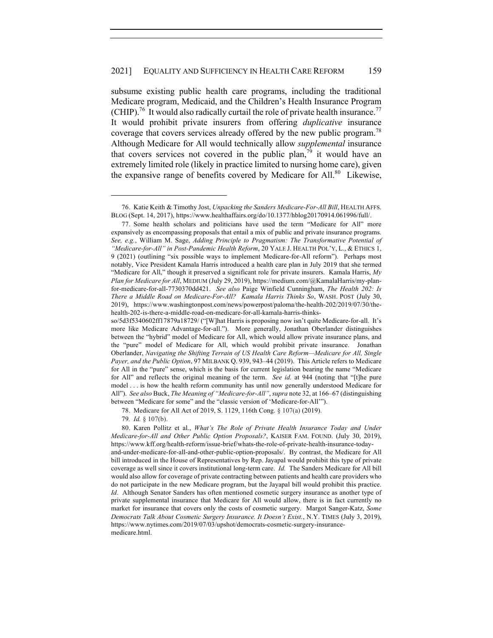subsume existing public health care programs, including the traditional Medicare program, Medicaid, and the Children's Health Insurance Program (CHIP).<sup>76</sup> It would also radically curtail the role of private health insurance.<sup>77</sup> It would prohibit private insurers from offering *duplicative* insurance coverage that covers services already offered by the new public program.<sup>78</sup> Although Medicare for All would technically allow *supplemental* insurance that covers services not covered in the public plan,<sup>79</sup> it would have an extremely limited role (likely in practice limited to nursing home care), given the expansive range of benefits covered by Medicare for All.<sup>80</sup> Likewise,

79*. Id.* § 107(b).

80. Karen Pollitz et al., *What's The Role of Private Health Insurance Today and Under Medicare-for-All and Other Public Option Proposals?*, KAISER FAM. FOUND. (July 30, 2019), https://www.kff.org/health-reform/issue-brief/whats-the-role-of-private-health-insurance-todayand-under-medicare-for-all-and-other-public-option-proposals/. By contrast, the Medicare for All bill introduced in the House of Representatives by Rep. Jayapal would prohibit this type of private coverage as well since it covers institutional long-term care. *Id.* The Sanders Medicare for All bill would also allow for coverage of private contracting between patients and health care providers who do not participate in the new Medicare program, but the Jayapal bill would prohibit this practice. *Id.* Although Senator Sanders has often mentioned cosmetic surgery insurance as another type of private supplemental insurance that Medicare for All would allow, there is in fact currently no market for insurance that covers only the costs of cosmetic surgery. Margot Sanger-Katz, *Some Democrats Talk About Cosmetic Surgery Insurance. It Doesn't Exist.*, N.Y. TIMES (July 3, 2019), https://www.nytimes.com/2019/07/03/upshot/democrats-cosmetic-surgery-insurancemedicare.html.

<sup>76.</sup> Katie Keith & Timothy Jost, *Unpacking the Sanders Medicare-For-All Bill*, HEALTH AFFS. BLOG (Sept. 14, 2017), https://www.healthaffairs.org/do/10.1377/hblog20170914.061996/full/.

<sup>77.</sup> Some health scholars and politicians have used the term "Medicare for All" more expansively as encompassing proposals that entail a mix of public and private insurance programs. *See, e.g.*, William M. Sage, *Adding Principle to Pragmatism: The Transformative Potential of "Medicare-for-All" in Post-Pandemic Health Reform*, 20 YALE J. HEALTH POL'Y, L., & ETHICS 1, 9 (2021) (outlining "six possible ways to implement Medicare-for-All reform"). Perhaps most notably, Vice President Kamala Harris introduced a health care plan in July 2019 that she termed "Medicare for All," though it preserved a significant role for private insurers. Kamala Harris, *My Plan for Medicare for All*, MEDIUM (July 29, 2019), https://medium.com/@KamalaHarris/my-planfor-medicare-for-all-7730370dd421. *See also* Paige Winfield Cunningham, *The Health 202: Is There a Middle Road on Medicare-For-All? Kamala Harris Thinks So*, WASH. POST (July 30, 2019), https://www.washingtonpost.com/news/powerpost/paloma/the-health-202/2019/07/30/thehealth-202-is-there-a-middle-road-on-medicare-for-all-kamala-harris-thinks-

so/5d3f5340602ff17879a18729/ ("[W]hat Harris is proposing now isn't quite Medicare-for-all. It's more like Medicare Advantage-for-all."). More generally, Jonathan Oberlander distinguishes between the "hybrid" model of Medicare for All, which would allow private insurance plans, and the "pure" model of Medicare for All, which would prohibit private insurance. Jonathan Oberlander, *Navigating the Shifting Terrain of US Health Care Reform—Medicare for All, Single Payer, and the Public Option*, 97 MILBANK Q. 939, 943–44 (2019). This Article refers to Medicare for All in the "pure" sense, which is the basis for current legislation bearing the name "Medicare for All" and reflects the original meaning of the term. *See id.* at 944 (noting that "[t]he pure model . . . is how the health reform community has until now generally understood Medicare for All"). *See also* Buck, *The Meaning of "Medicare-for-All"*, *supra* note 32, at 166–67 (distinguishing between "Medicare for some" and the "classic version of 'Medicare-for-All'").

<sup>78.</sup> Medicare for All Act of 2019, S. 1129, 116th Cong. § 107(a) (2019).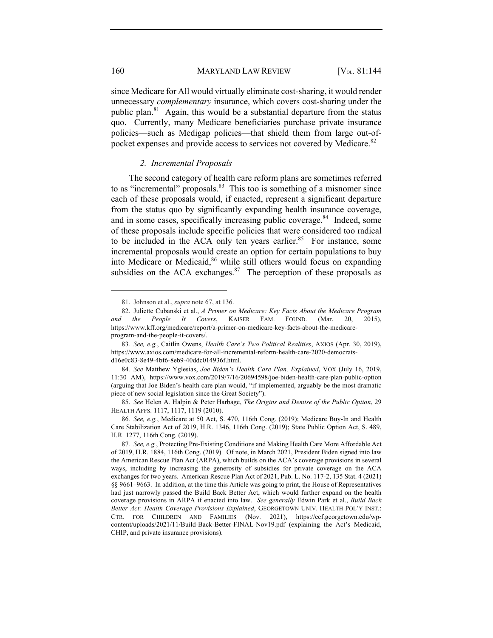160 MARYLAND LAW REVIEW [V<sub>OL.</sub> 81:144]

since Medicare for All would virtually eliminate cost-sharing, it would render unnecessary *complementary* insurance, which covers cost-sharing under the public plan.81 Again, this would be a substantial departure from the status quo. Currently, many Medicare beneficiaries purchase private insurance policies—such as Medigap policies—that shield them from large out-ofpocket expenses and provide access to services not covered by Medicare.<sup>82</sup>

#### *2. Incremental Proposals*

The second category of health care reform plans are sometimes referred to as "incremental" proposals. $83$  This too is something of a misnomer since each of these proposals would, if enacted, represent a significant departure from the status quo by significantly expanding health insurance coverage, and in some cases, specifically increasing public coverage.<sup>84</sup> Indeed, some of these proposals include specific policies that were considered too radical to be included in the ACA only ten years earlier.<sup>85</sup> For instance, some incremental proposals would create an option for certain populations to buy into Medicare or Medicaid,<sup>86</sup> while still others would focus on expanding subsidies on the ACA exchanges. $87$  The perception of these proposals as

<sup>81.</sup> Johnson et al., *supra* note 67, at 136.

<sup>82.</sup> Juliette Cubanski et al., *A Primer on Medicare: Key Facts About the Medicare Program and the People It Covers*, KAISER FAM. FOUND. (Mar. 20, 2015), https://www.kff.org/medicare/report/a-primer-on-medicare-key-facts-about-the-medicareprogram-and-the-people-it-covers/.

<sup>83</sup>*. See, e.g.*, Caitlin Owens, *Health Care's Two Political Realities*, AXIOS (Apr. 30, 2019), https://www.axios.com/medicare-for-all-incremental-reform-health-care-2020-democratsd16e0c83-8e49-4bf6-8eb9-40ddc014936f.html.

<sup>84</sup>*. See* Matthew Yglesias, *Joe Biden's Health Care Plan, Explained*, VOX (July 16, 2019, 11:30 AM), https://www.vox.com/2019/7/16/20694598/joe-biden-health-care-plan-public-option (arguing that Joe Biden's health care plan would, "if implemented, arguably be the most dramatic piece of new social legislation since the Great Society").

<sup>85.</sup> *See* Helen A. Halpin & Peter Harbage, *The Origins and Demise of the Public Option*, 29 HEALTH AFFS. 1117, 1117, 1119 (2010).

<sup>86</sup>*. See, e.g.*, Medicare at 50 Act, S. 470, 116th Cong. (2019); Medicare Buy-In and Health Care Stabilization Act of 2019, H.R. 1346, 116th Cong. (2019); State Public Option Act, S. 489, H.R. 1277, 116th Cong. (2019).

<sup>87</sup>*. See, e.g.*, Protecting Pre-Existing Conditions and Making Health Care More Affordable Act of 2019, H.R. 1884, 116th Cong. (2019). Of note, in March 2021, President Biden signed into law the American Rescue Plan Act (ARPA), which builds on the ACA's coverage provisions in several ways, including by increasing the generosity of subsidies for private coverage on the ACA exchanges for two years. American Rescue Plan Act of 2021, Pub. L. No. 117-2, 135 Stat. 4 (2021) §§ 9661–9663. In addition, at the time this Article was going to print, the House of Representatives had just narrowly passed the Build Back Better Act, which would further expand on the health coverage provisions in ARPA if enacted into law. *See generally* Edwin Park et al., *Build Back Better Act: Health Coverage Provisions Explained*, GEORGETOWN UNIV. HEALTH POL'Y INST.: CTR. FOR CHILDREN AND FAMILIES (Nov. 2021), https://ccf.georgetown.edu/wpcontent/uploads/2021/11/Build-Back-Better-FINAL-Nov19.pdf (explaining the Act's Medicaid, CHIP, and private insurance provisions).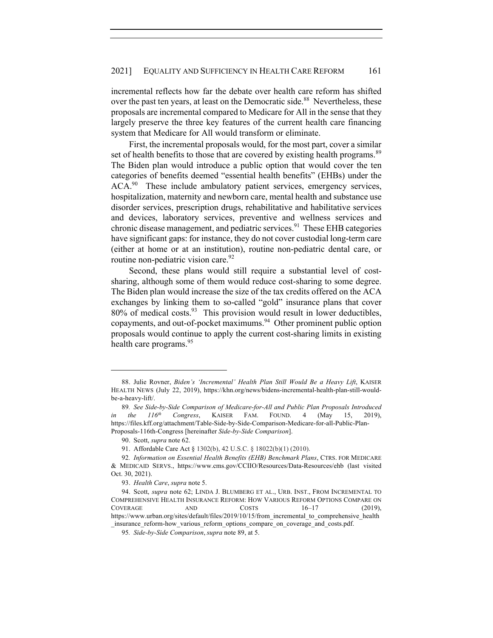# 2021] EQUALITY AND SUFFICIENCY IN HEALTH CARE REFORM 161

incremental reflects how far the debate over health care reform has shifted over the past ten years, at least on the Democratic side.<sup>88</sup> Nevertheless, these proposals are incremental compared to Medicare for All in the sense that they largely preserve the three key features of the current health care financing system that Medicare for All would transform or eliminate.

First, the incremental proposals would, for the most part, cover a similar set of health benefits to those that are covered by existing health programs.<sup>89</sup> The Biden plan would introduce a public option that would cover the ten categories of benefits deemed "essential health benefits" (EHBs) under the  $ACA<sup>90</sup>$  These include ambulatory patient services, emergency services, hospitalization, maternity and newborn care, mental health and substance use disorder services, prescription drugs, rehabilitative and habilitative services and devices, laboratory services, preventive and wellness services and chronic disease management, and pediatric services.<sup>91</sup> These EHB categories have significant gaps: for instance, they do not cover custodial long-term care (either at home or at an institution), routine non-pediatric dental care, or routine non-pediatric vision care.  $92$ 

Second, these plans would still require a substantial level of costsharing, although some of them would reduce cost-sharing to some degree. The Biden plan would increase the size of the tax credits offered on the ACA exchanges by linking them to so-called "gold" insurance plans that cover  $80\%$  of medical costs.<sup>93</sup> This provision would result in lower deductibles, copayments, and out-of-pocket maximums.<sup>94</sup> Other prominent public option proposals would continue to apply the current cost-sharing limits in existing health care programs.<sup>95</sup>

<sup>88.</sup> Julie Rovner, *Biden's 'Incremental' Health Plan Still Would Be a Heavy Lift*, KAISER HEALTH NEWS (July 22, 2019), https://khn.org/news/bidens-incremental-health-plan-still-wouldbe-a-heavy-lift/.

<sup>89</sup>*. See Side-by-Side Comparison of Medicare-for-All and Public Plan Proposals Introduced in the 116th Congress*, KAISER FAM. FOUND. 4 (May 15, 2019), https://files.kff.org/attachment/Table-Side-by-Side-Comparison-Medicare-for-all-Public-Plan-Proposals-116th-Congress [hereinafter *Side-by-Side Comparison*].

<sup>90.</sup> Scott, *supra* note 62.

<sup>91.</sup> Affordable Care Act § 1302(b), 42 U.S.C. § 18022(b)(1) (2010).

<sup>92</sup>*. Information on Essential Health Benefits (EHB) Benchmark Plans*, CTRS. FOR MEDICARE & MEDICAID SERVS., https://www.cms.gov/CCIIO/Resources/Data-Resources/ehb (last visited Oct. 30, 2021).

<sup>93.</sup> *Health Care*, *supra* note 5.

<sup>94.</sup> Scott, *supra* note 62; LINDA J. BLUMBERG ET AL., URB. INST., FROM INCREMENTAL TO COMPREHENSIVE HEALTH INSURANCE REFORM: HOW VARIOUS REFORM OPTIONS COMPARE ON COVERAGE AND COSTS  $16-17$  (2019), https://www.urban.org/sites/default/files/2019/10/15/from\_incremental\_to\_comprehensive\_health \_insurance\_reform-how\_various\_reform\_options\_compare\_on\_coverage\_and\_costs.pdf.

<sup>95</sup>*. Side-by-Side Comparison*, *supra* note 89, at 5.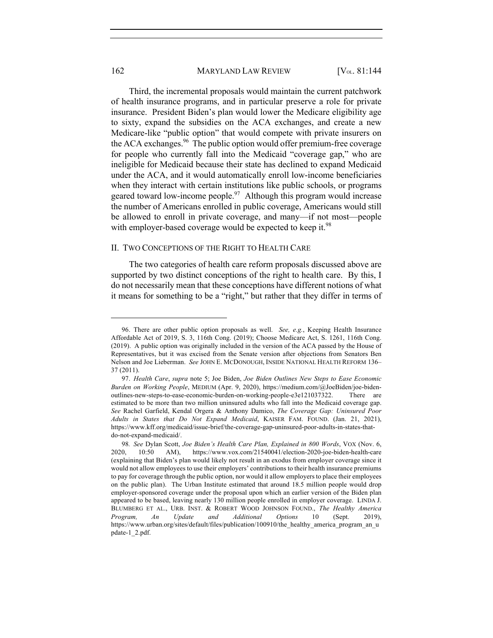### 162 MARYLAND LAW REVIEW [V<sub>OL.</sub> 81:144]

Third, the incremental proposals would maintain the current patchwork of health insurance programs, and in particular preserve a role for private insurance. President Biden's plan would lower the Medicare eligibility age to sixty, expand the subsidies on the ACA exchanges, and create a new Medicare-like "public option" that would compete with private insurers on the ACA exchanges. $96$  The public option would offer premium-free coverage for people who currently fall into the Medicaid "coverage gap," who are ineligible for Medicaid because their state has declined to expand Medicaid under the ACA, and it would automatically enroll low-income beneficiaries when they interact with certain institutions like public schools, or programs geared toward low-income people. $97$  Although this program would increase the number of Americans enrolled in public coverage, Americans would still be allowed to enroll in private coverage, and many—if not most—people with employer-based coverage would be expected to keep it.<sup>98</sup>

#### II. TWO CONCEPTIONS OF THE RIGHT TO HEALTH CARE

The two categories of health care reform proposals discussed above are supported by two distinct conceptions of the right to health care. By this, I do not necessarily mean that these conceptions have different notions of what it means for something to be a "right," but rather that they differ in terms of

<sup>96.</sup> There are other public option proposals as well. *See, e.g.*, Keeping Health Insurance Affordable Act of 2019, S. 3, 116th Cong. (2019); Choose Medicare Act, S. 1261, 116th Cong. (2019). A public option was originally included in the version of the ACA passed by the House of Representatives, but it was excised from the Senate version after objections from Senators Ben Nelson and Joe Lieberman. *See* JOHN E. MCDONOUGH, INSIDE NATIONAL HEALTH REFORM 136– 37 (2011).

<sup>97.</sup> *Health Care*, *supra* note 5; Joe Biden, *Joe Biden Outlines New Steps to Ease Economic Burden on Working People*, MEDIUM (Apr. 9, 2020), https://medium.com/@JoeBiden/joe-bidenoutlines-new-steps-to-ease-economic-burden-on-working-people-e3e121037322. There are estimated to be more than two million uninsured adults who fall into the Medicaid coverage gap. *See* Rachel Garfield, Kendal Orgera & Anthony Damico, *The Coverage Gap: Uninsured Poor Adults in States that Do Not Expand Medicaid*, KAISER FAM. FOUND. (Jan. 21, 2021), https://www.kff.org/medicaid/issue-brief/the-coverage-gap-uninsured-poor-adults-in-states-thatdo-not-expand-medicaid/.

<sup>98</sup>*. See* Dylan Scott, *Joe Biden's Health Care Plan, Explained in 800 Words*, VOX (Nov. 6, 2020, 10:50 AM), https://www.vox.com/21540041/election-2020-joe-biden-health-care (explaining that Biden's plan would likely not result in an exodus from employer coverage since it would not allow employees to use their employers' contributions to their health insurance premiums to pay for coverage through the public option, nor would it allow employers to place their employees on the public plan). The Urban Institute estimated that around 18.5 million people would drop employer-sponsored coverage under the proposal upon which an earlier version of the Biden plan appeared to be based, leaving nearly 130 million people enrolled in employer coverage. LINDA J. BLUMBERG ET AL., URB. INST. & ROBERT WOOD JOHNSON FOUND., *The Healthy America Program, An Update and Additional Options* 10 (Sept. 2019), https://www.urban.org/sites/default/files/publication/100910/the\_healthy\_america\_program\_an\_u pdate-1\_2.pdf.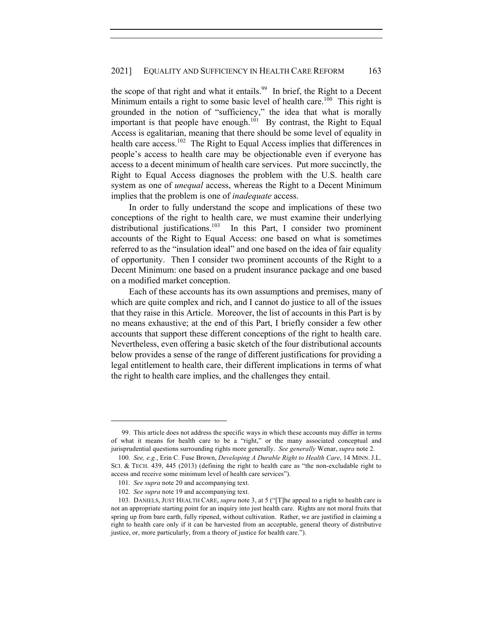## 2021] EQUALITY AND SUFFICIENCY IN HEALTH CARE REFORM 163

the scope of that right and what it entails.<sup>99</sup> In brief, the Right to a Decent Minimum entails a right to some basic level of health care.<sup>100</sup> This right is grounded in the notion of "sufficiency," the idea that what is morally important is that people have enough.<sup>101</sup> By contrast, the Right to Equal Access is egalitarian, meaning that there should be some level of equality in health care access.<sup>102</sup> The Right to Equal Access implies that differences in people's access to health care may be objectionable even if everyone has access to a decent minimum of health care services. Put more succinctly, the Right to Equal Access diagnoses the problem with the U.S. health care system as one of *unequal* access, whereas the Right to a Decent Minimum implies that the problem is one of *inadequate* access.

In order to fully understand the scope and implications of these two conceptions of the right to health care, we must examine their underlying distributional justifications.<sup>103</sup> In this Part, I consider two prominent accounts of the Right to Equal Access: one based on what is sometimes referred to as the "insulation ideal" and one based on the idea of fair equality of opportunity. Then I consider two prominent accounts of the Right to a Decent Minimum: one based on a prudent insurance package and one based on a modified market conception.

Each of these accounts has its own assumptions and premises, many of which are quite complex and rich, and I cannot do justice to all of the issues that they raise in this Article. Moreover, the list of accounts in this Part is by no means exhaustive; at the end of this Part, I briefly consider a few other accounts that support these different conceptions of the right to health care. Nevertheless, even offering a basic sketch of the four distributional accounts below provides a sense of the range of different justifications for providing a legal entitlement to health care, their different implications in terms of what the right to health care implies, and the challenges they entail.

<sup>99.</sup> This article does not address the specific ways in which these accounts may differ in terms of what it means for health care to be a "right," or the many associated conceptual and jurisprudential questions surrounding rights more generally. *See generally* Wenar, *supra* note 2.

<sup>100</sup>*. See, e.g.*, Erin C. Fuse Brown, *Developing A Durable Right to Health Care*, 14 MINN. J.L. SCI. & TECH. 439, 445 (2013) (defining the right to health care as "the non-excludable right to access and receive some minimum level of health care services").

<sup>101</sup>*. See supra* note 20 and accompanying text.

<sup>102</sup>*. See supra* note 19 and accompanying text.

<sup>103.</sup> DANIELS, JUST HEALTH CARE, *supra* note 3, at 5 ("[T]he appeal to a right to health care is not an appropriate starting point for an inquiry into just health care. Rights are not moral fruits that spring up from bare earth, fully ripened, without cultivation. Rather, we are justified in claiming a right to health care only if it can be harvested from an acceptable, general theory of distributive justice, or, more particularly, from a theory of justice for health care.").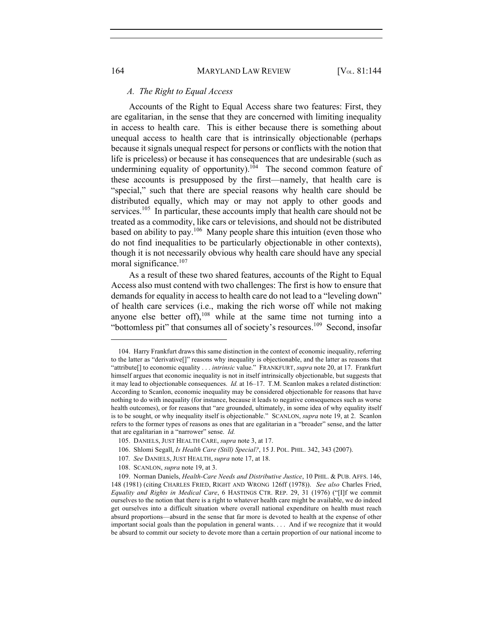#### *A. The Right to Equal Access*

Accounts of the Right to Equal Access share two features: First, they are egalitarian, in the sense that they are concerned with limiting inequality in access to health care. This is either because there is something about unequal access to health care that is intrinsically objectionable (perhaps because it signals unequal respect for persons or conflicts with the notion that life is priceless) or because it has consequences that are undesirable (such as undermining equality of opportunity).<sup>104</sup> The second common feature of these accounts is presupposed by the first—namely, that health care is "special," such that there are special reasons why health care should be distributed equally, which may or may not apply to other goods and services.<sup>105</sup> In particular, these accounts imply that health care should not be treated as a commodity, like cars or televisions, and should not be distributed based on ability to pay.106 Many people share this intuition (even those who do not find inequalities to be particularly objectionable in other contexts), though it is not necessarily obvious why health care should have any special moral significance.<sup>107</sup>

As a result of these two shared features, accounts of the Right to Equal Access also must contend with two challenges: The first is how to ensure that demands for equality in access to health care do not lead to a "leveling down" of health care services (i.e., making the rich worse off while not making anyone else better off),  $108$  while at the same time not turning into a "bottomless pit" that consumes all of society's resources.<sup>109</sup> Second, insofar

<sup>104.</sup> Harry Frankfurt draws this same distinction in the context of economic inequality, referring to the latter as "derivative[]" reasons why inequality is objectionable, and the latter as reasons that "attribute[] to economic equality . . . *intrinsic* value." FRANKFURT, *supra* note 20, at 17. Frankfurt himself argues that economic inequality is not in itself intrinsically objectionable, but suggests that it may lead to objectionable consequences. *Id.* at 16–17. T.M. Scanlon makes a related distinction: According to Scanlon, economic inequality may be considered objectionable for reasons that have nothing to do with inequality (for instance, because it leads to negative consequences such as worse health outcomes), or for reasons that "are grounded, ultimately, in some idea of why equality itself is to be sought, or why inequality itself is objectionable." SCANLON, *supra* note 19, at 2. Scanlon refers to the former types of reasons as ones that are egalitarian in a "broader" sense, and the latter that are egalitarian in a "narrower" sense. *Id.*

<sup>105.</sup> DANIELS, JUST HEALTH CARE, *supra* note 3, at 17.

<sup>106.</sup> Shlomi Segall, *Is Health Care (Still) Special?*, 15 J. POL. PHIL. 342, 343 (2007).

<sup>107</sup>*. See* DANIELS, JUST HEALTH, *supra* note 17, at 18.

<sup>108.</sup> SCANLON, *supra* note 19, at 3.

<sup>109.</sup> Norman Daniels, *Health-Care Needs and Distributive Justice*, 10 PHIL. & PUB. AFFS. 146, 148 (1981) (citing CHARLES FRIED, RIGHT AND WRONG 126ff (1978)). *See also* Charles Fried, *Equality and Rights in Medical Care*, 6 HASTINGS CTR. REP. 29, 31 (1976) ("[I]f we commit ourselves to the notion that there is a right to whatever health care might be available, we do indeed get ourselves into a difficult situation where overall national expenditure on health must reach absurd proportions—absurd in the sense that far more is devoted to health at the expense of other important social goals than the population in general wants. . . . And if we recognize that it would be absurd to commit our society to devote more than a certain proportion of our national income to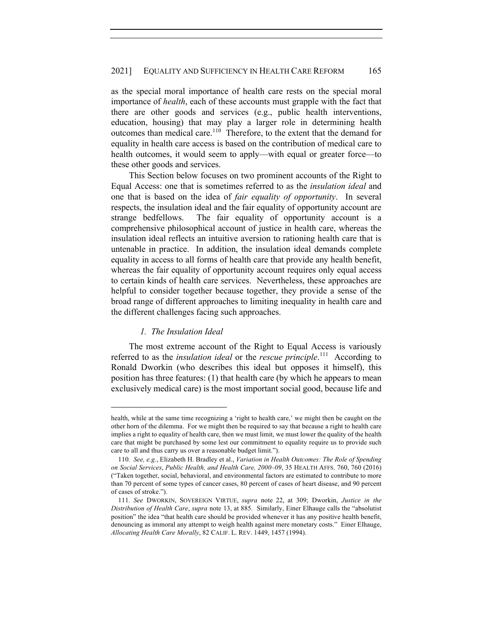as the special moral importance of health care rests on the special moral importance of *health*, each of these accounts must grapple with the fact that there are other goods and services (e.g., public health interventions, education, housing) that may play a larger role in determining health outcomes than medical care.<sup>110</sup> Therefore, to the extent that the demand for equality in health care access is based on the contribution of medical care to health outcomes, it would seem to apply—with equal or greater force—to these other goods and services.

This Section below focuses on two prominent accounts of the Right to Equal Access: one that is sometimes referred to as the *insulation ideal* and one that is based on the idea of *fair equality of opportunity*. In several respects, the insulation ideal and the fair equality of opportunity account are strange bedfellows. The fair equality of opportunity account is a comprehensive philosophical account of justice in health care, whereas the insulation ideal reflects an intuitive aversion to rationing health care that is untenable in practice. In addition, the insulation ideal demands complete equality in access to all forms of health care that provide any health benefit, whereas the fair equality of opportunity account requires only equal access to certain kinds of health care services. Nevertheless, these approaches are helpful to consider together because together, they provide a sense of the broad range of different approaches to limiting inequality in health care and the different challenges facing such approaches.

#### *1. The Insulation Ideal*

The most extreme account of the Right to Equal Access is variously referred to as the *insulation ideal* or the *rescue principle*.<sup>111</sup> According to Ronald Dworkin (who describes this ideal but opposes it himself), this position has three features: (1) that health care (by which he appears to mean exclusively medical care) is the most important social good, because life and

health, while at the same time recognizing a 'right to health care,' we might then be caught on the other horn of the dilemma. For we might then be required to say that because a right to health care implies a right to equality of health care, then we must limit, we must lower the quality of the health care that might be purchased by some lest our commitment to equality require us to provide such care to all and thus carry us over a reasonable budget limit.").

<sup>110</sup>*. See, e.g.*, Elizabeth H. Bradley et al., *Variation in Health Outcomes: The Role of Spending on Social Services*, *Public Health, and Health Care, 2000–09*, 35 HEALTH AFFS. 760, 760 (2016) ("Taken together, social, behavioral, and environmental factors are estimated to contribute to more than 70 percent of some types of cancer cases, 80 percent of cases of heart disease, and 90 percent of cases of stroke.").

<sup>111</sup>*. See* DWORKIN, SOVEREIGN VIRTUE, *supra* note 22, at 309; Dworkin, *Justice in the Distribution of Health Care*, *supra* note 13, at 885. Similarly, Einer Elhauge calls the "absolutist position" the idea "that health care should be provided whenever it has any positive health benefit, denouncing as immoral any attempt to weigh health against mere monetary costs." Einer Elhauge, *Allocating Health Care Morally*, 82 CALIF. L. REV. 1449, 1457 (1994).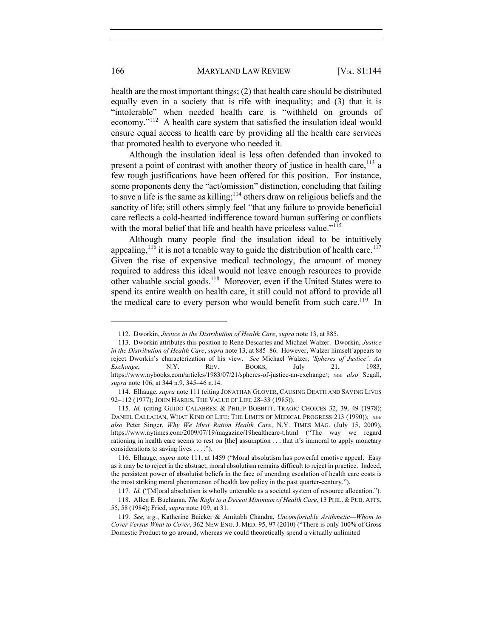health are the most important things; (2) that health care should be distributed equally even in a society that is rife with inequality; and (3) that it is "intolerable" when needed health care is "withheld on grounds of economy."112 A health care system that satisfied the insulation ideal would ensure equal access to health care by providing all the health care services that promoted health to everyone who needed it.

Although the insulation ideal is less often defended than invoked to present a point of contrast with another theory of justice in health care,  $^{113}$  a few rough justifications have been offered for this position. For instance, some proponents deny the "act/omission" distinction, concluding that failing to save a life is the same as killing; $114$  others draw on religious beliefs and the sanctity of life; still others simply feel "that any failure to provide beneficial care reflects a cold-hearted indifference toward human suffering or conflicts with the moral belief that life and health have priceless value."<sup>115</sup>

Although many people find the insulation ideal to be intuitively appealing,<sup>116</sup> it is not a tenable way to guide the distribution of health care.<sup>117</sup> Given the rise of expensive medical technology, the amount of money required to address this ideal would not leave enough resources to provide other valuable social goods.<sup>118</sup> Moreover, even if the United States were to spend its entire wealth on health care, it still could not afford to provide all the medical care to every person who would benefit from such care.<sup>119</sup> In

<sup>112.</sup> Dworkin, *Justice in the Distribution of Health Care*, *supra* note 13, at 885.

<sup>113.</sup> Dworkin attributes this position to Rene Descartes and Michael Walzer. Dworkin, *Justice in the Distribution of Health Care*, *supra* note 13, at 885–86. However, Walzer himself appears to reject Dworkin's characterization of his view. *See* Michael Walzer, *'Spheres of Justice': An Exchange*, N.Y. REV. BOOKS, July 21, 1983, https://www.nybooks.com/articles/1983/07/21/spheres-of-justice-an-exchange/; *see also* Segall, *supra* note 106, at 344 n.9, 345–46 n.14.

<sup>114.</sup> Elhauge, *supra* note 111 (citing JONATHAN GLOVER, CAUSING DEATH AND SAVING LIVES 92–112 (1977); JOHN HARRIS, THE VALUE OF LIFE 28–33 (1985)).

<sup>115</sup>*. Id.* (citing GUIDO CALABRESI & PHILIP BOBBITT, TRAGIC CHOICES 32, 39, 49 (1978); DANIEL CALLAHAN, WHAT KIND OF LIFE: THE LIMITS OF MEDICAL PROGRESS 213 (1990)); *see also* Peter Singer, *Why We Must Ration Health Care*, N.Y. TIMES MAG. (July 15, 2009), https://www.nytimes.com/2009/07/19/magazine/19healthcare-t.html ("The way we regard rationing in health care seems to rest on [the] assumption . . . that it's immoral to apply monetary considerations to saving lives . . . .").

<sup>116.</sup> Elhauge, *supra* note 111, at 1459 ("Moral absolutism has powerful emotive appeal. Easy as it may be to reject in the abstract, moral absolutism remains difficult to reject in practice. Indeed, the persistent power of absolutist beliefs in the face of unending escalation of health care costs is the most striking moral phenomenon of health law policy in the past quarter-century.").

<sup>117</sup>*. Id.* ("[M]oral absolutism is wholly untenable as a societal system of resource allocation.").

<sup>118.</sup> Allen E. Buchanan, *The Right to a Decent Minimum of Health Care*, 13 PHIL. & PUB. AFFS. 55, 58 (1984); Fried, *supra* note 109, at 31.

<sup>119</sup>*. See, e.g.*, Katherine Baicker & Amitabh Chandra, *Uncomfortable Arithmetic—Whom to Cover Versus What to Cover*, 362 NEW ENG. J. MED. 95, 97 (2010) ("There is only 100% of Gross Domestic Product to go around, whereas we could theoretically spend a virtually unlimited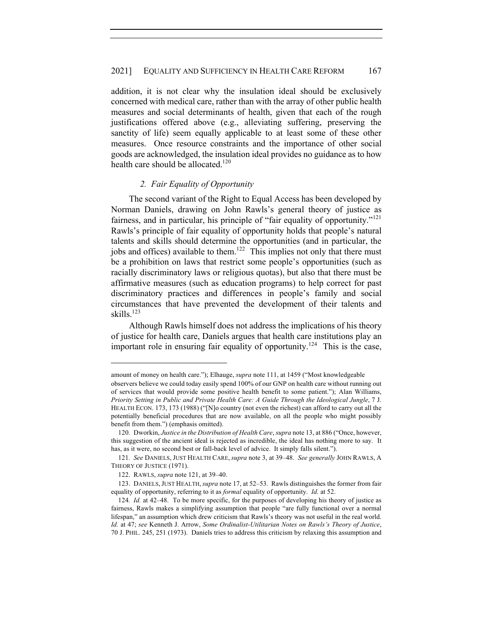addition, it is not clear why the insulation ideal should be exclusively concerned with medical care, rather than with the array of other public health measures and social determinants of health, given that each of the rough justifications offered above (e.g., alleviating suffering, preserving the sanctity of life) seem equally applicable to at least some of these other measures. Once resource constraints and the importance of other social goods are acknowledged, the insulation ideal provides no guidance as to how health care should be allocated.<sup>120</sup>

## *2. Fair Equality of Opportunity*

The second variant of the Right to Equal Access has been developed by Norman Daniels, drawing on John Rawls's general theory of justice as fairness, and in particular, his principle of "fair equality of opportunity."<sup>121</sup> Rawls's principle of fair equality of opportunity holds that people's natural talents and skills should determine the opportunities (and in particular, the jobs and offices) available to them.<sup>122</sup> This implies not only that there must be a prohibition on laws that restrict some people's opportunities (such as racially discriminatory laws or religious quotas), but also that there must be affirmative measures (such as education programs) to help correct for past discriminatory practices and differences in people's family and social circumstances that have prevented the development of their talents and skills.<sup>123</sup>

Although Rawls himself does not address the implications of his theory of justice for health care, Daniels argues that health care institutions play an important role in ensuring fair equality of opportunity.<sup>124</sup> This is the case,

amount of money on health care."); Elhauge, *supra* note 111, at 1459 ("Most knowledgeable observers believe we could today easily spend 100% of our GNP on health care without running out of services that would provide some positive health benefit to some patient."); Alan Williams, *Priority Setting in Public and Private Health Care: A Guide Through the Ideological Jungle*, 7 J. HEALTH ECON. 173, 173 (1988) ("[N]o country (not even the richest) can afford to carry out all the potentially beneficial procedures that are now available, on all the people who might possibly benefit from them.") (emphasis omitted).

<sup>120.</sup> Dworkin, *Justice in the Distribution of Health Care*, *supra* note 13, at 886 ("Once, however, this suggestion of the ancient ideal is rejected as incredible, the ideal has nothing more to say. It has, as it were, no second best or fall-back level of advice. It simply falls silent.").

<sup>121</sup>*. See* DANIELS, JUST HEALTH CARE, *supra* note 3, at 39–48. *See generally* JOHN RAWLS, A THEORY OF JUSTICE (1971).

<sup>122.</sup> RAWLS, *supra* note 121, at 39–40.

<sup>123.</sup> DANIELS,JUST HEALTH,*supra* note 17, at 52–53. Rawls distinguishes the former from fair equality of opportunity, referring to it as *formal* equality of opportunity. *Id.* at 52.

<sup>124</sup>*. Id.* at 42–48. To be more specific, for the purposes of developing his theory of justice as fairness, Rawls makes a simplifying assumption that people "are fully functional over a normal lifespan," an assumption which drew criticism that Rawls's theory was not useful in the real world. *Id.* at 47; *see* Kenneth J. Arrow, *Some Ordinalist-Utilitarian Notes on Rawls's Theory of Justice*, 70 J. PHIL. 245, 251 (1973). Daniels tries to address this criticism by relaxing this assumption and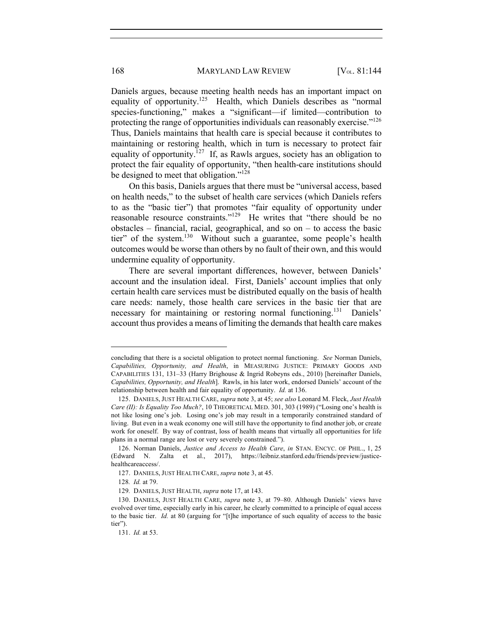Daniels argues, because meeting health needs has an important impact on equality of opportunity.125Health, which Daniels describes as "normal species-functioning," makes a "significant—if limited—contribution to protecting the range of opportunities individuals can reasonably exercise."<sup>126</sup> Thus, Daniels maintains that health care is special because it contributes to maintaining or restoring health, which in turn is necessary to protect fair equality of opportunity.<sup>127</sup> If, as Rawls argues, society has an obligation to protect the fair equality of opportunity, "then health-care institutions should be designed to meet that obligation."<sup>128</sup>

On this basis, Daniels argues that there must be "universal access, based on health needs," to the subset of health care services (which Daniels refers to as the "basic tier") that promotes "fair equality of opportunity under reasonable resource constraints."129 He writes that "there should be no obstacles – financial, racial, geographical, and so on – to access the basic tier" of the system.<sup>130</sup>Without such a guarantee, some people's health outcomes would be worse than others by no fault of their own, and this would undermine equality of opportunity.

There are several important differences, however, between Daniels' account and the insulation ideal. First, Daniels' account implies that only certain health care services must be distributed equally on the basis of health care needs: namely, those health care services in the basic tier that are necessary for maintaining or restoring normal functioning.<sup>131</sup> Daniels' account thus provides a means of limiting the demands that health care makes

concluding that there is a societal obligation to protect normal functioning. *See* Norman Daniels, *Capabilities, Opportunity, and Health*, in MEASURING JUSTICE: PRIMARY GOODS AND CAPABILITIES 131, 131–33 (Harry Brighouse & Ingrid Robeyns eds., 2010) [hereinafter Daniels, *Capabilities, Opportunity, and Health*]. Rawls, in his later work, endorsed Daniels' account of the relationship between health and fair equality of opportunity. *Id.* at 136.

<sup>125.</sup> DANIELS, JUST HEALTH CARE, *supra* note 3, at 45; *see also* Leonard M. Fleck, *Just Health Care (II): Is Equality Too Much?*, 10 THEORETICAL MED. 301, 303 (1989) ("Losing one's health is not like losing one's job. Losing one's job may result in a temporarily constrained standard of living. But even in a weak economy one will still have the opportunity to find another job, or create work for oneself. By way of contrast, loss of health means that virtually all opportunities for life plans in a normal range are lost or very severely constrained.").

<sup>126.</sup> Norman Daniels, *Justice and Access to Health Care*, *in* STAN. ENCYC. OF PHIL., 1, 25 (Edward N. Zalta et al., 2017), https://leibniz.stanford.edu/friends/preview/justicehealthcareaccess/.

<sup>127.</sup> DANIELS, JUST HEALTH CARE, *supra* note 3, at 45.

<sup>128</sup>*. Id.* at 79.

<sup>129</sup>*.* DANIELS, JUST HEALTH, *supra* note 17, at 143.

<sup>130.</sup> DANIELS, JUST HEALTH CARE, *supra* note 3, at 79–80. Although Daniels' views have evolved over time, especially early in his career, he clearly committed to a principle of equal access to the basic tier. *Id.* at 80 (arguing for "[t]he importance of such equality of access to the basic tier").

<sup>131.</sup> *Id.* at 53.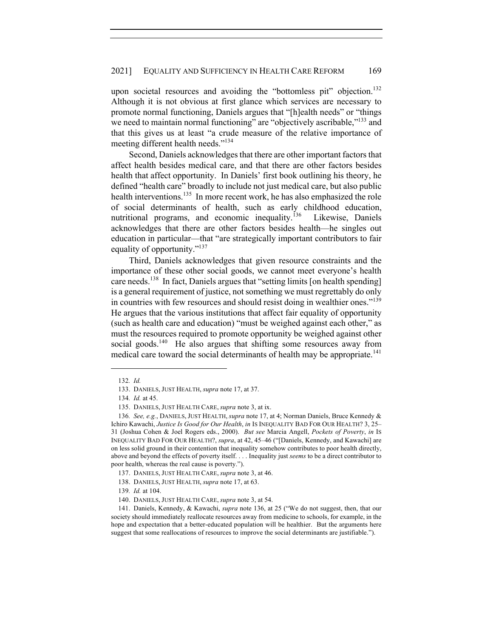upon societal resources and avoiding the "bottomless pit" objection.<sup>132</sup> Although it is not obvious at first glance which services are necessary to promote normal functioning, Daniels argues that "[h]ealth needs" or "things we need to maintain normal functioning" are "objectively ascribable,"<sup>133</sup> and that this gives us at least "a crude measure of the relative importance of meeting different health needs."<sup>134</sup>

Second, Daniels acknowledges that there are other important factors that affect health besides medical care, and that there are other factors besides health that affect opportunity. In Daniels' first book outlining his theory, he defined "health care" broadly to include not just medical care, but also public health interventions.<sup>135</sup> In more recent work, he has also emphasized the role of social determinants of health, such as early childhood education, nutritional programs, and economic inequality.136 Likewise, Daniels acknowledges that there are other factors besides health—he singles out education in particular—that "are strategically important contributors to fair equality of opportunity."<sup>137</sup>

Third, Daniels acknowledges that given resource constraints and the importance of these other social goods, we cannot meet everyone's health care needs.<sup>138</sup> In fact, Daniels argues that "setting limits [on health spending] is a general requirement of justice, not something we must regrettably do only in countries with few resources and should resist doing in wealthier ones."<sup>139</sup> He argues that the various institutions that affect fair equality of opportunity (such as health care and education) "must be weighed against each other," as must the resources required to promote opportunity be weighed against other social goods.<sup>140</sup> He also argues that shifting some resources away from medical care toward the social determinants of health may be appropriate.<sup>141</sup>

<sup>132</sup>*. Id.*

<sup>133.</sup> DANIELS, JUST HEALTH, *supra* note 17, at 37.

<sup>134</sup>*. Id.* at 45.

<sup>135.</sup> DANIELS, JUST HEALTH CARE, *supra* note 3, at ix.

<sup>136</sup>*. See, e.g.*, DANIELS, JUST HEALTH, *supra* note 17, at 4; Norman Daniels, Bruce Kennedy & Ichiro Kawachi, *Justice Is Good for Our Health*, *in* IS INEQUALITY BAD FOR OUR HEALTH? 3, 25– 31 (Joshua Cohen & Joel Rogers eds., 2000). *But see* Marcia Angell, *Pockets of Poverty*, *in* IS INEQUALITY BAD FOR OUR HEALTH?, *supra*, at 42, 45–46 ("[Daniels, Kennedy, and Kawachi] are on less solid ground in their contention that inequality somehow contributes to poor health directly, above and beyond the effects of poverty itself. . . . Inequality just *seems* to be a direct contributor to poor health, whereas the real cause is poverty.").

<sup>137.</sup> DANIELS, JUST HEALTH CARE, *supra* note 3, at 46.

<sup>138.</sup> DANIELS, JUST HEALTH, *supra* note 17, at 63.

<sup>139</sup>*. Id.* at 104.

<sup>140.</sup> DANIELS, JUST HEALTH CARE, *supra* note 3, at 54.

<sup>141.</sup> Daniels, Kennedy, & Kawachi, *supra* note 136, at 25 ("We do not suggest, then, that our society should immediately reallocate resources away from medicine to schools, for example, in the hope and expectation that a better-educated population will be healthier. But the arguments here suggest that some reallocations of resources to improve the social determinants are justifiable.").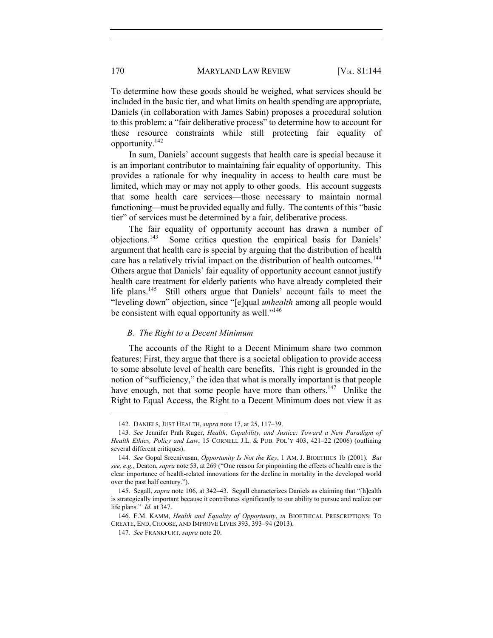To determine how these goods should be weighed, what services should be included in the basic tier, and what limits on health spending are appropriate, Daniels (in collaboration with James Sabin) proposes a procedural solution to this problem: a "fair deliberative process" to determine how to account for these resource constraints while still protecting fair equality of opportunity.142

In sum, Daniels' account suggests that health care is special because it is an important contributor to maintaining fair equality of opportunity. This provides a rationale for why inequality in access to health care must be limited, which may or may not apply to other goods. His account suggests that some health care services—those necessary to maintain normal functioning—must be provided equally and fully. The contents of this "basic tier" of services must be determined by a fair, deliberative process.

The fair equality of opportunity account has drawn a number of objections.143 Some critics question the empirical basis for Daniels' argument that health care is special by arguing that the distribution of health care has a relatively trivial impact on the distribution of health outcomes.<sup>144</sup> Others argue that Daniels' fair equality of opportunity account cannot justify health care treatment for elderly patients who have already completed their life plans.<sup>145</sup> Still others argue that Daniels' account fails to meet the "leveling down" objection, since "[e]qual *unhealth* among all people would be consistent with equal opportunity as well."<sup>146</sup>

### *B. The Right to a Decent Minimum*

The accounts of the Right to a Decent Minimum share two common features: First, they argue that there is a societal obligation to provide access to some absolute level of health care benefits. This right is grounded in the notion of "sufficiency," the idea that what is morally important is that people have enough, not that some people have more than others.<sup>147</sup> Unlike the Right to Equal Access, the Right to a Decent Minimum does not view it as

<sup>142.</sup> DANIELS, JUST HEALTH, *supra* note 17, at 25, 117–39.

<sup>143</sup>*. See* Jennifer Prah Ruger, *Health, Capability, and Justice: Toward a New Paradigm of Health Ethics, Policy and Law*, 15 CORNELL J.L. & PUB. POL'Y 403, 421–22 (2006) (outlining several different critiques).

<sup>144</sup>*. See* Gopal Sreenivasan, *Opportunity Is Not the Key*, 1 AM. J. BIOETHICS 1b (2001). *But see, e.g.,* Deaton, *supra* note 53, at 269 ("One reason for pinpointing the effects of health care is the clear importance of health-related innovations for the decline in mortality in the developed world over the past half century.").

<sup>145.</sup> Segall, *supra* note 106, at 342–43. Segall characterizes Daniels as claiming that "[h]ealth is strategically important because it contributes significantly to our ability to pursue and realize our life plans." *Id.* at 347.

<sup>146.</sup> F.M. KAMM, *Health and Equality of Opportunity*, *in* BIOETHICAL PRESCRIPTIONS: TO CREATE, END, CHOOSE, AND IMPROVE LIVES 393, 393–94 (2013).

<sup>147</sup>*. See* FRANKFURT, *supra* note 20.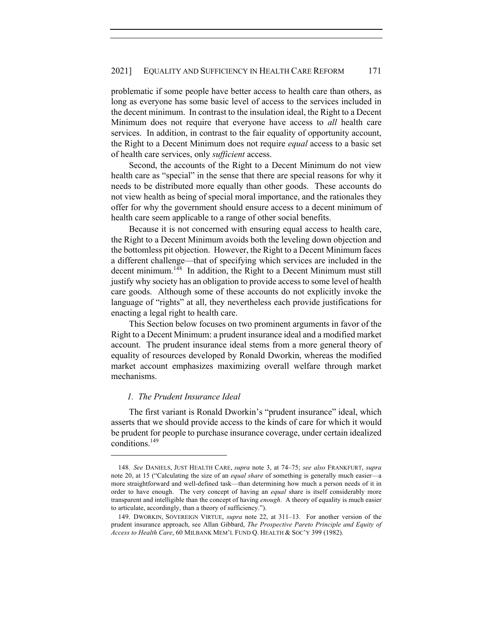problematic if some people have better access to health care than others, as long as everyone has some basic level of access to the services included in the decent minimum. In contrast to the insulation ideal, the Right to a Decent Minimum does not require that everyone have access to *all* health care services. In addition, in contrast to the fair equality of opportunity account, the Right to a Decent Minimum does not require *equal* access to a basic set of health care services, only *sufficient* access.

Second, the accounts of the Right to a Decent Minimum do not view health care as "special" in the sense that there are special reasons for why it needs to be distributed more equally than other goods. These accounts do not view health as being of special moral importance, and the rationales they offer for why the government should ensure access to a decent minimum of health care seem applicable to a range of other social benefits.

Because it is not concerned with ensuring equal access to health care, the Right to a Decent Minimum avoids both the leveling down objection and the bottomless pit objection. However, the Right to a Decent Minimum faces a different challenge—that of specifying which services are included in the decent minimum.<sup>148</sup> In addition, the Right to a Decent Minimum must still justify why society has an obligation to provide access to some level of health care goods. Although some of these accounts do not explicitly invoke the language of "rights" at all, they nevertheless each provide justifications for enacting a legal right to health care.

This Section below focuses on two prominent arguments in favor of the Right to a Decent Minimum: a prudent insurance ideal and a modified market account. The prudent insurance ideal stems from a more general theory of equality of resources developed by Ronald Dworkin, whereas the modified market account emphasizes maximizing overall welfare through market mechanisms.

## *1. The Prudent Insurance Ideal*

The first variant is Ronald Dworkin's "prudent insurance" ideal, which asserts that we should provide access to the kinds of care for which it would be prudent for people to purchase insurance coverage, under certain idealized conditions.<sup>149</sup>

<sup>148</sup>*. See* DANIELS, JUST HEALTH CARE, *supra* note 3, at 74–75; *see also* FRANKFURT, *supra* note 20, at 15 ("Calculating the size of an *equal share* of something is generally much easier—a more straightforward and well-defined task—than determining how much a person needs of it in order to have enough. The very concept of having an *equal* share is itself considerably more transparent and intelligible than the concept of having *enough*. A theory of equality is much easier to articulate, accordingly, than a theory of sufficiency.").

<sup>149.</sup> DWORKIN, SOVEREIGN VIRTUE, *supra* note 22, at 311–13. For another version of the prudent insurance approach, see Allan Gibbard, *The Prospective Pareto Principle and Equity of Access to Health Care*, 60 MILBANK MEM'L FUND Q. HEALTH & SOC'Y 399 (1982).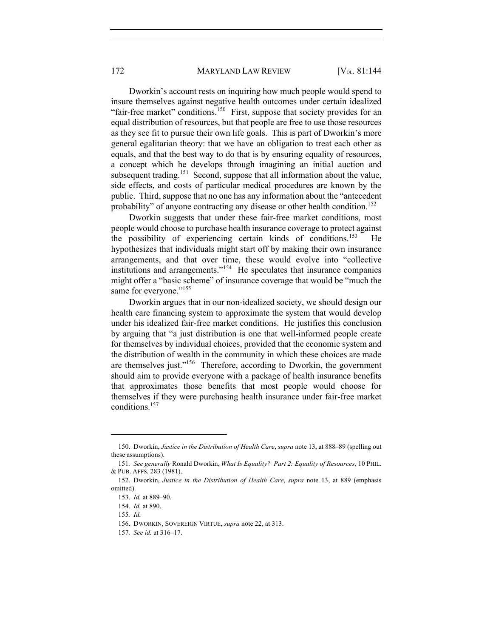172 MARYLAND LAW REVIEW [V<sub>OL.</sub> 81:144]

Dworkin's account rests on inquiring how much people would spend to insure themselves against negative health outcomes under certain idealized "fair-free market" conditions.<sup>150</sup> First, suppose that society provides for an equal distribution of resources, but that people are free to use those resources as they see fit to pursue their own life goals. This is part of Dworkin's more general egalitarian theory: that we have an obligation to treat each other as equals, and that the best way to do that is by ensuring equality of resources, a concept which he develops through imagining an initial auction and subsequent trading.<sup>151</sup> Second, suppose that all information about the value, side effects, and costs of particular medical procedures are known by the public. Third, suppose that no one has any information about the "antecedent probability" of anyone contracting any disease or other health condition.<sup>152</sup>

Dworkin suggests that under these fair-free market conditions, most people would choose to purchase health insurance coverage to protect against the possibility of experiencing certain kinds of conditions.153 He hypothesizes that individuals might start off by making their own insurance arrangements, and that over time, these would evolve into "collective institutions and arrangements."154 He speculates that insurance companies might offer a "basic scheme" of insurance coverage that would be "much the same for everyone."<sup>155</sup>

Dworkin argues that in our non-idealized society, we should design our health care financing system to approximate the system that would develop under his idealized fair-free market conditions. He justifies this conclusion by arguing that "a just distribution is one that well-informed people create for themselves by individual choices, provided that the economic system and the distribution of wealth in the community in which these choices are made are themselves just."156 Therefore, according to Dworkin, the government should aim to provide everyone with a package of health insurance benefits that approximates those benefits that most people would choose for themselves if they were purchasing health insurance under fair-free market conditions.157

<sup>150.</sup> Dworkin, *Justice in the Distribution of Health Care*, *supra* note 13, at 888–89 (spelling out these assumptions).

<sup>151</sup>*. See generally* Ronald Dworkin, *What Is Equality? Part 2: Equality of Resources*, 10 PHIL. & PUB. AFFS. 283 (1981).

<sup>152.</sup> Dworkin, *Justice in the Distribution of Health Care*, *supra* note 13, at 889 (emphasis omitted).

<sup>153</sup>*. Id.* at 889–90.

<sup>154</sup>*. Id.* at 890.

<sup>155</sup>*. Id.* 

<sup>156.</sup> DWORKIN, SOVEREIGN VIRTUE, *supra* note 22, at 313.

<sup>157</sup>*. See id.* at 316–17.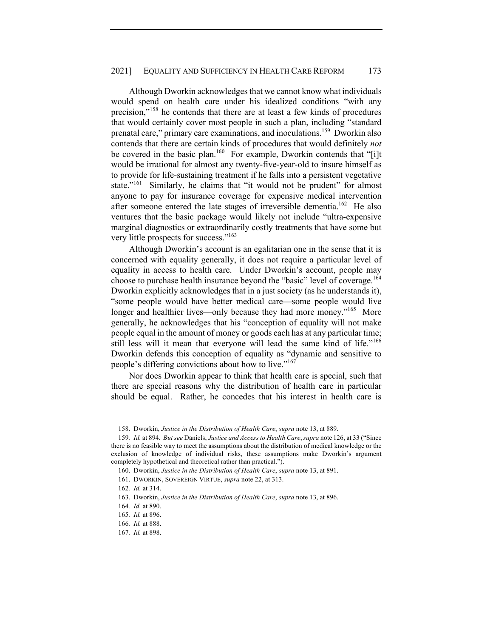### 2021] EQUALITY AND SUFFICIENCY IN HEALTH CARE REFORM 173

Although Dworkin acknowledges that we cannot know what individuals would spend on health care under his idealized conditions "with any precision,"<sup>158</sup> he contends that there are at least a few kinds of procedures that would certainly cover most people in such a plan, including "standard prenatal care," primary care examinations, and inoculations.<sup>159</sup> Dworkin also contends that there are certain kinds of procedures that would definitely *not* be covered in the basic plan.<sup>160</sup> For example, Dworkin contends that "[i]t would be irrational for almost any twenty-five-year-old to insure himself as to provide for life-sustaining treatment if he falls into a persistent vegetative state."<sup>161</sup> Similarly, he claims that "it would not be prudent" for almost anyone to pay for insurance coverage for expensive medical intervention after someone entered the late stages of irreversible dementia.<sup>162</sup> He also ventures that the basic package would likely not include "ultra-expensive marginal diagnostics or extraordinarily costly treatments that have some but very little prospects for success."<sup>163</sup>

Although Dworkin's account is an egalitarian one in the sense that it is concerned with equality generally, it does not require a particular level of equality in access to health care. Under Dworkin's account, people may choose to purchase health insurance beyond the "basic" level of coverage.<sup>164</sup> Dworkin explicitly acknowledges that in a just society (as he understands it), "some people would have better medical care—some people would live longer and healthier lives—only because they had more money."<sup>165</sup> More generally, he acknowledges that his "conception of equality will not make people equal in the amount of money or goods each has at any particular time; still less will it mean that everyone will lead the same kind of life."<sup>166</sup> Dworkin defends this conception of equality as "dynamic and sensitive to people's differing convictions about how to live."<sup>167</sup>

Nor does Dworkin appear to think that health care is special, such that there are special reasons why the distribution of health care in particular should be equal. Rather, he concedes that his interest in health care is

<sup>158.</sup> Dworkin, *Justice in the Distribution of Health Care*, *supra* note 13, at 889.

<sup>159</sup>*. Id.* at 894. *But see* Daniels, *Justice and Access to Health Care*, *supra* note 126, at 33 ("Since there is no feasible way to meet the assumptions about the distribution of medical knowledge or the exclusion of knowledge of individual risks, these assumptions make Dworkin's argument completely hypothetical and theoretical rather than practical.").

<sup>160.</sup> Dworkin, *Justice in the Distribution of Health Care*, *supra* note 13, at 891.

<sup>161.</sup> DWORKIN, SOVEREIGN VIRTUE, *supra* note 22, at 313.

<sup>162</sup>*. Id.* at 314.

<sup>163.</sup> Dworkin, *Justice in the Distribution of Health Care*, *supra* note 13, at 896.

<sup>164</sup>*. Id.* at 890.

<sup>165</sup>*. Id.* at 896.

<sup>166</sup>*. Id.* at 888.

<sup>167</sup>*. Id.* at 898.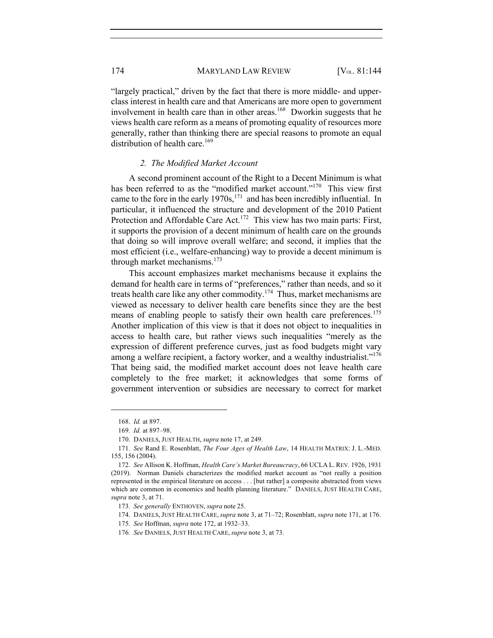174 MARYLAND LAW REVIEW [V<sub>OL.</sub> 81:144]

"largely practical," driven by the fact that there is more middle- and upperclass interest in health care and that Americans are more open to government involvement in health care than in other areas.<sup>168</sup> Dworkin suggests that he views health care reform as a means of promoting equality of resources more generally, rather than thinking there are special reasons to promote an equal distribution of health care.<sup>169</sup>

#### *2. The Modified Market Account*

A second prominent account of the Right to a Decent Minimum is what has been referred to as the "modified market account."<sup>170</sup> This view first came to the fore in the early  $1970s$ ,<sup>171</sup> and has been incredibly influential. In particular, it influenced the structure and development of the 2010 Patient Protection and Affordable Care Act.<sup>172</sup> This view has two main parts: First, it supports the provision of a decent minimum of health care on the grounds that doing so will improve overall welfare; and second, it implies that the most efficient (i.e., welfare-enhancing) way to provide a decent minimum is through market mechanisms.<sup>173</sup>

This account emphasizes market mechanisms because it explains the demand for health care in terms of "preferences," rather than needs, and so it treats health care like any other commodity.<sup>174</sup> Thus, market mechanisms are viewed as necessary to deliver health care benefits since they are the best means of enabling people to satisfy their own health care preferences.<sup>175</sup> Another implication of this view is that it does not object to inequalities in access to health care, but rather views such inequalities "merely as the expression of different preference curves, just as food budgets might vary among a welfare recipient, a factory worker, and a wealthy industrialist."<sup>176</sup> That being said, the modified market account does not leave health care completely to the free market; it acknowledges that some forms of government intervention or subsidies are necessary to correct for market

<sup>168.</sup> *Id.* at 897.

<sup>169</sup>*. Id.* at 897–98.

<sup>170.</sup> DANIELS, JUST HEALTH, *supra* note 17, at 249.

<sup>171</sup>*. See* Rand E. Rosenblatt, *The Four Ages of Health Law*, 14 HEALTH MATRIX: J. L.-MED. 155, 156 (2004).

<sup>172</sup>*. See* Allison K. Hoffman, *Health Care's Market Bureaucracy*, 66 UCLA L.REV. 1926, 1931 (2019). Norman Daniels characterizes the modified market account as "not really a position represented in the empirical literature on access . . . [but rather] a composite abstracted from views which are common in economics and health planning literature." DANIELS, JUST HEALTH CARE, *supra* note 3, at 71.

<sup>173</sup>*. See generally* ENTHOVEN, *supra* note 25.

<sup>174.</sup> DANIELS, JUST HEALTH CARE, *supra* note 3, at 71–72; Rosenblatt, *supra* note 171, at 176.

<sup>175</sup>*. See* Hoffman, *supra* note 172, at 1932–33.

<sup>176</sup>*. See* DANIELS, JUST HEALTH CARE, *supra* note 3, at 73.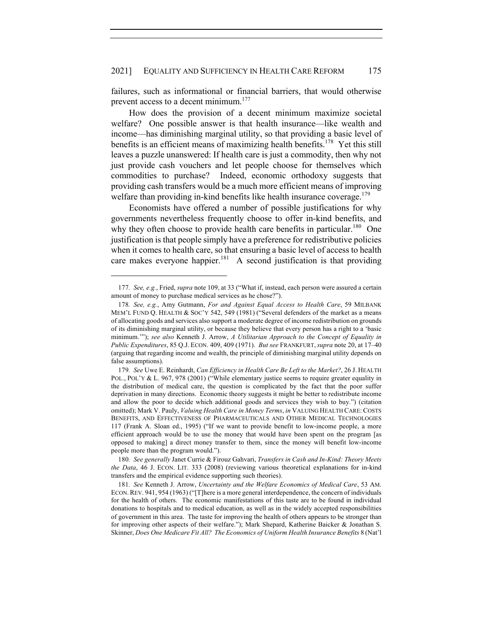failures, such as informational or financial barriers, that would otherwise prevent access to a decent minimum.<sup>177</sup>

How does the provision of a decent minimum maximize societal welfare? One possible answer is that health insurance—like wealth and income—has diminishing marginal utility, so that providing a basic level of benefits is an efficient means of maximizing health benefits.<sup>178</sup> Yet this still leaves a puzzle unanswered: If health care is just a commodity, then why not just provide cash vouchers and let people choose for themselves which commodities to purchase? Indeed, economic orthodoxy suggests that providing cash transfers would be a much more efficient means of improving welfare than providing in-kind benefits like health insurance coverage.<sup>179</sup>

Economists have offered a number of possible justifications for why governments nevertheless frequently choose to offer in-kind benefits, and why they often choose to provide health care benefits in particular.<sup>180</sup> One justification is that people simply have a preference for redistributive policies when it comes to health care, so that ensuring a basic level of access to health care makes everyone happier.<sup>181</sup> A second justification is that providing

<sup>177</sup>*. See, e.g.*, Fried, *supra* note 109, at 33 ("What if, instead, each person were assured a certain amount of money to purchase medical services as he chose?").

<sup>178</sup>*. See, e.g.*, Amy Gutmann, *For and Against Equal Access to Health Care*, 59 MILBANK MEM'L FUND Q. HEALTH & SOC'Y 542, 549 (1981) ("Several defenders of the market as a means of allocating goods and services also support a moderate degree of income redistribution on grounds of its diminishing marginal utility, or because they believe that every person has a right to a 'basic minimum.'"); *see also* Kenneth J. Arrow, *A Utilitarian Approach to the Concept of Equality in Public Expenditures*, 85 Q.J. ECON. 409, 409 (1971). *But see* FRANKFURT, *supra* note 20, at 17–40 (arguing that regarding income and wealth, the principle of diminishing marginal utility depends on false assumptions).

<sup>179</sup>*. See* Uwe E. Reinhardt, *Can Efficiency in Health Care Be Left to the Market?*, 26 J. HEALTH POL., POL'Y & L. 967, 978 (2001) ("While elementary justice seems to require greater equality in the distribution of medical care, the question is complicated by the fact that the poor suffer deprivation in many directions. Economic theory suggests it might be better to redistribute income and allow the poor to decide which additional goods and services they wish to buy.") (citation omitted); Mark V. Pauly, *Valuing Health Care in Money Terms*, *in* VALUING HEALTH CARE: COSTS BENEFITS, AND EFFECTIVENESS OF PHARMACEUTICALS AND OTHER MEDICAL TECHNOLOGIES 117 (Frank A. Sloan ed., 1995) ("If we want to provide benefit to low-income people, a more efficient approach would be to use the money that would have been spent on the program [as opposed to making] a direct money transfer to them, since the money will benefit low-income people more than the program would.").

<sup>180</sup>*. See generally* Janet Currie & Firouz Gahvari, *Transfers in Cash and In-Kind: Theory Meets the Data*, 46 J. ECON. LIT. 333 (2008) (reviewing various theoretical explanations for in-kind transfers and the empirical evidence supporting such theories).

<sup>181</sup>*. See* Kenneth J. Arrow, *Uncertainty and the Welfare Economics of Medical Care*, 53 AM. ECON.REV. 941, 954 (1963) ("[T]here is a more general interdependence, the concern of individuals for the health of others. The economic manifestations of this taste are to be found in individual donations to hospitals and to medical education, as well as in the widely accepted responsibilities of government in this area. The taste for improving the health of others appears to be stronger than for improving other aspects of their welfare."); Mark Shepard, Katherine Baicker & Jonathan S. Skinner, *Does One Medicare Fit All? The Economics of Uniform Health Insurance Benefits* 8 (Nat'l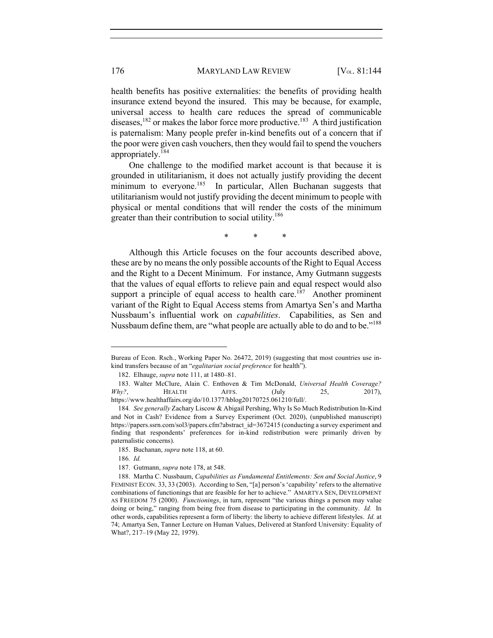health benefits has positive externalities: the benefits of providing health insurance extend beyond the insured. This may be because, for example, universal access to health care reduces the spread of communicable diseases,  $182$  or makes the labor force more productive.<sup>183</sup> A third justification is paternalism: Many people prefer in-kind benefits out of a concern that if the poor were given cash vouchers, then they would fail to spend the vouchers appropriately.<sup>184</sup>

One challenge to the modified market account is that because it is grounded in utilitarianism, it does not actually justify providing the decent minimum to everyone.<sup>185</sup> In particular, Allen Buchanan suggests that utilitarianism would not justify providing the decent minimum to people with physical or mental conditions that will render the costs of the minimum greater than their contribution to social utility.<sup>186</sup>

\* \* \*

Although this Article focuses on the four accounts described above, these are by no means the only possible accounts of the Right to Equal Access and the Right to a Decent Minimum. For instance, Amy Gutmann suggests that the values of equal efforts to relieve pain and equal respect would also support a principle of equal access to health care.<sup>187</sup> Another prominent variant of the Right to Equal Access stems from Amartya Sen's and Martha Nussbaum's influential work on *capabilities*. Capabilities, as Sen and Nussbaum define them, are "what people are actually able to do and to be."<sup>188</sup>

Bureau of Econ. Rsch., Working Paper No. 26472, 2019) (suggesting that most countries use inkind transfers because of an "*egalitarian social preference* for health").

<sup>182.</sup> Elhauge, *supra* note 111, at 1480–81.

<sup>183.</sup> Walter McClure, Alain C. Enthoven & Tim McDonald, *Universal Health Coverage? Why?*, **HEALTH** AFFS. (July 25, 2017), https://www.healthaffairs.org/do/10.1377/hblog20170725.061210/full/.

<sup>184</sup>*. See generally* Zachary Liscow & Abigail Pershing, Why Is So Much Redistribution In-Kind and Not in Cash? Evidence from a Survey Experiment (Oct. 2020), (unpublished manuscript) https://papers.ssrn.com/sol3/papers.cfm?abstract\_id=3672415 (conducting a survey experiment and finding that respondents' preferences for in-kind redistribution were primarily driven by paternalistic concerns).

<sup>185.</sup> Buchanan, *supra* note 118, at 60.

<sup>186</sup>*. Id.*

<sup>187.</sup> Gutmann, *supra* note 178, at 548.

<sup>188.</sup> Martha C. Nussbaum, *Capabilities as Fundamental Entitlements: Sen and Social Justice*, 9 FEMINIST ECON. 33, 33 (2003). According to Sen, "[a] person's 'capability' refers to the alternative combinations of functionings that are feasible for her to achieve." AMARTYA SEN, DEVELOPMENT AS FREEDOM 75 (2000). *Functionings*, in turn, represent "the various things a person may value doing or being," ranging from being free from disease to participating in the community. *Id.* In other words, capabilities represent a form of liberty: the liberty to achieve different lifestyles. *Id.* at 74; Amartya Sen, Tanner Lecture on Human Values, Delivered at Stanford University: Equality of What?, 217–19 (May 22, 1979).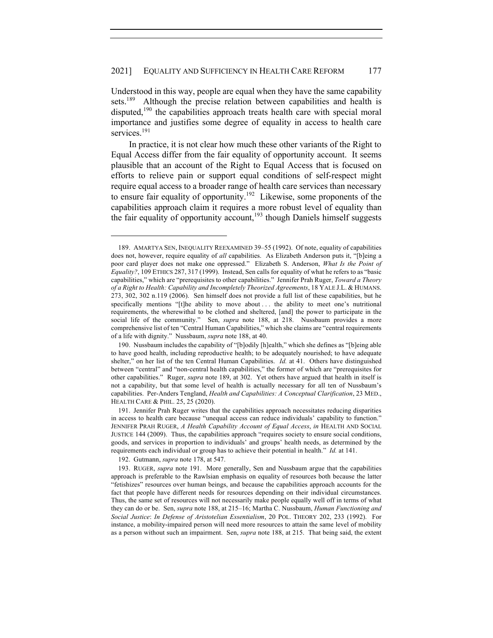Understood in this way, people are equal when they have the same capability sets.<sup>189</sup> Although the precise relation between capabilities and health is disputed,<sup>190</sup> the capabilities approach treats health care with special moral importance and justifies some degree of equality in access to health care services.<sup>191</sup>

In practice, it is not clear how much these other variants of the Right to Equal Access differ from the fair equality of opportunity account. It seems plausible that an account of the Right to Equal Access that is focused on efforts to relieve pain or support equal conditions of self-respect might require equal access to a broader range of health care services than necessary to ensure fair equality of opportunity.<sup>192</sup> Likewise, some proponents of the capabilities approach claim it requires a more robust level of equality than the fair equality of opportunity account,  $193$  though Daniels himself suggests

192. Gutmann, *supra* note 178, at 547.

<sup>189.</sup> AMARTYA SEN, INEQUALITY REEXAMINED 39–55 (1992). Of note, equality of capabilities does not, however, require equality of *all* capabilities. As Elizabeth Anderson puts it, "[b]eing a poor card player does not make one oppressed." Elizabeth S. Anderson, *What Is the Point of Equality?*, 109 ETHICS 287, 317 (1999). Instead, Sen calls for equality of what he refers to as "basic capabilities," which are "prerequisites to other capabilities." Jennifer Prah Ruger, *Toward a Theory of a Right to Health: Capability and Incompletely Theorized Agreements*, 18 YALE J.L. & HUMANS. 273, 302, 302 n.119 (2006). Sen himself does not provide a full list of these capabilities, but he specifically mentions "[t]he ability to move about ... the ability to meet one's nutritional requirements, the wherewithal to be clothed and sheltered, [and] the power to participate in the social life of the community." Sen, *supra* note 188, at 218. Nussbaum provides a more comprehensive list of ten "Central Human Capabilities," which she claims are "central requirements of a life with dignity." Nussbaum, *supra* note 188, at 40.

<sup>190.</sup> Nussbaum includes the capability of "[b]odily [h]ealth," which she defines as "[b]eing able to have good health, including reproductive health; to be adequately nourished; to have adequate shelter," on her list of the ten Central Human Capabilities. *Id.* at 41. Others have distinguished between "central" and "non-central health capabilities," the former of which are "prerequisites for other capabilities." Ruger, *supra* note 189, at 302. Yet others have argued that health in itself is not a capability, but that some level of health is actually necessary for all ten of Nussbaum's capabilities. Per-Anders Tengland, *Health and Capabilities: A Conceptual Clarification*, 23 MED., HEALTH CARE & PHIL. 25, 25 (2020).

<sup>191.</sup> Jennifer Prah Ruger writes that the capabilities approach necessitates reducing disparities in access to health care because "unequal access can reduce individuals' capability to function." JENNIFER PRAH RUGER, *A Health Capability Account of Equal Access*, *in* HEALTH AND SOCIAL JUSTICE 144 (2009). Thus, the capabilities approach "requires society to ensure social conditions, goods, and services in proportion to individuals' and groups' health needs, as determined by the requirements each individual or group has to achieve their potential in health." *Id.* at 141.

<sup>193.</sup> RUGER, *supra* note 191. More generally, Sen and Nussbaum argue that the capabilities approach is preferable to the Rawlsian emphasis on equality of resources both because the latter "fetishizes" resources over human beings, and because the capabilities approach accounts for the fact that people have different needs for resources depending on their individual circumstances. Thus, the same set of resources will not necessarily make people equally well off in terms of what they can do or be. Sen, *supra* note 188, at 215–16; Martha C. Nussbaum, *Human Functioning and Social Justice*: *In Defense of Aristotelian Essentialism*, 20 POL. THEORY 202, 233 (1992). For instance, a mobility-impaired person will need more resources to attain the same level of mobility as a person without such an impairment. Sen, *supra* note 188, at 215. That being said, the extent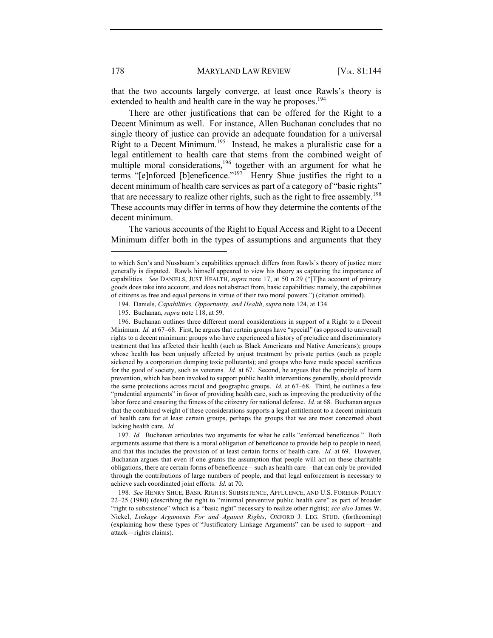that the two accounts largely converge, at least once Rawls's theory is extended to health and health care in the way he proposes.<sup>194</sup>

There are other justifications that can be offered for the Right to a Decent Minimum as well. For instance, Allen Buchanan concludes that no single theory of justice can provide an adequate foundation for a universal Right to a Decent Minimum.<sup>195</sup> Instead, he makes a pluralistic case for a legal entitlement to health care that stems from the combined weight of multiple moral considerations,<sup>196</sup> together with an argument for what he terms "[e]nforced [b]eneficence."<sup>197</sup> Henry Shue justifies the right to a decent minimum of health care services as part of a category of "basic rights" that are necessary to realize other rights, such as the right to free assembly.<sup>198</sup> These accounts may differ in terms of how they determine the contents of the decent minimum.

The various accounts of the Right to Equal Access and Right to a Decent Minimum differ both in the types of assumptions and arguments that they

196. Buchanan outlines three different moral considerations in support of a Right to a Decent Minimum. *Id.* at 67–68. First, he argues that certain groups have "special" (as opposed to universal) rights to a decent minimum: groups who have experienced a history of prejudice and discriminatory treatment that has affected their health (such as Black Americans and Native Americans); groups whose health has been unjustly affected by unjust treatment by private parties (such as people sickened by a corporation dumping toxic pollutants); and groups who have made special sacrifices for the good of society, such as veterans. *Id.* at 67. Second, he argues that the principle of harm prevention, which has been invoked to support public health interventions generally, should provide the same protections across racial and geographic groups. *Id.* at 67–68. Third, he outlines a few "prudential arguments" in favor of providing health care, such as improving the productivity of the labor force and ensuring the fitness of the citizenry for national defense. *Id.* at 68. Buchanan argues that the combined weight of these considerations supports a legal entitlement to a decent minimum of health care for at least certain groups, perhaps the groups that we are most concerned about lacking health care. *Id.*

197*. Id.* Buchanan articulates two arguments for what he calls "enforced beneficence." Both arguments assume that there is a moral obligation of beneficence to provide help to people in need, and that this includes the provision of at least certain forms of health care. *Id.* at 69. However, Buchanan argues that even if one grants the assumption that people will act on these charitable obligations, there are certain forms of beneficence—such as health care—that can only be provided through the contributions of large numbers of people, and that legal enforcement is necessary to achieve such coordinated joint efforts. *Id.* at 70.

198*. See* HENRY SHUE, BASIC RIGHTS: SUBSISTENCE, AFFLUENCE, AND U.S. FOREIGN POLICY 22–25 (1980) (describing the right to "minimal preventive public health care" as part of broader "right to subsistence" which is a "basic right" necessary to realize other rights); *see also* James W. Nickel, *Linkage Arguments For and Against Rights*, OXFORD J. LEG. STUD. (forthcoming) (explaining how these types of "Justificatory Linkage Arguments" can be used to support—and attack—rights claims).

to which Sen's and Nussbaum's capabilities approach differs from Rawls's theory of justice more generally is disputed. Rawls himself appeared to view his theory as capturing the importance of capabilities. *See* DANIELS, JUST HEALTH, *supra* note 17, at 50 n.29 ("[T]he account of primary goods does take into account, and does not abstract from, basic capabilities: namely, the capabilities of citizens as free and equal persons in virtue of their two moral powers.") (citation omitted).

<sup>194.</sup> Daniels, *Capabilities, Opportunity, and Health*, *supra* note 124, at 134.

<sup>195.</sup> Buchanan, *supra* note 118, at 59.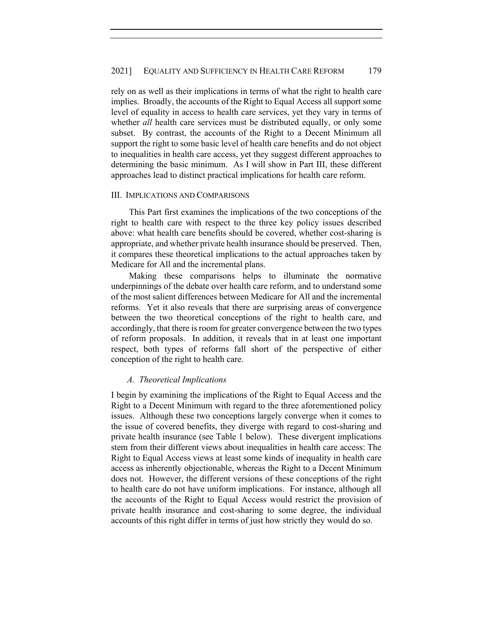rely on as well as their implications in terms of what the right to health care implies. Broadly, the accounts of the Right to Equal Access all support some level of equality in access to health care services, yet they vary in terms of whether *all* health care services must be distributed equally, or only some subset. By contrast, the accounts of the Right to a Decent Minimum all support the right to some basic level of health care benefits and do not object to inequalities in health care access, yet they suggest different approaches to determining the basic minimum. As I will show in Part III, these different approaches lead to distinct practical implications for health care reform.

#### III. IMPLICATIONS AND COMPARISONS

This Part first examines the implications of the two conceptions of the right to health care with respect to the three key policy issues described above: what health care benefits should be covered, whether cost-sharing is appropriate, and whether private health insurance should be preserved. Then, it compares these theoretical implications to the actual approaches taken by Medicare for All and the incremental plans.

Making these comparisons helps to illuminate the normative underpinnings of the debate over health care reform, and to understand some of the most salient differences between Medicare for All and the incremental reforms. Yet it also reveals that there are surprising areas of convergence between the two theoretical conceptions of the right to health care, and accordingly, that there is room for greater convergence between the two types of reform proposals. In addition, it reveals that in at least one important respect, both types of reforms fall short of the perspective of either conception of the right to health care.

#### *A. Theoretical Implications*

I begin by examining the implications of the Right to Equal Access and the Right to a Decent Minimum with regard to the three aforementioned policy issues. Although these two conceptions largely converge when it comes to the issue of covered benefits, they diverge with regard to cost-sharing and private health insurance (see Table 1 below). These divergent implications stem from their different views about inequalities in health care access: The Right to Equal Access views at least some kinds of inequality in health care access as inherently objectionable, whereas the Right to a Decent Minimum does not. However, the different versions of these conceptions of the right to health care do not have uniform implications. For instance, although all the accounts of the Right to Equal Access would restrict the provision of private health insurance and cost-sharing to some degree, the individual accounts of this right differ in terms of just how strictly they would do so.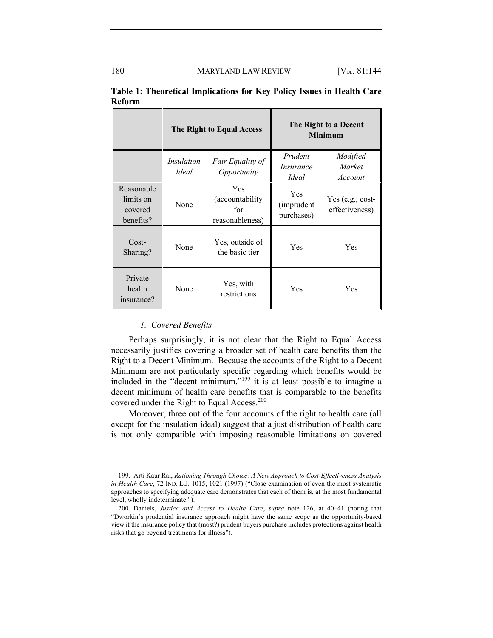|                                                 | The Right to Equal Access  |                                                         | The Right to a Decent<br><b>Minimum</b>     |                                    |
|-------------------------------------------------|----------------------------|---------------------------------------------------------|---------------------------------------------|------------------------------------|
|                                                 | Insulation<br><i>Ideal</i> | Fair Equality of<br>Opportunity                         | Prudent<br><i>Insurance</i><br><i>Ideal</i> | Modified<br>Market<br>Account      |
| Reasonable<br>limits on<br>covered<br>benefits? | None                       | <b>Yes</b><br>(accountability<br>for<br>reasonableness) | <b>Yes</b><br>(imprudent<br>purchases)      | Yes (e.g., cost-<br>effectiveness) |
| $Cost-$<br>Sharing?                             | None                       | Yes, outside of<br>the basic tier                       | Yes                                         | Yes                                |
| Private<br>health<br>insurance?                 | None                       | Yes, with<br>restrictions                               | Yes                                         | Yes                                |

**Table 1: Theoretical Implications for Key Policy Issues in Health Care Reform**

#### *1. Covered Benefits*

Perhaps surprisingly, it is not clear that the Right to Equal Access necessarily justifies covering a broader set of health care benefits than the Right to a Decent Minimum. Because the accounts of the Right to a Decent Minimum are not particularly specific regarding which benefits would be included in the "decent minimum,"<sup>199</sup> it is at least possible to imagine a decent minimum of health care benefits that is comparable to the benefits covered under the Right to Equal Access.<sup>200</sup>

Moreover, three out of the four accounts of the right to health care (all except for the insulation ideal) suggest that a just distribution of health care is not only compatible with imposing reasonable limitations on covered

<sup>199.</sup> Arti Kaur Rai, *Rationing Through Choice: A New Approach to Cost-Effectiveness Analysis in Health Care*, 72 IND. L.J. 1015, 1021 (1997) ("Close examination of even the most systematic approaches to specifying adequate care demonstrates that each of them is, at the most fundamental level, wholly indeterminate.").

<sup>200.</sup> Daniels, *Justice and Access to Health Care*, *supra* note 126, at 40–41 (noting that "Dworkin's prudential insurance approach might have the same scope as the opportunity-based view if the insurance policy that (most?) prudent buyers purchase includes protections against health risks that go beyond treatments for illness").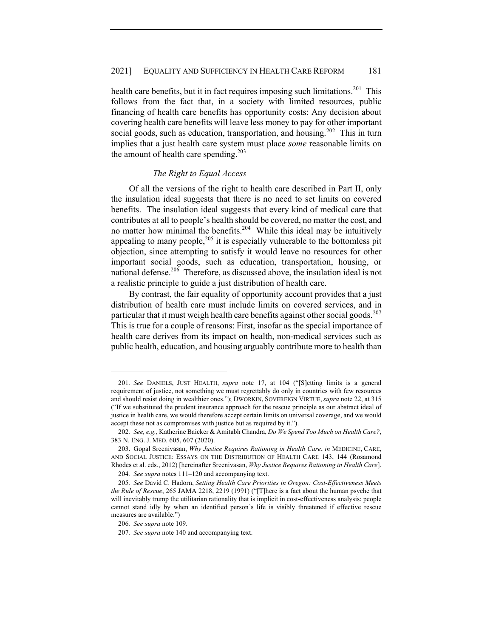health care benefits, but it in fact requires imposing such limitations.<sup>201</sup> This follows from the fact that, in a society with limited resources, public financing of health care benefits has opportunity costs: Any decision about covering health care benefits will leave less money to pay for other important social goods, such as education, transportation, and housing.<sup>202</sup> This in turn implies that a just health care system must place *some* reasonable limits on the amount of health care spending. $203$ 

### *The Right to Equal Access*

Of all the versions of the right to health care described in Part II, only the insulation ideal suggests that there is no need to set limits on covered benefits. The insulation ideal suggests that every kind of medical care that contributes at all to people's health should be covered, no matter the cost, and no matter how minimal the benefits.<sup>204</sup> While this ideal may be intuitively appealing to many people,  $205$  it is especially vulnerable to the bottomless pit objection, since attempting to satisfy it would leave no resources for other important social goods, such as education, transportation, housing, or national defense.<sup>206</sup> Therefore, as discussed above, the insulation ideal is not a realistic principle to guide a just distribution of health care.

By contrast, the fair equality of opportunity account provides that a just distribution of health care must include limits on covered services, and in particular that it must weigh health care benefits against other social goods.<sup>207</sup> This is true for a couple of reasons: First, insofar as the special importance of health care derives from its impact on health, non-medical services such as public health, education, and housing arguably contribute more to health than

<sup>201</sup>*. See* DANIELS, JUST HEALTH, *supra* note 17, at 104 ("[S]etting limits is a general requirement of justice, not something we must regrettably do only in countries with few resources and should resist doing in wealthier ones."); DWORKIN, SOVEREIGN VIRTUE, *supra* note 22, at 315 ("If we substituted the prudent insurance approach for the rescue principle as our abstract ideal of justice in health care, we would therefore accept certain limits on universal coverage, and we would accept these not as compromises with justice but as required by it.").

<sup>202</sup>*. See, e.g.,* Katherine Baicker & Amitabh Chandra, *Do We Spend Too Much on Health Care?*, 383 N. ENG. J. MED. 605, 607 (2020).

<sup>203.</sup> Gopal Sreenivasan, *Why Justice Requires Rationing in Health Care*, *in* MEDICINE, CARE, AND SOCIAL JUSTICE: ESSAYS ON THE DISTRIBUTION OF HEALTH CARE 143, 144 (Rosamond Rhodes et al. eds., 2012) [hereinafter Sreenivasan, *Why Justice Requires Rationing in Health Care*].

<sup>204</sup>*. See supra* notes 111–120 and accompanying text.

<sup>205</sup>*. See* David C. Hadorn, *Setting Health Care Priorities in Oregon: Cost-Effectiveness Meets the Rule of Rescue*, 265 JAMA 2218, 2219 (1991) ("[T]here is a fact about the human psyche that will inevitably trump the utilitarian rationality that is implicit in cost-effectiveness analysis: people cannot stand idly by when an identified person's life is visibly threatened if effective rescue measures are available.")

<sup>206</sup>*. See supra* note 109.

<sup>207</sup>*. See supra* note 140 and accompanying text.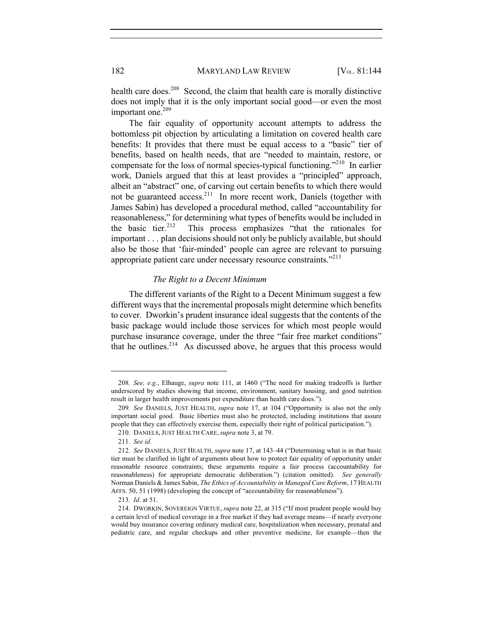health care does.<sup>208</sup> Second, the claim that health care is morally distinctive does not imply that it is the only important social good—or even the most important one.<sup>209</sup>

The fair equality of opportunity account attempts to address the bottomless pit objection by articulating a limitation on covered health care benefits: It provides that there must be equal access to a "basic" tier of benefits, based on health needs, that are "needed to maintain, restore, or compensate for the loss of normal species-typical functioning."<sup>210</sup> In earlier work, Daniels argued that this at least provides a "principled" approach, albeit an "abstract" one, of carving out certain benefits to which there would not be guaranteed access.<sup>211</sup> In more recent work, Daniels (together with James Sabin) has developed a procedural method, called "accountability for reasonableness," for determining what types of benefits would be included in the basic tier.<sup>212</sup> This process emphasizes "that the rationales for important . . . plan decisions should not only be publicly available, but should also be those that 'fair-minded' people can agree are relevant to pursuing appropriate patient care under necessary resource constraints."<sup>213</sup>

## *The Right to a Decent Minimum*

The different variants of the Right to a Decent Minimum suggest a few different ways that the incremental proposals might determine which benefits to cover. Dworkin's prudent insurance ideal suggests that the contents of the basic package would include those services for which most people would purchase insurance coverage, under the three "fair free market conditions" that he outlines.<sup>214</sup> As discussed above, he argues that this process would

<sup>208</sup>*. See, e.g.*, Elhauge, *supra* note 111, at 1460 ("The need for making tradeoffs is further underscored by studies showing that income, environment, sanitary housing, and good nutrition result in larger health improvements per expenditure than health care does.").

<sup>209</sup>*. See* DANIELS, JUST HEALTH, *supra* note 17, at 104 ("Opportunity is also not the only important social good. Basic liberties must also be protected, including institutions that assure people that they can effectively exercise them, especially their right of political participation.").

<sup>210.</sup> DANIELS, JUST HEALTH CARE, *supra* note 3, at 79.

<sup>211</sup>*. See id.*

<sup>212</sup>*. See* DANIELS, JUST HEALTH, *supra* note 17, at 143–44 ("Determining what is in that basic tier must be clarified in light of arguments about how to protect fair equality of opportunity under reasonable resource constraints; these arguments require a fair process (accountability for reasonableness) for appropriate democratic deliberation.") (citation omitted). *See generally* Norman Daniels & James Sabin, *The Ethics of Accountability in Managed Care Reform*, 17 HEALTH AFFS. 50, 51 (1998) (developing the concept of "accountability for reasonableness").

<sup>213</sup>*. Id*. at 51.

<sup>214.</sup> DWORKIN, SOVEREIGN VIRTUE, *supra* note 22, at 315 ("If most prudent people would buy a certain level of medical coverage in a free market if they had average means—if nearly everyone would buy insurance covering ordinary medical care, hospitalization when necessary, prenatal and pediatric care, and regular checkups and other preventive medicine, for example—then the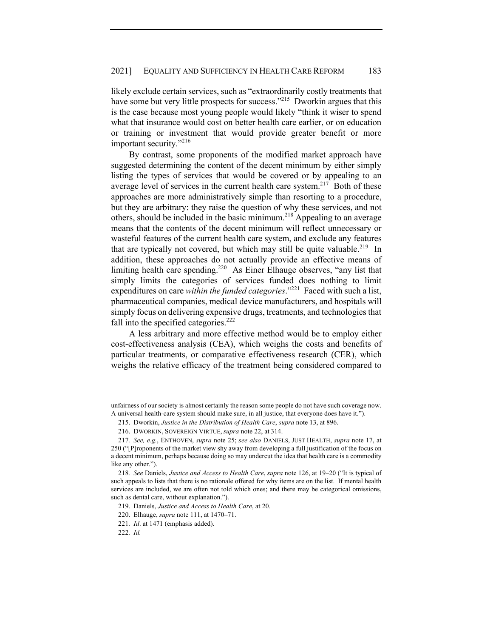likely exclude certain services, such as "extraordinarily costly treatments that have some but very little prospects for success."<sup>215</sup> Dworkin argues that this is the case because most young people would likely "think it wiser to spend what that insurance would cost on better health care earlier, or on education or training or investment that would provide greater benefit or more important security."<sup>216</sup>

By contrast, some proponents of the modified market approach have suggested determining the content of the decent minimum by either simply listing the types of services that would be covered or by appealing to an average level of services in the current health care system.<sup>217</sup> Both of these approaches are more administratively simple than resorting to a procedure, but they are arbitrary: they raise the question of why these services, and not others, should be included in the basic minimum.<sup>218</sup> Appealing to an average means that the contents of the decent minimum will reflect unnecessary or wasteful features of the current health care system, and exclude any features that are typically not covered, but which may still be quite valuable.<sup>219</sup> In addition, these approaches do not actually provide an effective means of limiting health care spending.<sup>220</sup> As Einer Elhauge observes, "any list that simply limits the categories of services funded does nothing to limit expenditures on care *within the funded categories*."<sup>221</sup> Faced with such a list, pharmaceutical companies, medical device manufacturers, and hospitals will simply focus on delivering expensive drugs, treatments, and technologies that fall into the specified categories. $222$ 

A less arbitrary and more effective method would be to employ either cost-effectiveness analysis (CEA), which weighs the costs and benefits of particular treatments, or comparative effectiveness research (CER), which weighs the relative efficacy of the treatment being considered compared to

unfairness of our society is almost certainly the reason some people do not have such coverage now. A universal health-care system should make sure, in all justice, that everyone does have it.").

<sup>215.</sup> Dworkin, *Justice in the Distribution of Health Care*, *supra* note 13, at 896.

<sup>216.</sup> DWORKIN, SOVEREIGN VIRTUE, *supra* note 22, at 314.

<sup>217</sup>*. See, e.g.*, ENTHOVEN, *supra* note 25; *see also* DANIELS, JUST HEALTH, *supra* note 17, at 250 ("[P]roponents of the market view shy away from developing a full justification of the focus on a decent minimum, perhaps because doing so may undercut the idea that health care is a commodity like any other.").

<sup>218</sup>*. See* Daniels, *Justice and Access to Health Care*, *supra* note 126, at 19–20 ("It is typical of such appeals to lists that there is no rationale offered for why items are on the list. If mental health services are included, we are often not told which ones; and there may be categorical omissions, such as dental care, without explanation.").

<sup>219.</sup> Daniels, *Justice and Access to Health Care*, at 20.

<sup>220.</sup> Elhauge, *supra* note 111, at 1470–71.

<sup>221</sup>*. Id*. at 1471 (emphasis added).

<sup>222</sup>*. Id.*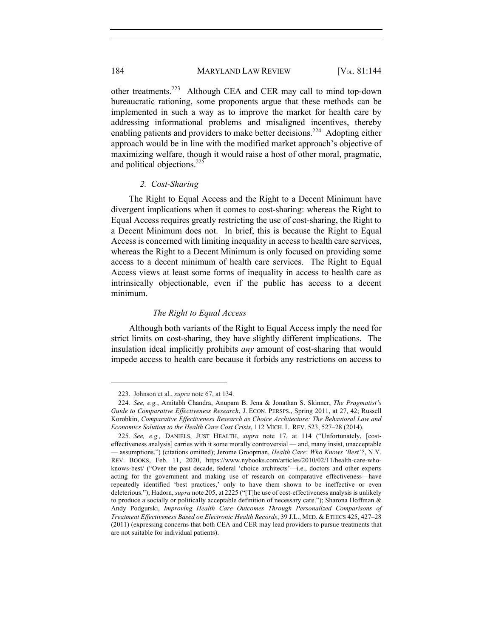184 MARYLAND LAW REVIEW [V<sub>OL.</sub> 81:144]

other treatments.223 Although CEA and CER may call to mind top-down bureaucratic rationing, some proponents argue that these methods can be implemented in such a way as to improve the market for health care by addressing informational problems and misaligned incentives, thereby enabling patients and providers to make better decisions.<sup>224</sup> Adopting either approach would be in line with the modified market approach's objective of maximizing welfare, though it would raise a host of other moral, pragmatic, and political objections.<sup>225</sup>

## *2. Cost-Sharing*

The Right to Equal Access and the Right to a Decent Minimum have divergent implications when it comes to cost-sharing: whereas the Right to Equal Access requires greatly restricting the use of cost-sharing, the Right to a Decent Minimum does not. In brief, this is because the Right to Equal Access is concerned with limiting inequality in access to health care services, whereas the Right to a Decent Minimum is only focused on providing some access to a decent minimum of health care services. The Right to Equal Access views at least some forms of inequality in access to health care as intrinsically objectionable, even if the public has access to a decent minimum.

### *The Right to Equal Access*

Although both variants of the Right to Equal Access imply the need for strict limits on cost-sharing, they have slightly different implications. The insulation ideal implicitly prohibits *any* amount of cost-sharing that would impede access to health care because it forbids any restrictions on access to

<sup>223.</sup> Johnson et al., *supra* note 67, at 134.

<sup>224</sup>*. See, e.g.*, Amitabh Chandra, Anupam B. Jena & Jonathan S. Skinner, *The Pragmatist's Guide to Comparative Effectiveness Research*, J. ECON. PERSPS., Spring 2011, at 27, 42; Russell Korobkin, *Comparative Effectiveness Research as Choice Architecture: The Behavioral Law and Economics Solution to the Health Care Cost Crisis*, 112 MICH. L. REV. 523, 527–28 (2014).

<sup>225</sup>*. See, e.g.,* DANIELS, JUST HEALTH, *supra* note 17, at 114 ("Unfortunately, [costeffectiveness analysis] carries with it some morally controversial — and, many insist, unacceptable — assumptions.") (citations omitted); Jerome Groopman, *Health Care: Who Knows 'Best'?*, N.Y. REV. BOOKS, Feb. 11, 2020, https://www.nybooks.com/articles/2010/02/11/health-care-whoknows-best/ ("Over the past decade, federal 'choice architects'—i.e., doctors and other experts acting for the government and making use of research on comparative effectiveness—have repeatedly identified 'best practices,' only to have them shown to be ineffective or even deleterious."); Hadorn, *supra* note 205, at 2225 ("[T]he use of cost-effectiveness analysis is unlikely to produce a socially or politically acceptable definition of necessary care."); Sharona Hoffman & Andy Podgurski, *Improving Health Care Outcomes Through Personalized Comparisons of Treatment Effectiveness Based on Electronic Health Records*, 39 J.L., MED. & ETHICS 425, 427–28 (2011) (expressing concerns that both CEA and CER may lead providers to pursue treatments that are not suitable for individual patients).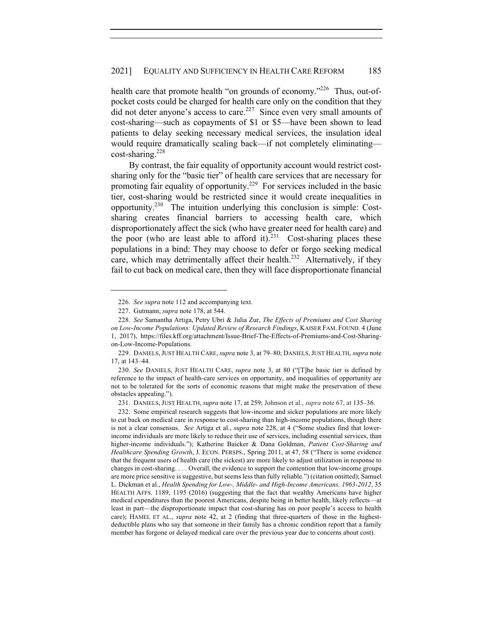health care that promote health "on grounds of economy."<sup>226</sup> Thus, out-ofpocket costs could be charged for health care only on the condition that they did not deter anyone's access to care.<sup>227</sup> Since even very small amounts of cost-sharing—such as copayments of \$1 or \$5—have been shown to lead patients to delay seeking necessary medical services, the insulation ideal would require dramatically scaling back—if not completely eliminating  $cost\text{-}sharing.<sup>228</sup>$ 

By contrast, the fair equality of opportunity account would restrict costsharing only for the "basic tier" of health care services that are necessary for promoting fair equality of opportunity.229 For services included in the basic tier, cost-sharing would be restricted since it would create inequalities in opportunity.230 The intuition underlying this conclusion is simple: Costsharing creates financial barriers to accessing health care, which disproportionately affect the sick (who have greater need for health care) and the poor (who are least able to afford it).<sup>231</sup> Cost-sharing places these populations in a bind: They may choose to defer or forgo seeking medical care, which may detrimentally affect their health.<sup>232</sup> Alternatively, if they fail to cut back on medical care, then they will face disproportionate financial

<sup>226</sup>*. See supra* note 112 and accompanying text.

<sup>227.</sup> Gutmann, *supra* note 178, at 544.

<sup>228</sup>*. See* Samantha Artiga, Petry Ubri & Julia Zur, *The Effects of Premiums and Cost Sharing on Low-Income Populations: Updated Review of Research Findings*, KAISER FAM. FOUND. 4 (June 1, 2017), https://files.kff.org/attachment/Issue-Brief-The-Effects-of-Premiums-and-Cost-Sharingon-Low-Income-Populations.

<sup>229.</sup> DANIELS,JUST HEALTH CARE,*supra* note 3, at 79–80; DANIELS,JUST HEALTH, *supra* note 17, at 143–44.

<sup>230</sup>*. See* DANIELS, JUST HEALTH CARE, *supra* note 3, at 80 ("[T]he basic tier is defined by reference to the impact of health-care services on opportunity, and inequalities of opportunity are not to be tolerated for the sorts of economic reasons that might make the preservation of these obstacles appealing.").

<sup>231.</sup> DANIELS, JUST HEALTH, *supra* note 17, at 259; Johnson et al., *supra* note 67, at 135–36.

<sup>232.</sup> Some empirical research suggests that low-income and sicker populations are more likely to cut back on medical care in response to cost-sharing than high-income populations, though there is not a clear consensus. *See* Artiga et al., *supra* note 228, at 4 ("Some studies find that lowerincome individuals are more likely to reduce their use of services, including essential services, than higher-income individuals."); Katherine Baicker & Dana Goldman, *Patient Cost-Sharing and Healthcare Spending Growth*, J. ECON. PERSPS., Spring 2011, at 47, 58 ("There is some evidence that the frequent users of health care (the sickest) are more likely to adjust utilization in response to changes in cost-sharing. . . . Overall, the evidence to support the contention that low-income groups are more price sensitive is suggestive, but seems less than fully reliable.") (citation omitted); Samuel L. Dickman et al., *Health Spending for Low-, Middle- and High-Income Americans, 1963-2012*, 35 HEALTH AFFS. 1189, 1195 (2016) (suggesting that the fact that wealthy Americans have higher medical expenditures than the poorest Americans, despite being in better health, likely reflects—at least in part—the disproportionate impact that cost-sharing has on poor people's access to health care); HAMEL ET AL., *supra* note 42, at 2 (finding that three-quarters of those in the highestdeductible plans who say that someone in their family has a chronic condition report that a family member has forgone or delayed medical care over the previous year due to concerns about cost).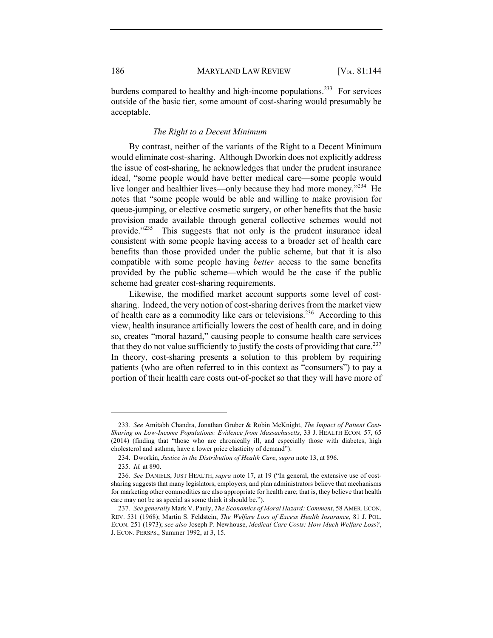burdens compared to healthy and high-income populations.<sup>233</sup> For services outside of the basic tier, some amount of cost-sharing would presumably be acceptable.

## *The Right to a Decent Minimum*

By contrast, neither of the variants of the Right to a Decent Minimum would eliminate cost-sharing. Although Dworkin does not explicitly address the issue of cost-sharing, he acknowledges that under the prudent insurance ideal, "some people would have better medical care—some people would live longer and healthier lives—only because they had more money."<sup>234</sup> He notes that "some people would be able and willing to make provision for queue-jumping, or elective cosmetic surgery, or other benefits that the basic provision made available through general collective schemes would not provide."<sup>235</sup> This suggests that not only is the prudent insurance ideal consistent with some people having access to a broader set of health care benefits than those provided under the public scheme, but that it is also compatible with some people having *better* access to the same benefits provided by the public scheme—which would be the case if the public scheme had greater cost-sharing requirements.

Likewise, the modified market account supports some level of costsharing. Indeed, the very notion of cost-sharing derives from the market view of health care as a commodity like cars or televisions.<sup>236</sup> According to this view, health insurance artificially lowers the cost of health care, and in doing so, creates "moral hazard," causing people to consume health care services that they do not value sufficiently to justify the costs of providing that care.<sup>237</sup> In theory, cost-sharing presents a solution to this problem by requiring patients (who are often referred to in this context as "consumers") to pay a portion of their health care costs out-of-pocket so that they will have more of

<sup>233</sup>*. See* Amitabh Chandra, Jonathan Gruber & Robin McKnight, *The Impact of Patient Cost-Sharing on Low-Income Populations: Evidence from Massachusetts*, 33 J. HEALTH ECON. 57, 65 (2014) (finding that "those who are chronically ill, and especially those with diabetes, high cholesterol and asthma, have a lower price elasticity of demand").

<sup>234.</sup> Dworkin, *Justice in the Distribution of Health Care*, *supra* note 13, at 896.

<sup>235</sup>*. Id.* at 890.

<sup>236</sup>*. See* DANIELS, JUST HEALTH, *supra* note 17, at 19 ("In general, the extensive use of costsharing suggests that many legislators, employers, and plan administrators believe that mechanisms for marketing other commodities are also appropriate for health care; that is, they believe that health care may not be as special as some think it should be.").

<sup>237</sup>*. See generally* Mark V. Pauly, *The Economics of Moral Hazard: Comment*, 58 AMER. ECON. REV. 531 (1968); Martin S. Feldstein, *The Welfare Loss of Excess Health Insurance*, 81 J. POL. ECON. 251 (1973); *see also* Joseph P. Newhouse, *Medical Care Costs: How Much Welfare Loss?*, J. ECON. PERSPS., Summer 1992, at 3, 15.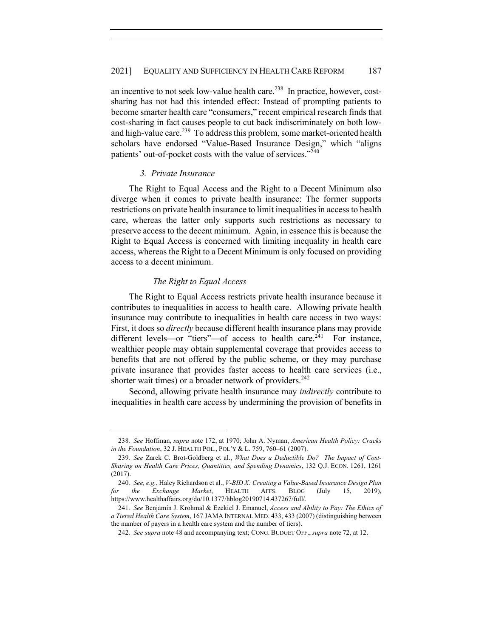an incentive to not seek low-value health care.<sup>238</sup> In practice, however, costsharing has not had this intended effect: Instead of prompting patients to become smarter health care "consumers," recent empirical research finds that cost-sharing in fact causes people to cut back indiscriminately on both lowand high-value care.<sup>239</sup> To address this problem, some market-oriented health scholars have endorsed "Value-Based Insurance Design," which "aligns patients' out-of-pocket costs with the value of services."<sup>240</sup>

#### *3. Private Insurance*

The Right to Equal Access and the Right to a Decent Minimum also diverge when it comes to private health insurance: The former supports restrictions on private health insurance to limit inequalities in access to health care, whereas the latter only supports such restrictions as necessary to preserve access to the decent minimum. Again, in essence this is because the Right to Equal Access is concerned with limiting inequality in health care access, whereas the Right to a Decent Minimum is only focused on providing access to a decent minimum.

#### *The Right to Equal Access*

The Right to Equal Access restricts private health insurance because it contributes to inequalities in access to health care. Allowing private health insurance may contribute to inequalities in health care access in two ways: First, it does so *directly* because different health insurance plans may provide different levels—or "tiers"—of access to health care. $^{241}$  For instance, wealthier people may obtain supplemental coverage that provides access to benefits that are not offered by the public scheme, or they may purchase private insurance that provides faster access to health care services (i.e., shorter wait times) or a broader network of providers. $242$ 

Second, allowing private health insurance may *indirectly* contribute to inequalities in health care access by undermining the provision of benefits in

<sup>238</sup>*. See* Hoffman, *supra* note 172, at 1970; John A. Nyman, *American Health Policy: Cracks in the Foundation*, 32 J. HEALTH POL., POL'Y & L. 759, 760–61 (2007).

<sup>239</sup>*. See* Zarek C. Brot-Goldberg et al., *What Does a Deductible Do? The Impact of Cost-Sharing on Health Care Prices, Quantities, and Spending Dynamics*, 132 Q.J. ECON. 1261, 1261 (2017).

<sup>240</sup>*. See, e.g.*, Haley Richardson et al., *V-BID X: Creating a Value-Based Insurance Design Plan for the Exchange Market*, HEALTH AFFS. BLOG (July 15, 2019), https://www.healthaffairs.org/do/10.1377/hblog20190714.437267/full/.

<sup>241</sup>*. See* Benjamin J. Krohmal & Ezekiel J. Emanuel, *Access and Ability to Pay: The Ethics of a Tiered Health Care System*, 167 JAMA INTERNAL MED. 433, 433 (2007) (distinguishing between the number of payers in a health care system and the number of tiers).

<sup>242</sup>*. See supra* note 48 and accompanying text; CONG. BUDGET OFF., *supra* note 72, at 12.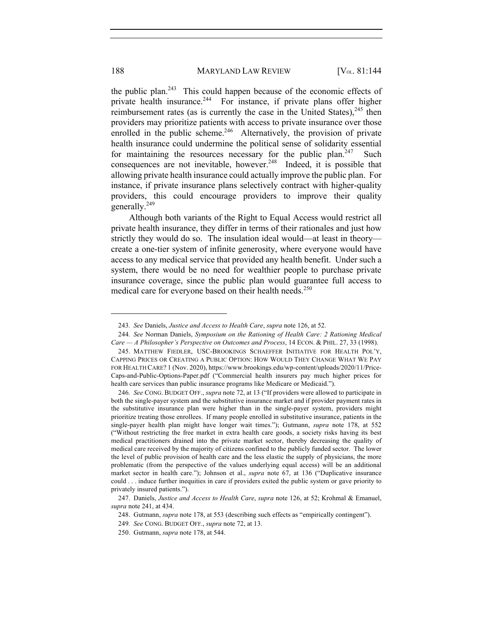the public plan.<sup>243</sup> This could happen because of the economic effects of private health insurance.<sup>244</sup> For instance, if private plans offer higher reimbursement rates (as is currently the case in the United States), $245$  then providers may prioritize patients with access to private insurance over those enrolled in the public scheme.<sup>246</sup> Alternatively, the provision of private health insurance could undermine the political sense of solidarity essential for maintaining the resources necessary for the public plan.<sup>247</sup> Such consequences are not inevitable, however.<sup>248</sup> Indeed, it is possible that allowing private health insurance could actually improve the public plan. For instance, if private insurance plans selectively contract with higher-quality providers, this could encourage providers to improve their quality generally.249

Although both variants of the Right to Equal Access would restrict all private health insurance, they differ in terms of their rationales and just how strictly they would do so. The insulation ideal would—at least in theory create a one-tier system of infinite generosity, where everyone would have access to any medical service that provided any health benefit. Under such a system, there would be no need for wealthier people to purchase private insurance coverage, since the public plan would guarantee full access to medical care for everyone based on their health needs.<sup>250</sup>

<sup>243</sup>*. See* Daniels, *Justice and Access to Health Care*, *supra* note 126, at 52.

<sup>244</sup>*. See* Norman Daniels, *Symposium on the Rationing of Health Care: 2 Rationing Medical Care — A Philosopher's Perspective on Outcomes and Process*, 14 ECON. & PHIL. 27, 33 (1998).

<sup>245.</sup> MATTHEW FIEDLER, USC-BROOKINGS SCHAEFFER INITIATIVE FOR HEALTH POL'Y, CAPPING PRICES OR CREATING A PUBLIC OPTION: HOW WOULD THEY CHANGE WHAT WE PAY FOR HEALTH CARE? 1 (Nov. 2020), https://www.brookings.edu/wp-content/uploads/2020/11/Price-Caps-and-Public-Options-Paper.pdf ("Commercial health insurers pay much higher prices for health care services than public insurance programs like Medicare or Medicaid.").

<sup>246</sup>*. See* CONG. BUDGET OFF., *supra* note 72, at 13 ("If providers were allowed to participate in both the single-payer system and the substitutive insurance market and if provider payment rates in the substitutive insurance plan were higher than in the single-payer system, providers might prioritize treating those enrollees. If many people enrolled in substitutive insurance, patients in the single-payer health plan might have longer wait times."); Gutmann, *supra* note 178, at 552 ("Without restricting the free market in extra health care goods, a society risks having its best medical practitioners drained into the private market sector, thereby decreasing the quality of medical care received by the majority of citizens confined to the publicly funded sector. The lower the level of public provision of health care and the less elastic the supply of physicians, the more problematic (from the perspective of the values underlying equal access) will be an additional market sector in health care."); Johnson et al., *supra* note 67, at 136 ("Duplicative insurance could . . . induce further inequities in care if providers exited the public system or gave priority to privately insured patients.").

<sup>247.</sup> Daniels, *Justice and Access to Health Care*, *supra* note 126, at 52; Krohmal & Emanuel, *supra* note 241, at 434.

<sup>248.</sup> Gutmann, *supra* note 178, at 553 (describing such effects as "empirically contingent").

<sup>249</sup>*. See* CONG. BUDGET OFF., *supra* note 72, at 13.

<sup>250.</sup> Gutmann, *supra* note 178, at 544.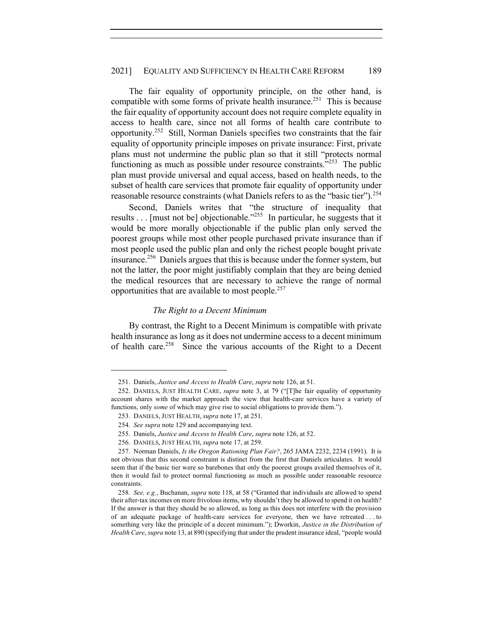The fair equality of opportunity principle, on the other hand, is compatible with some forms of private health insurance.<sup>251</sup> This is because the fair equality of opportunity account does not require complete equality in access to health care, since not all forms of health care contribute to opportunity.<sup>252</sup> Still, Norman Daniels specifies two constraints that the fair equality of opportunity principle imposes on private insurance: First, private plans must not undermine the public plan so that it still "protects normal functioning as much as possible under resource constraints."<sup>253</sup> The public plan must provide universal and equal access, based on health needs, to the subset of health care services that promote fair equality of opportunity under reasonable resource constraints (what Daniels refers to as the "basic tier").<sup>254</sup>

Second, Daniels writes that "the structure of inequality that results . . . [must not be] objectionable."<sup>255</sup> In particular, he suggests that it would be more morally objectionable if the public plan only served the poorest groups while most other people purchased private insurance than if most people used the public plan and only the richest people bought private insurance.256 Daniels argues that this is because under the former system, but not the latter, the poor might justifiably complain that they are being denied the medical resources that are necessary to achieve the range of normal opportunities that are available to most people.<sup>257</sup>

#### *The Right to a Decent Minimum*

By contrast, the Right to a Decent Minimum is compatible with private health insurance as long as it does not undermine access to a decent minimum of health care.<sup>258</sup> Since the various accounts of the Right to a Decent

<sup>251.</sup> Daniels, *Justice and Access to Health Care*, *supra* note 126, at 51.

<sup>252.</sup> DANIELS, JUST HEALTH CARE, *supra* note 3, at 79 ("[T]he fair equality of opportunity account shares with the market approach the view that health-care services have a variety of functions, only *some* of which may give rise to social obligations to provide them.").

<sup>253.</sup> DANIELS, JUST HEALTH, *supra* note 17, at 251.

<sup>254</sup>*. See supra* note 129 and accompanying text.

<sup>255.</sup> Daniels, *Justice and Access to Health Care*, *supra* note 126, at 52.

<sup>256.</sup> DANIELS, JUST HEALTH, *supra* note 17, at 259.

<sup>257.</sup> Norman Daniels, *Is the Oregon Rationing Plan Fair?*, 265 JAMA 2232, 2234 (1991). It is not obvious that this second constraint is distinct from the first that Daniels articulates. It would seem that if the basic tier were so barebones that only the poorest groups availed themselves of it, then it would fail to protect normal functioning as much as possible under reasonable resource constraints.

<sup>258</sup>*. See, e.g.*, Buchanan, *supra* note 118, at 58 ("Granted that individuals are allowed to spend their after-tax incomes on more frivolous items, why shouldn't they be allowed to spend it on health? If the answer is that they should be so allowed, as long as this does not interfere with the provision of an adequate package of health-care services for everyone, then we have retreated . . . to something very like the principle of a decent minimum."); Dworkin, *Justice in the Distribution of Health Care*, *supra* note 13, at 890 (specifying that under the prudent insurance ideal, "people would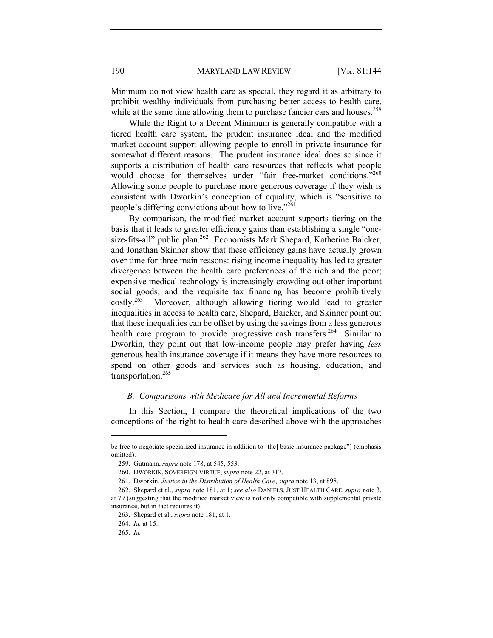190 MARYLAND LAW REVIEW [V<sub>OL.</sub> 81:144]

Minimum do not view health care as special, they regard it as arbitrary to prohibit wealthy individuals from purchasing better access to health care, while at the same time allowing them to purchase fancier cars and houses.<sup>259</sup>

While the Right to a Decent Minimum is generally compatible with a tiered health care system, the prudent insurance ideal and the modified market account support allowing people to enroll in private insurance for somewhat different reasons. The prudent insurance ideal does so since it supports a distribution of health care resources that reflects what people would choose for themselves under "fair free-market conditions."<sup>260</sup> Allowing some people to purchase more generous coverage if they wish is consistent with Dworkin's conception of equality, which is "sensitive to people's differing convictions about how to live."<sup>261</sup>

By comparison, the modified market account supports tiering on the basis that it leads to greater efficiency gains than establishing a single "onesize-fits-all" public plan.<sup>262</sup> Economists Mark Shepard, Katherine Baicker, and Jonathan Skinner show that these efficiency gains have actually grown over time for three main reasons: rising income inequality has led to greater divergence between the health care preferences of the rich and the poor; expensive medical technology is increasingly crowding out other important social goods; and the requisite tax financing has become prohibitively  $costly.<sup>263</sup>$  Moreover, although allowing tiering would lead to greater inequalities in access to health care, Shepard, Baicker, and Skinner point out that these inequalities can be offset by using the savings from a less generous health care program to provide progressive cash transfers.<sup>264</sup> Similar to Dworkin, they point out that low-income people may prefer having *less* generous health insurance coverage if it means they have more resources to spend on other goods and services such as housing, education, and transportation.<sup>265</sup>

## *B. Comparisons with Medicare for All and Incremental Reforms*

In this Section, I compare the theoretical implications of the two conceptions of the right to health care described above with the approaches

be free to negotiate specialized insurance in addition to [the] basic insurance package") (emphasis omitted).

<sup>259.</sup> Gutmann, *supra* note 178, at 545, 553.

<sup>260.</sup> DWORKIN, SOVEREIGN VIRTUE, *supra* note 22, at 317.

<sup>261.</sup> Dworkin, *Justice in the Distribution of Health Care*, *supra* note 13, at 898.

<sup>262.</sup> Shepard et al., *supra* note 181, at 1; *see also* DANIELS, JUST HEALTH CARE, *supra* note 3, at 79 (suggesting that the modified market view is not only compatible with supplemental private insurance, but in fact requires it).

<sup>263.</sup> Shepard et al., *supra* note 181, at 1.

<sup>264</sup>*. Id.* at 15.

<sup>265</sup>*. Id.*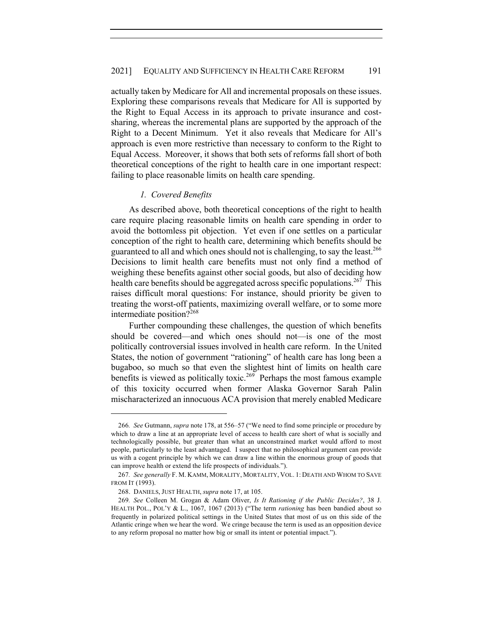actually taken by Medicare for All and incremental proposals on these issues. Exploring these comparisons reveals that Medicare for All is supported by the Right to Equal Access in its approach to private insurance and costsharing, whereas the incremental plans are supported by the approach of the Right to a Decent Minimum. Yet it also reveals that Medicare for All's approach is even more restrictive than necessary to conform to the Right to Equal Access. Moreover, it shows that both sets of reforms fall short of both theoretical conceptions of the right to health care in one important respect: failing to place reasonable limits on health care spending.

## *1. Covered Benefits*

As described above, both theoretical conceptions of the right to health care require placing reasonable limits on health care spending in order to avoid the bottomless pit objection. Yet even if one settles on a particular conception of the right to health care, determining which benefits should be guaranteed to all and which ones should not is challenging, to say the least.<sup>266</sup> Decisions to limit health care benefits must not only find a method of weighing these benefits against other social goods, but also of deciding how health care benefits should be aggregated across specific populations.<sup>267</sup> This raises difficult moral questions: For instance, should priority be given to treating the worst-off patients, maximizing overall welfare, or to some more intermediate position?<sup>268</sup>

Further compounding these challenges, the question of which benefits should be covered—and which ones should not—is one of the most politically controversial issues involved in health care reform. In the United States, the notion of government "rationing" of health care has long been a bugaboo, so much so that even the slightest hint of limits on health care benefits is viewed as politically toxic.<sup>269</sup> Perhaps the most famous example of this toxicity occurred when former Alaska Governor Sarah Palin mischaracterized an innocuous ACA provision that merely enabled Medicare

<sup>266</sup>*. See* Gutmann, *supra* note 178, at 556–57 ("We need to find some principle or procedure by which to draw a line at an appropriate level of access to health care short of what is socially and technologically possible, but greater than what an unconstrained market would afford to most people, particularly to the least advantaged. I suspect that no philosophical argument can provide us with a cogent principle by which we can draw a line within the enormous group of goods that can improve health or extend the life prospects of individuals.").

<sup>267</sup>*. See generally* F. M. KAMM, MORALITY, MORTALITY, VOL. 1: DEATH AND WHOM TO SAVE FROM IT (1993).

<sup>268.</sup> DANIELS, JUST HEALTH, *supra* note 17, at 105.

<sup>269</sup>*. See* Colleen M. Grogan & Adam Oliver, *Is It Rationing if the Public Decides?*, 38 J. HEALTH POL., POL'Y & L., 1067, 1067 (2013) ("The term *rationing* has been bandied about so frequently in polarized political settings in the United States that most of us on this side of the Atlantic cringe when we hear the word. We cringe because the term is used as an opposition device to any reform proposal no matter how big or small its intent or potential impact.").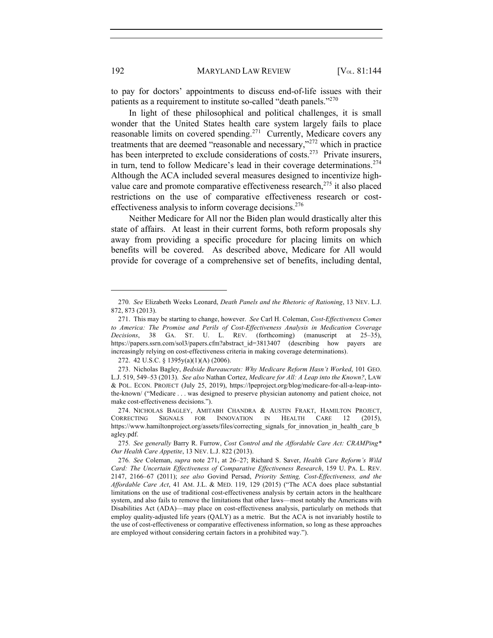to pay for doctors' appointments to discuss end-of-life issues with their patients as a requirement to institute so-called "death panels."<sup>270</sup>

In light of these philosophical and political challenges, it is small wonder that the United States health care system largely fails to place reasonable limits on covered spending.<sup>271</sup> Currently, Medicare covers any treatments that are deemed "reasonable and necessary,"<sup>272</sup> which in practice has been interpreted to exclude considerations of costs.<sup>273</sup> Private insurers, in turn, tend to follow Medicare's lead in their coverage determinations.<sup>274</sup> Although the ACA included several measures designed to incentivize highvalue care and promote comparative effectiveness research,<sup>275</sup> it also placed restrictions on the use of comparative effectiveness research or costeffectiveness analysis to inform coverage decisions.<sup>276</sup>

Neither Medicare for All nor the Biden plan would drastically alter this state of affairs. At least in their current forms, both reform proposals shy away from providing a specific procedure for placing limits on which benefits will be covered. As described above, Medicare for All would provide for coverage of a comprehensive set of benefits, including dental,

272. 42 U.S.C. § 1395y(a)(1)(A) (2006).

<sup>270</sup>*. See* Elizabeth Weeks Leonard, *Death Panels and the Rhetoric of Rationing*, 13 NEV. L.J. 872, 873 (2013).

<sup>271.</sup> This may be starting to change, however. *See* Carl H. Coleman, *Cost-Effectiveness Comes to America: The Promise and Perils of Cost-Effectiveness Analysis in Medication Coverage Decisions*, 38 GA. ST. U. L. REV. (forthcoming) (manuscript at 25–35), https://papers.ssrn.com/sol3/papers.cfm?abstract\_id=3813407 (describing how payers are increasingly relying on cost-effectiveness criteria in making coverage determinations).

<sup>273.</sup> Nicholas Bagley, *Bedside Bureaucrats: Why Medicare Reform Hasn't Worked*, 101 GEO. L.J. 519, 549–53 (2013). *See also* Nathan Cortez, *Medicare for All: A Leap into the Known?*, LAW & POL. ECON. PROJECT (July 25, 2019), https://lpeproject.org/blog/medicare-for-all-a-leap-intothe-known/ ("Medicare . . . was designed to preserve physician autonomy and patient choice, not make cost-effectiveness decisions.").

<sup>274.</sup> NICHOLAS BAGLEY, AMITABH CHANDRA & AUSTIN FRAKT, HAMILTON PROJECT, CORRECTING SIGNALS FOR INNOVATION IN HEALTH CARE 12 (2015), https://www.hamiltonproject.org/assets/files/correcting\_signals\_for\_innovation\_in\_health\_care\_b agley.pdf.

<sup>275</sup>*. See generally* Barry R. Furrow, *Cost Control and the Affordable Care Act: CRAMPing\* Our Health Care Appetite*, 13 NEV. L.J. 822 (2013).

<sup>276</sup>*. See* Coleman, *supra* note 271, at 26–27; Richard S. Saver, *Health Care Reform's Wild Card: The Uncertain Effectiveness of Comparative Effectiveness Research*, 159 U. PA. L. REV. 2147, 2166–67 (2011); *see also* Govind Persad, *Priority Setting, Cost-Effectiveness, and the Affordable Care Act*, 41 AM. J.L. & MED. 119, 129 (2015) ("The ACA does place substantial limitations on the use of traditional cost-effectiveness analysis by certain actors in the healthcare system, and also fails to remove the limitations that other laws—most notably the Americans with Disabilities Act (ADA)—may place on cost-effectiveness analysis, particularly on methods that employ quality-adjusted life years (QALY) as a metric. But the ACA is not invariably hostile to the use of cost-effectiveness or comparative effectiveness information, so long as these approaches are employed without considering certain factors in a prohibited way.").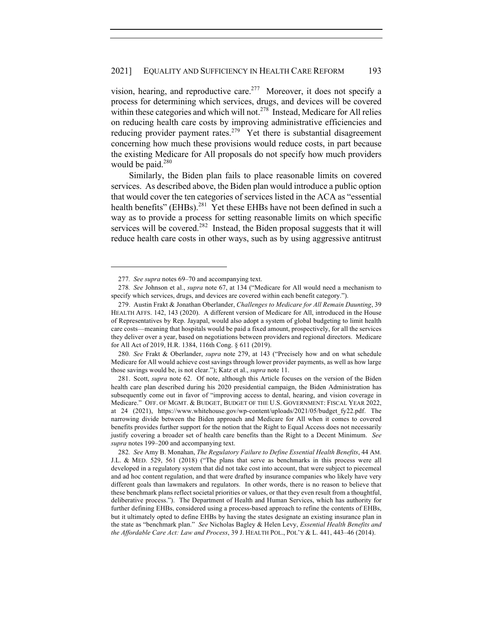vision, hearing, and reproductive care.<sup>277</sup> Moreover, it does not specify a process for determining which services, drugs, and devices will be covered within these categories and which will not.<sup>278</sup> Instead, Medicare for All relies on reducing health care costs by improving administrative efficiencies and reducing provider payment rates.<sup>279</sup> Yet there is substantial disagreement concerning how much these provisions would reduce costs, in part because the existing Medicare for All proposals do not specify how much providers would be paid.<sup>280</sup>

Similarly, the Biden plan fails to place reasonable limits on covered services. As described above, the Biden plan would introduce a public option that would cover the ten categories of services listed in the ACA as "essential health benefits" (EHBs).<sup>281</sup> Yet these EHBs have not been defined in such a way as to provide a process for setting reasonable limits on which specific services will be covered.<sup>282</sup> Instead, the Biden proposal suggests that it will reduce health care costs in other ways, such as by using aggressive antitrust

280*. See* Frakt & Oberlander, *supra* note 279, at 143 ("Precisely how and on what schedule Medicare for All would achieve cost savings through lower provider payments, as well as how large those savings would be, is not clear."); Katz et al., *supra* note 11.

281. Scott, *supra* note 62. Of note, although this Article focuses on the version of the Biden health care plan described during his 2020 presidential campaign, the Biden Administration has subsequently come out in favor of "improving access to dental, hearing, and vision coverage in Medicare." OFF. OF MGMT. & BUDGET, BUDGET OF THE U.S. GOVERNMENT: FISCAL YEAR 2022, at 24 (2021), https://www.whitehouse.gov/wp-content/uploads/2021/05/budget\_fy22.pdf. The narrowing divide between the Biden approach and Medicare for All when it comes to covered benefits provides further support for the notion that the Right to Equal Access does not necessarily justify covering a broader set of health care benefits than the Right to a Decent Minimum. *See supra* notes 199–200 and accompanying text.

<sup>277</sup>*. See supra* notes 69–70 and accompanying text.

<sup>278</sup>*. See* Johnson et al., *supra* note 67, at 134 ("Medicare for All would need a mechanism to specify which services, drugs, and devices are covered within each benefit category.").

<sup>279.</sup> Austin Frakt & Jonathan Oberlander, *Challenges to Medicare for All Remain Daunting*, 39 HEALTH AFFS. 142, 143 (2020). A different version of Medicare for All, introduced in the House of Representatives by Rep. Jayapal, would also adopt a system of global budgeting to limit health care costs—meaning that hospitals would be paid a fixed amount, prospectively, for all the services they deliver over a year, based on negotiations between providers and regional directors. Medicare for All Act of 2019, H.R. 1384, 116th Cong. § 611 (2019).

<sup>282</sup>*. See* Amy B. Monahan, *The Regulatory Failure to Define Essential Health Benefits*, 44 AM. J.L. & MED. 529, 561 (2018) ("The plans that serve as benchmarks in this process were all developed in a regulatory system that did not take cost into account, that were subject to piecemeal and ad hoc content regulation, and that were drafted by insurance companies who likely have very different goals than lawmakers and regulators. In other words, there is no reason to believe that these benchmark plans reflect societal priorities or values, or that they even result from a thoughtful, deliberative process."). The Department of Health and Human Services, which has authority for further defining EHBs, considered using a process-based approach to refine the contents of EHBs, but it ultimately opted to define EHBs by having the states designate an existing insurance plan in the state as "benchmark plan." *See* Nicholas Bagley & Helen Levy, *Essential Health Benefits and the Affordable Care Act: Law and Process*, 39 J. HEALTH POL., POL'Y & L. 441, 443–46 (2014).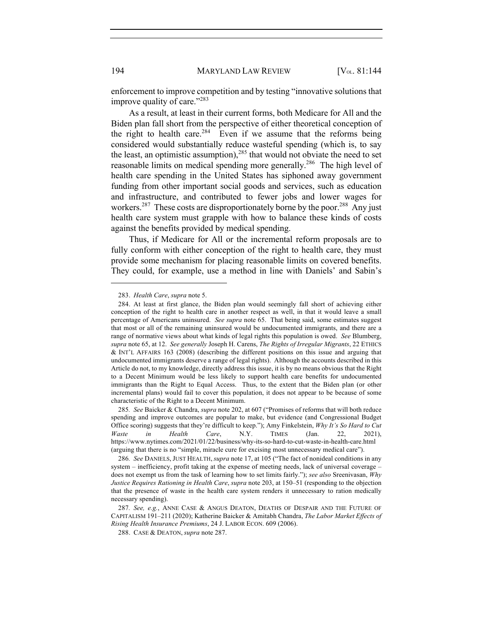enforcement to improve competition and by testing "innovative solutions that improve quality of care."<sup>283</sup>

As a result, at least in their current forms, both Medicare for All and the Biden plan fall short from the perspective of either theoretical conception of the right to health care.<sup>284</sup> Even if we assume that the reforms being considered would substantially reduce wasteful spending (which is, to say the least, an optimistic assumption), $285$  that would not obviate the need to set reasonable limits on medical spending more generally.<sup>286</sup> The high level of health care spending in the United States has siphoned away government funding from other important social goods and services, such as education and infrastructure, and contributed to fewer jobs and lower wages for workers.<sup>287</sup> These costs are disproportionately borne by the poor.<sup>288</sup> Any just health care system must grapple with how to balance these kinds of costs against the benefits provided by medical spending.

Thus, if Medicare for All or the incremental reform proposals are to fully conform with either conception of the right to health care, they must provide some mechanism for placing reasonable limits on covered benefits. They could, for example, use a method in line with Daniels' and Sabin's

<sup>283.</sup> *Health Care*, *supra* note 5.

<sup>284.</sup> At least at first glance, the Biden plan would seemingly fall short of achieving either conception of the right to health care in another respect as well, in that it would leave a small percentage of Americans uninsured. *See supra* note 65. That being said, some estimates suggest that most or all of the remaining uninsured would be undocumented immigrants, and there are a range of normative views about what kinds of legal rights this population is owed. *See* Blumberg, *supra* note 65, at 12. *See generally* Joseph H. Carens, *The Rights of Irregular Migrants*, 22 ETHICS & INT'L AFFAIRS 163 (2008) (describing the different positions on this issue and arguing that undocumented immigrants deserve a range of legal rights). Although the accounts described in this Article do not, to my knowledge, directly address this issue, it is by no means obvious that the Right to a Decent Minimum would be less likely to support health care benefits for undocumented immigrants than the Right to Equal Access. Thus, to the extent that the Biden plan (or other incremental plans) would fail to cover this population, it does not appear to be because of some characteristic of the Right to a Decent Minimum.

<sup>285</sup>*. See* Baicker & Chandra, *supra* note 202, at 607 ("Promises of reforms that will both reduce spending and improve outcomes are popular to make, but evidence (and Congressional Budget Office scoring) suggests that they're difficult to keep."); Amy Finkelstein, *Why It's So Hard to Cut Waste in Health Care*, N.Y. TIMES (Jan. 22, 2021), https://www.nytimes.com/2021/01/22/business/why-its-so-hard-to-cut-waste-in-health-care.html (arguing that there is no "simple, miracle cure for excising most unnecessary medical care").

<sup>286</sup>*. See* DANIELS, JUST HEALTH, *supra* note 17, at 105 ("The fact of nonideal conditions in any system – inefficiency, profit taking at the expense of meeting needs, lack of universal coverage – does not exempt us from the task of learning how to set limits fairly."); *see also* Sreenivasan, *Why Justice Requires Rationing in Health Care*, *supra* note 203, at 150–51 (responding to the objection that the presence of waste in the health care system renders it unnecessary to ration medically necessary spending).

<sup>287</sup>*. See, e.g.*, ANNE CASE & ANGUS DEATON, DEATHS OF DESPAIR AND THE FUTURE OF CAPITALISM 191–211 (2020); Katherine Baicker & Amitabh Chandra, *The Labor Market Effects of Rising Health Insurance Premiums*, 24 J. LABOR ECON. 609 (2006).

<sup>288.</sup> CASE & DEATON, *supra* note 287.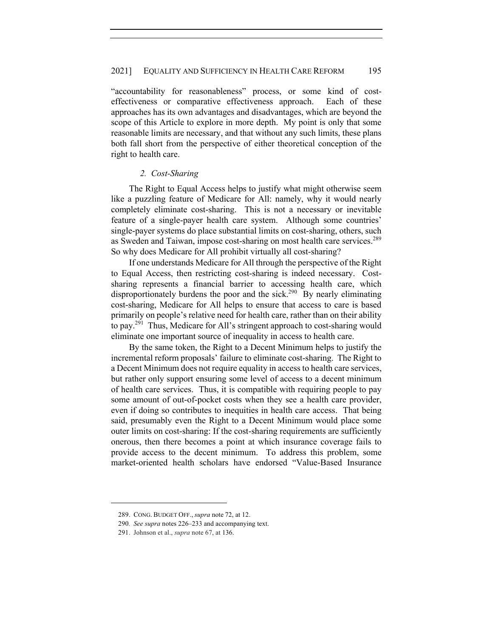"accountability for reasonableness" process, or some kind of costeffectiveness or comparative effectiveness approach. Each of these approaches has its own advantages and disadvantages, which are beyond the scope of this Article to explore in more depth. My point is only that some reasonable limits are necessary, and that without any such limits, these plans both fall short from the perspective of either theoretical conception of the right to health care.

#### *2. Cost-Sharing*

The Right to Equal Access helps to justify what might otherwise seem like a puzzling feature of Medicare for All: namely, why it would nearly completely eliminate cost-sharing. This is not a necessary or inevitable feature of a single-payer health care system. Although some countries' single-payer systems do place substantial limits on cost-sharing, others, such as Sweden and Taiwan, impose cost-sharing on most health care services.<sup>289</sup> So why does Medicare for All prohibit virtually all cost-sharing?

If one understands Medicare for All through the perspective of the Right to Equal Access, then restricting cost-sharing is indeed necessary. Costsharing represents a financial barrier to accessing health care, which disproportionately burdens the poor and the sick.<sup>290</sup> By nearly eliminating cost-sharing, Medicare for All helps to ensure that access to care is based primarily on people's relative need for health care, rather than on their ability to pay.291 Thus, Medicare for All's stringent approach to cost-sharing would eliminate one important source of inequality in access to health care.

By the same token, the Right to a Decent Minimum helps to justify the incremental reform proposals' failure to eliminate cost-sharing. The Right to a Decent Minimum does not require equality in access to health care services, but rather only support ensuring some level of access to a decent minimum of health care services. Thus, it is compatible with requiring people to pay some amount of out-of-pocket costs when they see a health care provider, even if doing so contributes to inequities in health care access. That being said, presumably even the Right to a Decent Minimum would place some outer limits on cost-sharing: If the cost-sharing requirements are sufficiently onerous, then there becomes a point at which insurance coverage fails to provide access to the decent minimum. To address this problem, some market-oriented health scholars have endorsed "Value-Based Insurance

<sup>289.</sup> CONG. BUDGET OFF., *supra* note 72, at 12.

<sup>290</sup>*. See supra* notes 226–233 and accompanying text.

<sup>291.</sup> Johnson et al., *supra* note 67, at 136.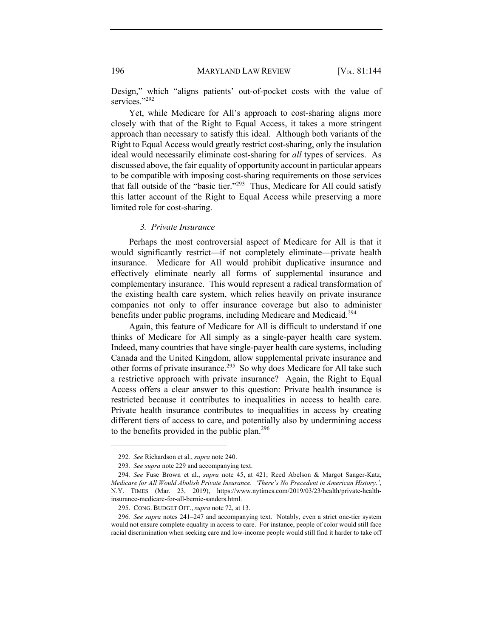Design," which "aligns patients' out-of-pocket costs with the value of services."<sup>292</sup>

Yet, while Medicare for All's approach to cost-sharing aligns more closely with that of the Right to Equal Access, it takes a more stringent approach than necessary to satisfy this ideal. Although both variants of the Right to Equal Access would greatly restrict cost-sharing, only the insulation ideal would necessarily eliminate cost-sharing for *all* types of services. As discussed above, the fair equality of opportunity account in particular appears to be compatible with imposing cost-sharing requirements on those services that fall outside of the "basic tier."<sup>293</sup> Thus, Medicare for All could satisfy this latter account of the Right to Equal Access while preserving a more limited role for cost-sharing.

#### *3. Private Insurance*

Perhaps the most controversial aspect of Medicare for All is that it would significantly restrict—if not completely eliminate—private health insurance. Medicare for All would prohibit duplicative insurance and effectively eliminate nearly all forms of supplemental insurance and complementary insurance. This would represent a radical transformation of the existing health care system, which relies heavily on private insurance companies not only to offer insurance coverage but also to administer benefits under public programs, including Medicare and Medicaid.<sup>294</sup>

Again, this feature of Medicare for All is difficult to understand if one thinks of Medicare for All simply as a single-payer health care system. Indeed, many countries that have single-payer health care systems, including Canada and the United Kingdom, allow supplemental private insurance and other forms of private insurance.<sup>295</sup> So why does Medicare for All take such a restrictive approach with private insurance? Again, the Right to Equal Access offers a clear answer to this question: Private health insurance is restricted because it contributes to inequalities in access to health care. Private health insurance contributes to inequalities in access by creating different tiers of access to care, and potentially also by undermining access to the benefits provided in the public plan.<sup>296</sup>

<sup>292</sup>*. See* Richardson et al., *supra* note 240.

<sup>293</sup>*. See supra* note 229 and accompanying text.

<sup>294</sup>*. See* Fuse Brown et al., *supra* note 45, at 421; Reed Abelson & Margot Sanger-Katz, *Medicare for All Would Abolish Private Insurance. 'There's No Precedent in American History.'*, N.Y. TIMES (Mar. 23, 2019), https://www.nytimes.com/2019/03/23/health/private-healthinsurance-medicare-for-all-bernie-sanders.html.

<sup>295.</sup> CONG. BUDGET OFF., *supra* note 72, at 13.

<sup>296</sup>*. See supra* notes 241–247 and accompanying text. Notably, even a strict one-tier system would not ensure complete equality in access to care. For instance, people of color would still face racial discrimination when seeking care and low-income people would still find it harder to take off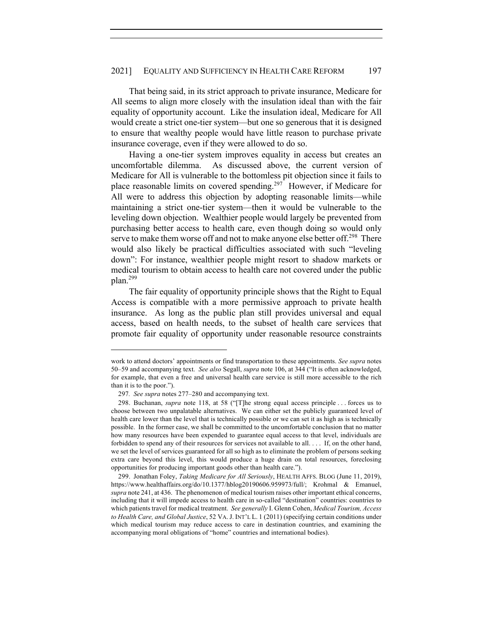That being said, in its strict approach to private insurance, Medicare for All seems to align more closely with the insulation ideal than with the fair equality of opportunity account. Like the insulation ideal, Medicare for All would create a strict one-tier system—but one so generous that it is designed to ensure that wealthy people would have little reason to purchase private insurance coverage, even if they were allowed to do so.

Having a one-tier system improves equality in access but creates an uncomfortable dilemma. As discussed above, the current version of Medicare for All is vulnerable to the bottomless pit objection since it fails to place reasonable limits on covered spending.<sup>297</sup> However, if Medicare for All were to address this objection by adopting reasonable limits—while maintaining a strict one-tier system—then it would be vulnerable to the leveling down objection. Wealthier people would largely be prevented from purchasing better access to health care, even though doing so would only serve to make them worse off and not to make anyone else better off.<sup>298</sup> There would also likely be practical difficulties associated with such "leveling down": For instance, wealthier people might resort to shadow markets or medical tourism to obtain access to health care not covered under the public plan.299

The fair equality of opportunity principle shows that the Right to Equal Access is compatible with a more permissive approach to private health insurance. As long as the public plan still provides universal and equal access, based on health needs, to the subset of health care services that promote fair equality of opportunity under reasonable resource constraints

work to attend doctors' appointments or find transportation to these appointments. *See supra* notes 50–59 and accompanying text. *See also* Segall, *supra* note 106, at 344 ("It is often acknowledged, for example, that even a free and universal health care service is still more accessible to the rich than it is to the poor.").

<sup>297</sup>*. See supra* notes 277–280 and accompanying text.

<sup>298.</sup> Buchanan, *supra* note 118, at 58 ("[T]he strong equal access principle . . . forces us to choose between two unpalatable alternatives. We can either set the publicly guaranteed level of health care lower than the level that is technically possible or we can set it as high as is technically possible. In the former case, we shall be committed to the uncomfortable conclusion that no matter how many resources have been expended to guarantee equal access to that level, individuals are forbidden to spend any of their resources for services not available to all. . . . If, on the other hand, we set the level of services guaranteed for all so high as to eliminate the problem of persons seeking extra care beyond this level, this would produce a huge drain on total resources, foreclosing opportunities for producing important goods other than health care.").

<sup>299.</sup> Jonathan Foley, *Taking Medicare for All Seriously*, HEALTH AFFS. BLOG (June 11, 2019), https://www.healthaffairs.org/do/10.1377/hblog20190606.959973/full/; Krohmal & Emanuel, *supra* note 241, at 436. The phenomenon of medical tourism raises other important ethical concerns, including that it will impede access to health care in so-called "destination" countries: countries to which patients travel for medical treatment. *See generally* I. Glenn Cohen, *Medical Tourism, Access to Health Care, and Global Justice*, 52 VA.J. INT'L L. 1 (2011) (specifying certain conditions under which medical tourism may reduce access to care in destination countries, and examining the accompanying moral obligations of "home" countries and international bodies).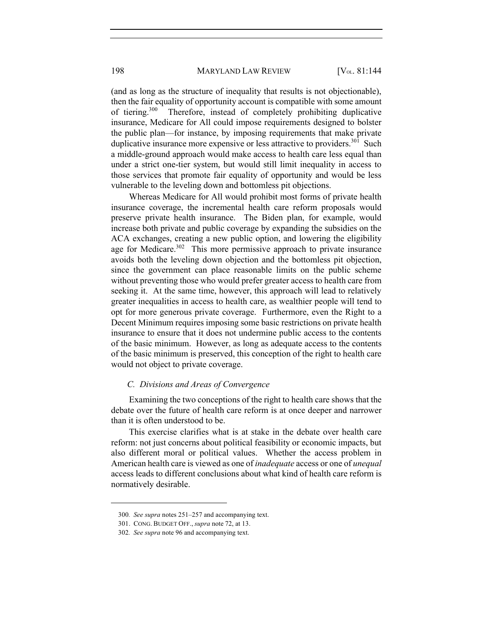(and as long as the structure of inequality that results is not objectionable), then the fair equality of opportunity account is compatible with some amount of tiering.300 Therefore, instead of completely prohibiting duplicative insurance, Medicare for All could impose requirements designed to bolster the public plan—for instance, by imposing requirements that make private duplicative insurance more expensive or less attractive to providers.<sup>301</sup> Such a middle-ground approach would make access to health care less equal than under a strict one-tier system, but would still limit inequality in access to those services that promote fair equality of opportunity and would be less vulnerable to the leveling down and bottomless pit objections.

Whereas Medicare for All would prohibit most forms of private health insurance coverage, the incremental health care reform proposals would preserve private health insurance. The Biden plan, for example, would increase both private and public coverage by expanding the subsidies on the ACA exchanges, creating a new public option, and lowering the eligibility age for Medicare.<sup>302</sup> This more permissive approach to private insurance avoids both the leveling down objection and the bottomless pit objection, since the government can place reasonable limits on the public scheme without preventing those who would prefer greater access to health care from seeking it. At the same time, however, this approach will lead to relatively greater inequalities in access to health care, as wealthier people will tend to opt for more generous private coverage. Furthermore, even the Right to a Decent Minimum requires imposing some basic restrictions on private health insurance to ensure that it does not undermine public access to the contents of the basic minimum. However, as long as adequate access to the contents of the basic minimum is preserved, this conception of the right to health care would not object to private coverage.

#### *C. Divisions and Areas of Convergence*

Examining the two conceptions of the right to health care shows that the debate over the future of health care reform is at once deeper and narrower than it is often understood to be.

This exercise clarifies what is at stake in the debate over health care reform: not just concerns about political feasibility or economic impacts, but also different moral or political values. Whether the access problem in American health care is viewed as one of *inadequate* access or one of *unequal* access leads to different conclusions about what kind of health care reform is normatively desirable.

<sup>300</sup>*. See supra* notes 251–257 and accompanying text.

<sup>301.</sup> CONG. BUDGET OFF., *supra* note 72, at 13.

<sup>302</sup>*. See supra* note 96 and accompanying text.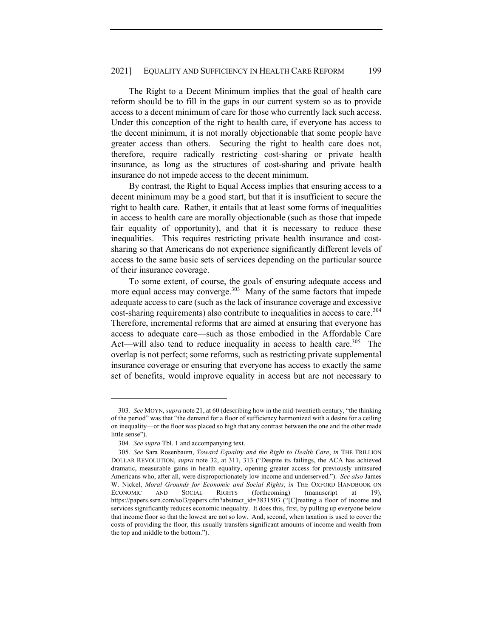The Right to a Decent Minimum implies that the goal of health care reform should be to fill in the gaps in our current system so as to provide access to a decent minimum of care for those who currently lack such access. Under this conception of the right to health care, if everyone has access to the decent minimum, it is not morally objectionable that some people have greater access than others. Securing the right to health care does not, therefore, require radically restricting cost-sharing or private health insurance, as long as the structures of cost-sharing and private health insurance do not impede access to the decent minimum.

By contrast, the Right to Equal Access implies that ensuring access to a decent minimum may be a good start, but that it is insufficient to secure the right to health care. Rather, it entails that at least some forms of inequalities in access to health care are morally objectionable (such as those that impede fair equality of opportunity), and that it is necessary to reduce these inequalities. This requires restricting private health insurance and costsharing so that Americans do not experience significantly different levels of access to the same basic sets of services depending on the particular source of their insurance coverage.

To some extent, of course, the goals of ensuring adequate access and more equal access may converge.<sup>303</sup> Many of the same factors that impede adequate access to care (such as the lack of insurance coverage and excessive cost-sharing requirements) also contribute to inequalities in access to care.<sup>304</sup> Therefore, incremental reforms that are aimed at ensuring that everyone has access to adequate care—such as those embodied in the Affordable Care Act—will also tend to reduce inequality in access to health care.<sup>305</sup> The overlap is not perfect; some reforms, such as restricting private supplemental insurance coverage or ensuring that everyone has access to exactly the same set of benefits, would improve equality in access but are not necessary to

<sup>303</sup>*. See* MOYN, *supra* note 21, at 60 (describing how in the mid-twentieth century, "the thinking of the period" was that "the demand for a floor of sufficiency harmonized with a desire for a ceiling on inequality—or the floor was placed so high that any contrast between the one and the other made little sense").

<sup>304</sup>*. See supra* Tbl. 1 and accompanying text.

<sup>305</sup>*. See* Sara Rosenbaum, *Toward Equality and the Right to Health Care*, *in* THE TRILLION DOLLAR REVOLUTION, *supra* note 32, at 311, 313 ("Despite its failings, the ACA has achieved dramatic, measurable gains in health equality, opening greater access for previously uninsured Americans who, after all, were disproportionately low income and underserved."). *See also* James W. Nickel, *Moral Grounds for Economic and Social Rights*, *in* THE OXFORD HANDBOOK ON ECONOMIC AND SOCIAL RIGHTS (forthcoming) (manuscript at 19), https://papers.ssrn.com/sol3/papers.cfm?abstract\_id=3831503 ("[C]reating a floor of income and services significantly reduces economic inequality. It does this, first, by pulling up everyone below that income floor so that the lowest are not so low. And, second, when taxation is used to cover the costs of providing the floor, this usually transfers significant amounts of income and wealth from the top and middle to the bottom.").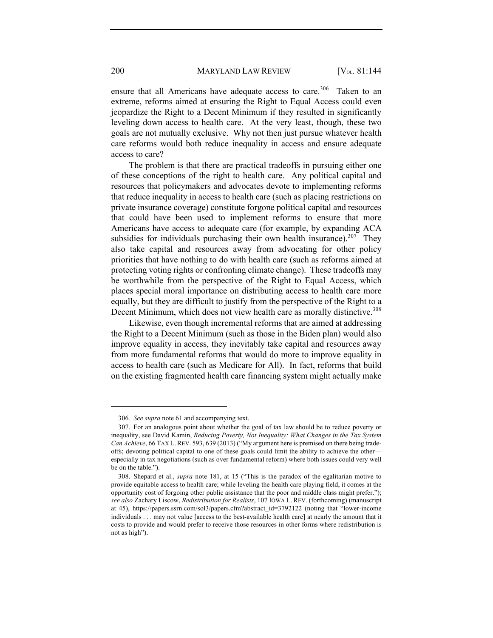ensure that all Americans have adequate access to care.<sup>306</sup> Taken to an

extreme, reforms aimed at ensuring the Right to Equal Access could even jeopardize the Right to a Decent Minimum if they resulted in significantly leveling down access to health care. At the very least, though, these two goals are not mutually exclusive. Why not then just pursue whatever health care reforms would both reduce inequality in access and ensure adequate access to care?

The problem is that there are practical tradeoffs in pursuing either one of these conceptions of the right to health care. Any political capital and resources that policymakers and advocates devote to implementing reforms that reduce inequality in access to health care (such as placing restrictions on private insurance coverage) constitute forgone political capital and resources that could have been used to implement reforms to ensure that more Americans have access to adequate care (for example, by expanding ACA subsidies for individuals purchasing their own health insurance).<sup>307</sup> They also take capital and resources away from advocating for other policy priorities that have nothing to do with health care (such as reforms aimed at protecting voting rights or confronting climate change). These tradeoffs may be worthwhile from the perspective of the Right to Equal Access, which places special moral importance on distributing access to health care more equally, but they are difficult to justify from the perspective of the Right to a Decent Minimum, which does not view health care as morally distinctive.<sup>308</sup>

Likewise, even though incremental reforms that are aimed at addressing the Right to a Decent Minimum (such as those in the Biden plan) would also improve equality in access, they inevitably take capital and resources away from more fundamental reforms that would do more to improve equality in access to health care (such as Medicare for All). In fact, reforms that build on the existing fragmented health care financing system might actually make

<sup>306</sup>*. See supra* note 61 and accompanying text.

<sup>307.</sup> For an analogous point about whether the goal of tax law should be to reduce poverty or inequality, see David Kamin, *Reducing Poverty, Not Inequality: What Changes in the Tax System Can Achieve*, 66 TAX L. REV. 593, 639 (2013) ("My argument here is premised on there being tradeoffs; devoting political capital to one of these goals could limit the ability to achieve the other especially in tax negotiations (such as over fundamental reform) where both issues could very well be on the table.").

<sup>308.</sup> Shepard et al., *supra* note 181, at 15 ("This is the paradox of the egalitarian motive to provide equitable access to health care; while leveling the health care playing field, it comes at the opportunity cost of forgoing other public assistance that the poor and middle class might prefer."); *see also* Zachary Liscow, *Redistribution for Realists*, 107 IOWA L. REV. (forthcoming) (manuscript at 45), https://papers.ssrn.com/sol3/papers.cfm?abstract\_id=3792122 (noting that "lower-income individuals . . . may not value [access to the best-available health care] at nearly the amount that it costs to provide and would prefer to receive those resources in other forms where redistribution is not as high").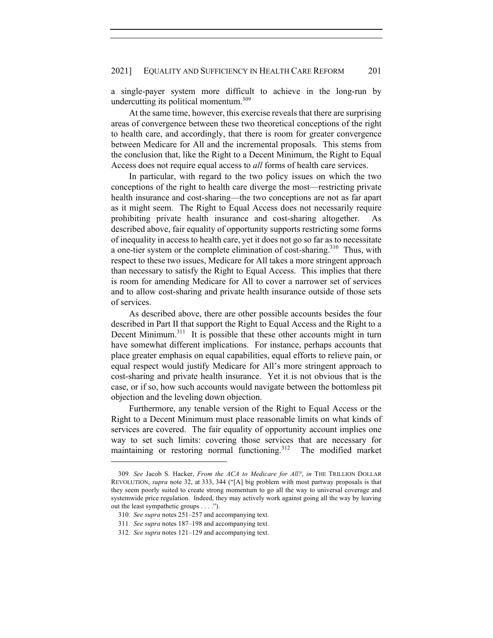a single-payer system more difficult to achieve in the long-run by undercutting its political momentum.<sup>309</sup>

At the same time, however, this exercise reveals that there are surprising areas of convergence between these two theoretical conceptions of the right to health care, and accordingly, that there is room for greater convergence between Medicare for All and the incremental proposals. This stems from the conclusion that, like the Right to a Decent Minimum, the Right to Equal Access does not require equal access to *all* forms of health care services.

In particular, with regard to the two policy issues on which the two conceptions of the right to health care diverge the most—restricting private health insurance and cost-sharing—the two conceptions are not as far apart as it might seem. The Right to Equal Access does not necessarily require prohibiting private health insurance and cost-sharing altogether. As described above, fair equality of opportunity supports restricting some forms of inequality in access to health care, yet it does not go so far as to necessitate a one-tier system or the complete elimination of cost-sharing.<sup>310</sup> Thus, with respect to these two issues, Medicare for All takes a more stringent approach than necessary to satisfy the Right to Equal Access. This implies that there is room for amending Medicare for All to cover a narrower set of services and to allow cost-sharing and private health insurance outside of those sets of services.

As described above, there are other possible accounts besides the four described in Part II that support the Right to Equal Access and the Right to a Decent Minimum.<sup>311</sup> It is possible that these other accounts might in turn have somewhat different implications. For instance, perhaps accounts that place greater emphasis on equal capabilities, equal efforts to relieve pain, or equal respect would justify Medicare for All's more stringent approach to cost-sharing and private health insurance. Yet it is not obvious that is the case, or if so, how such accounts would navigate between the bottomless pit objection and the leveling down objection.

Furthermore, any tenable version of the Right to Equal Access or the Right to a Decent Minimum must place reasonable limits on what kinds of services are covered. The fair equality of opportunity account implies one way to set such limits: covering those services that are necessary for maintaining or restoring normal functioning.312 The modified market

<sup>309</sup>*. See* Jacob S. Hacker, *From the ACA to Medicare for All?*, *in* THE TRILLION DOLLAR REVOLUTION, *supra* note 32, at 333, 344 ("[A] big problem with most partway proposals is that they seem poorly suited to create strong momentum to go all the way to universal coverage and systemwide price regulation. Indeed, they may actively work against going all the way by leaving out the least sympathetic groups . . . .").

<sup>310</sup>*. See supra* notes 251–257 and accompanying text.

<sup>311</sup>*. See supra* notes 187–198 and accompanying text.

<sup>312</sup>*. See supra* notes 121–129 and accompanying text.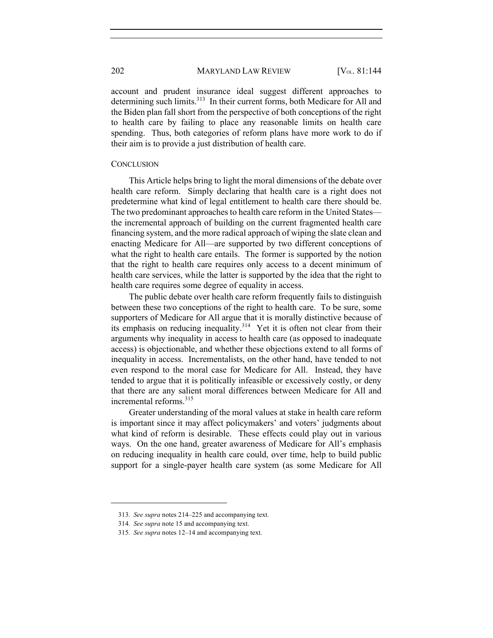account and prudent insurance ideal suggest different approaches to determining such limits.<sup>313</sup> In their current forms, both Medicare for All and the Biden plan fall short from the perspective of both conceptions of the right to health care by failing to place any reasonable limits on health care spending. Thus, both categories of reform plans have more work to do if their aim is to provide a just distribution of health care.

#### **CONCLUSION**

This Article helps bring to light the moral dimensions of the debate over health care reform. Simply declaring that health care is a right does not predetermine what kind of legal entitlement to health care there should be. The two predominant approaches to health care reform in the United States the incremental approach of building on the current fragmented health care financing system, and the more radical approach of wiping the slate clean and enacting Medicare for All—are supported by two different conceptions of what the right to health care entails. The former is supported by the notion that the right to health care requires only access to a decent minimum of health care services, while the latter is supported by the idea that the right to health care requires some degree of equality in access.

The public debate over health care reform frequently fails to distinguish between these two conceptions of the right to health care. To be sure, some supporters of Medicare for All argue that it is morally distinctive because of its emphasis on reducing inequality.<sup>314</sup> Yet it is often not clear from their arguments why inequality in access to health care (as opposed to inadequate access) is objectionable, and whether these objections extend to all forms of inequality in access. Incrementalists, on the other hand, have tended to not even respond to the moral case for Medicare for All. Instead, they have tended to argue that it is politically infeasible or excessively costly, or deny that there are any salient moral differences between Medicare for All and incremental reforms.<sup>315</sup>

Greater understanding of the moral values at stake in health care reform is important since it may affect policymakers' and voters' judgments about what kind of reform is desirable. These effects could play out in various ways. On the one hand, greater awareness of Medicare for All's emphasis on reducing inequality in health care could, over time, help to build public support for a single-payer health care system (as some Medicare for All

<sup>313</sup>*. See supra* notes 214–225 and accompanying text.

<sup>314</sup>*. See supra* note 15 and accompanying text.

<sup>315</sup>*. See supra* notes 12–14 and accompanying text.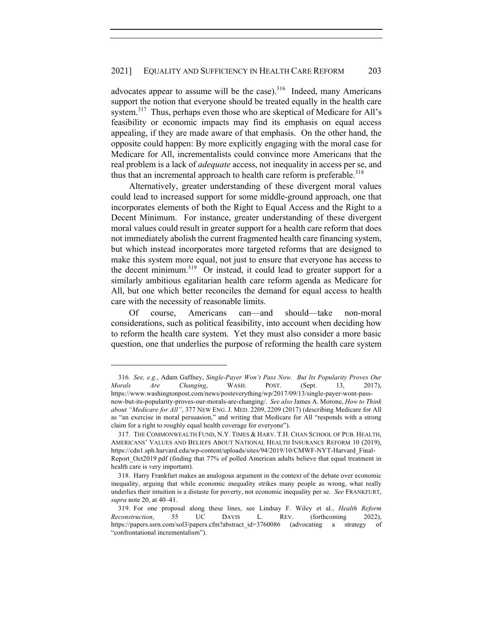## 2021] EQUALITY AND SUFFICIENCY IN HEALTH CARE REFORM 203

advocates appear to assume will be the case). $316$  Indeed, many Americans support the notion that everyone should be treated equally in the health care system.<sup>317</sup> Thus, perhaps even those who are skeptical of Medicare for All's feasibility or economic impacts may find its emphasis on equal access appealing, if they are made aware of that emphasis. On the other hand, the opposite could happen: By more explicitly engaging with the moral case for Medicare for All, incrementalists could convince more Americans that the real problem is a lack of *adequate* access, not inequality in access per se, and thus that an incremental approach to health care reform is preferable.<sup>318</sup>

Alternatively, greater understanding of these divergent moral values could lead to increased support for some middle-ground approach, one that incorporates elements of both the Right to Equal Access and the Right to a Decent Minimum. For instance, greater understanding of these divergent moral values could result in greater support for a health care reform that does not immediately abolish the current fragmented health care financing system, but which instead incorporates more targeted reforms that are designed to make this system more equal, not just to ensure that everyone has access to the decent minimum.<sup>319</sup> Or instead, it could lead to greater support for a similarly ambitious egalitarian health care reform agenda as Medicare for All, but one which better reconciles the demand for equal access to health care with the necessity of reasonable limits.

Of course, Americans can—and should—take non-moral considerations, such as political feasibility, into account when deciding how to reform the health care system. Yet they must also consider a more basic question, one that underlies the purpose of reforming the health care system

<sup>316</sup>*. See, e.g.*, Adam Gaffney, *Single-Payer Won't Pass Now. But Its Popularity Proves Our Morals Are Changing*, WASH. POST. (Sept. 13, 2017), https://www.washingtonpost.com/news/posteverything/wp/2017/09/13/single-payer-wont-passnow-but-its-popularity-proves-our-morals-are-changing/. *See also* James A. Morone, *How to Think about "Medicare for All"*, 377 NEW ENG. J. MED. 2209, 2209 (2017) (describing Medicare for All as "an exercise in moral persuasion," and writing that Medicare for All "responds with a strong claim for a right to roughly equal health coverage for everyone").

<sup>317.</sup> THE COMMONWEALTH FUND, N.Y. TIMES & HARV. T.H. CHAN SCHOOL OF PUB. HEALTH, AMERICANS' VALUES AND BELIEFS ABOUT NATIONAL HEALTH INSURANCE REFORM 10 (2019), https://cdn1.sph.harvard.edu/wp-content/uploads/sites/94/2019/10/CMWF-NYT-Harvard\_Final-Report Oct2019.pdf (finding that 77% of polled American adults believe that equal treatment in health care is very important).

<sup>318.</sup> Harry Frankfurt makes an analogous argument in the context of the debate over economic inequality, arguing that while economic inequality strikes many people as wrong, what really underlies their intuition is a distaste for poverty, not economic inequality per se. *See* FRANKFURT, *supra* note 20, at 40–41.

<sup>319.</sup> For one proposal along these lines, see Lindsay F. Wiley et al., *Health Reform Reconstruction*, 55 UC DAVIS L. REV. (forthcoming 2022), https://papers.ssrn.com/sol3/papers.cfm?abstract\_id=3760086 (advocating a strategy of "confrontational incrementalism").